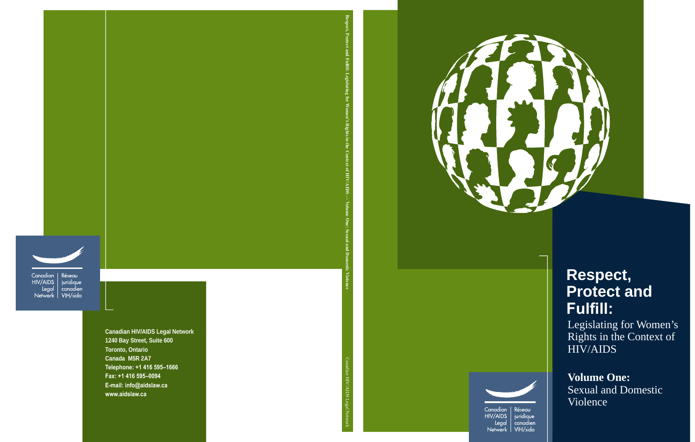

# **Respect, Protect and Fulfill:**

Legislating for Women's Rights in the Context of HIV/AIDS

**Volume One:** Sexual and Domestic Violence



Canadian **HIV/AIDS** Legal Network |

Réseau juridique canadien VIH/sida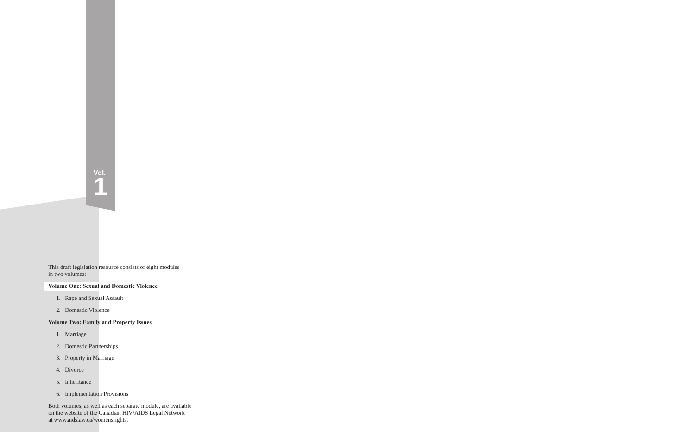This draft legislation resource consists of eight modules in two volumes:

#### **Volume One: Sexual and Domestic Violence**

**Vol.**

**1**

- 1. Rape and Sexual Assault
- 2. Domestic Violence

#### **Volume Two: Family and Property Issues**

- 1. Marriage
- 2. Domestic Partnerships
- 3. Property in Marriage
- 4. Divorce
- 5. Inheritance
- 6. Implementation Provisions

Both volumes, as well as each separate module, are available on the website of the Canadian HIV/AIDS Legal Network at www.aidslaw.ca/womensrights.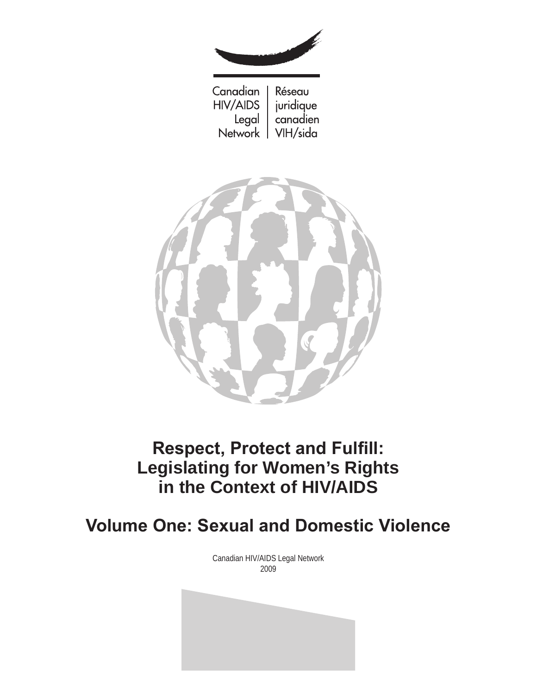

Canadian Réseau **HIV/AIDS** juridique Legal canadien Network | VIH/sida



## **Respect, Protect and Fulfill: Legislating for Women's Rights in the Context of HIV/AIDS**

## **Volume One: Sexual and Domestic Violence**

Canadian HIV/AIDS Legal Network 2009

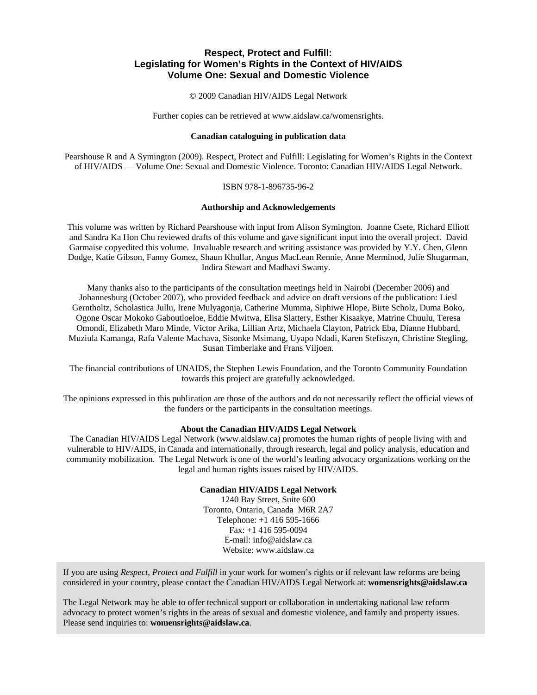#### **Respect, Protect and Fulfill: Legislating for Women's Rights in the Context of HIV/AIDS Volume One: Sexual and Domestic Violence**

© 2009 Canadian HIV/AIDS Legal Network

Further copies can be retrieved at www.aidslaw.ca/womensrights.

#### **Canadian cataloguing in publication data**

Pearshouse R and A Symington (2009). Respect, Protect and Fulfill: Legislating for Women's Rights in the Context of HIV/AIDS — Volume One: Sexual and Domestic Violence. Toronto: Canadian HIV/AIDS Legal Network.

ISBN 978-1-896735-96-2

#### **Authorship and Acknowledgements**

This volume was written by Richard Pearshouse with input from Alison Symington. Joanne Csete, Richard Elliott and Sandra Ka Hon Chu reviewed drafts of this volume and gave significant input into the overall project. David Garmaise copyedited this volume. Invaluable research and writing assistance was provided by Y.Y. Chen, Glenn Dodge, Katie Gibson, Fanny Gomez, Shaun Khullar, Angus MacLean Rennie, Anne Merminod, Julie Shugarman, Indira Stewart and Madhavi Swamy.

Many thanks also to the participants of the consultation meetings held in Nairobi (December 2006) and Johannesburg (October 2007), who provided feedback and advice on draft versions of the publication: Liesl Gerntholtz, Scholastica Jullu, Irene Mulyagonja, Catherine Mumma, Siphiwe Hlope, Birte Scholz, Duma Boko, Ogone Oscar Mokoko Gaboutloeloe, Eddie Mwitwa, Elisa Slattery, Esther Kisaakye, Matrine Chuulu, Teresa Omondi, Elizabeth Maro Minde, Victor Arika, Lillian Artz, Michaela Clayton, Patrick Eba, Dianne Hubbard, Muziula Kamanga, Rafa Valente Machava, Sisonke Msimang, Uyapo Ndadi, Karen Stefiszyn, Christine Stegling, Susan Timberlake and Frans Viljoen.

The financial contributions of UNAIDS, the Stephen Lewis Foundation, and the Toronto Community Foundation towards this project are gratefully acknowledged.

The opinions expressed in this publication are those of the authors and do not necessarily reflect the official views of the funders or the participants in the consultation meetings.

#### **About the Canadian HIV/AIDS Legal Network**

The Canadian HIV/AIDS Legal Network (www.aidslaw.ca) promotes the human rights of people living with and vulnerable to HIV/AIDS, in Canada and internationally, through research, legal and policy analysis, education and community mobilization. The Legal Network is one of the world's leading advocacy organizations working on the legal and human rights issues raised by HIV/AIDS.

#### **Canadian HIV/AIDS Legal Network**

1240 Bay Street, Suite 600 Toronto, Ontario, Canada M6R 2A7 Telephone: +1 416 595-1666 Fax: +1 416 595-0094 E-mail: info@aidslaw.ca Website: www.aidslaw.ca

If you are using *Respect, Protect and Fulfill* in your work for women's rights or if relevant law reforms are being considered in your country, please contact the Canadian HIV/AIDS Legal Network at: **womensrights@aidslaw.ca**

The Legal Network may be able to offer technical support or collaboration in undertaking national law reform advocacy to protect women's rights in the areas of sexual and domestic violence, and family and property issues. Please send inquiries to: **womensrights@aidslaw.ca**.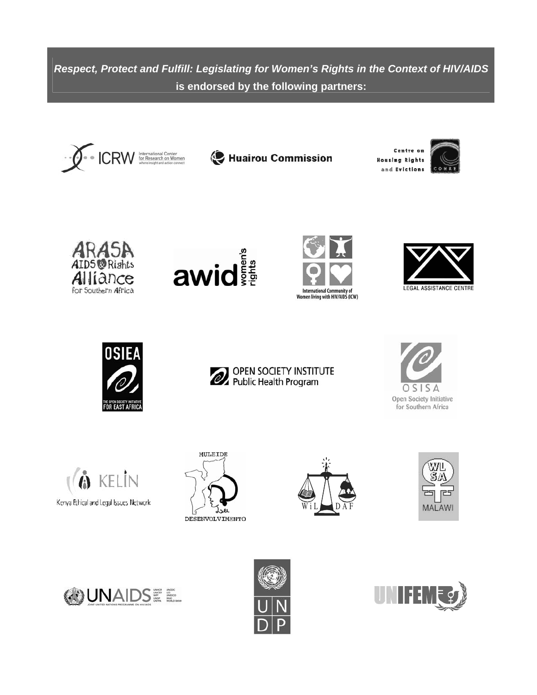*Respect, Protect and Fulfill: Legislating for Women's Rights in the Context of HIV/AIDS*  **is endorsed by the following partners:**



Huairou Commission

Centre or **Housing Rights** and Evictions















**6** KELIN Kenya Ethical and Legal Issues Network











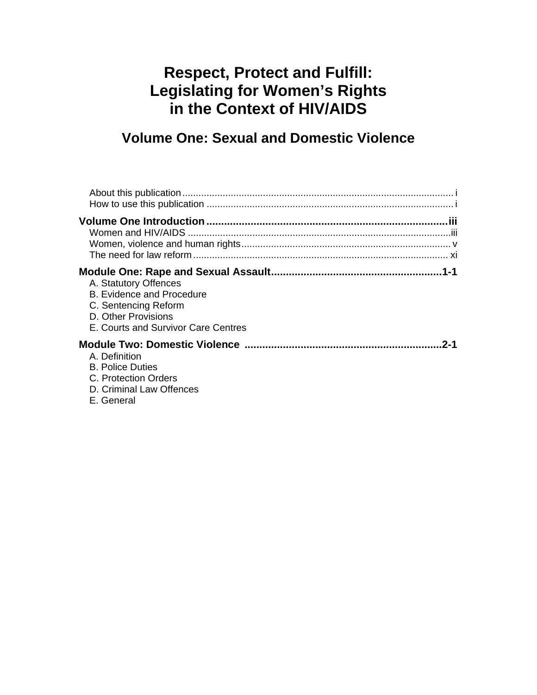## **Respect, Protect and Fulfill: Legislating for Women's Rights in the Context of HIV/AIDS**

## **Volume One: Sexual and Domestic Violence**

| A. Statutory Offences<br><b>B. Evidence and Procedure</b><br>C. Sentencing Reform<br>D. Other Provisions<br>E. Courts and Survivor Care Centres |
|-------------------------------------------------------------------------------------------------------------------------------------------------|
| .2-1<br>A. Definition<br><b>B. Police Duties</b><br>C. Protection Orders<br>D. Criminal Law Offences<br>E. General                              |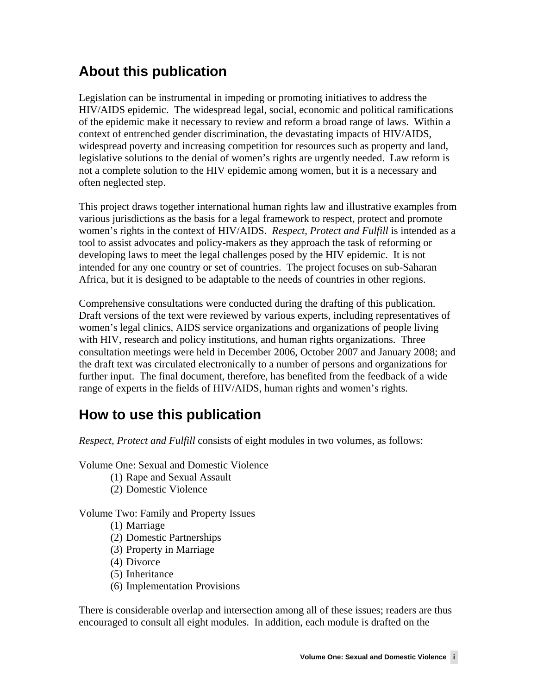## **About this publication**

Legislation can be instrumental in impeding or promoting initiatives to address the HIV/AIDS epidemic. The widespread legal, social, economic and political ramifications of the epidemic make it necessary to review and reform a broad range of laws. Within a context of entrenched gender discrimination, the devastating impacts of HIV/AIDS, widespread poverty and increasing competition for resources such as property and land, legislative solutions to the denial of women's rights are urgently needed. Law reform is not a complete solution to the HIV epidemic among women, but it is a necessary and often neglected step.

This project draws together international human rights law and illustrative examples from various jurisdictions as the basis for a legal framework to respect, protect and promote women's rights in the context of HIV/AIDS. *Respect, Protect and Fulfill* is intended as a tool to assist advocates and policy-makers as they approach the task of reforming or developing laws to meet the legal challenges posed by the HIV epidemic. It is not intended for any one country or set of countries. The project focuses on sub-Saharan Africa, but it is designed to be adaptable to the needs of countries in other regions.

Comprehensive consultations were conducted during the drafting of this publication. Draft versions of the text were reviewed by various experts, including representatives of women's legal clinics, AIDS service organizations and organizations of people living with HIV, research and policy institutions, and human rights organizations. Three consultation meetings were held in December 2006, October 2007 and January 2008; and the draft text was circulated electronically to a number of persons and organizations for further input. The final document, therefore, has benefited from the feedback of a wide range of experts in the fields of HIV/AIDS, human rights and women's rights.

## **How to use this publication**

*Respect, Protect and Fulfill* consists of eight modules in two volumes, as follows:

Volume One: Sexual and Domestic Violence

- (1) Rape and Sexual Assault
- (2) Domestic Violence

Volume Two: Family and Property Issues

- (1) Marriage
- (2) Domestic Partnerships
- (3) Property in Marriage
- (4) Divorce
- (5) Inheritance
- (6) Implementation Provisions

There is considerable overlap and intersection among all of these issues; readers are thus encouraged to consult all eight modules. In addition, each module is drafted on the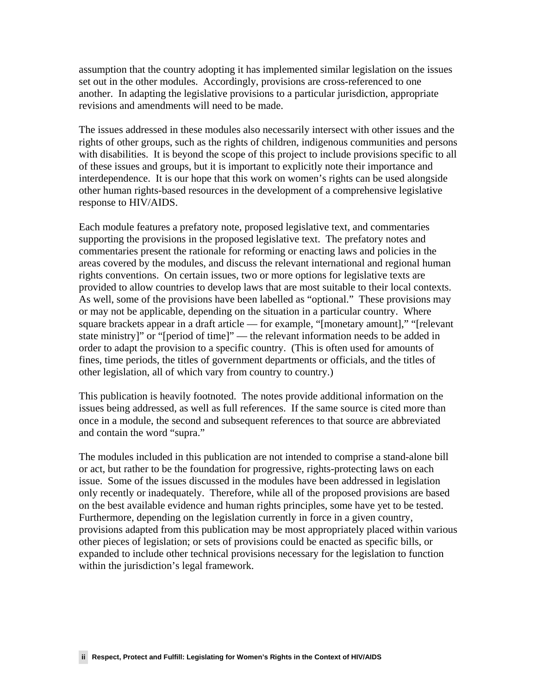assumption that the country adopting it has implemented similar legislation on the issues set out in the other modules. Accordingly, provisions are cross-referenced to one another. In adapting the legislative provisions to a particular jurisdiction, appropriate revisions and amendments will need to be made.

The issues addressed in these modules also necessarily intersect with other issues and the rights of other groups, such as the rights of children, indigenous communities and persons with disabilities. It is beyond the scope of this project to include provisions specific to all of these issues and groups, but it is important to explicitly note their importance and interdependence. It is our hope that this work on women's rights can be used alongside other human rights-based resources in the development of a comprehensive legislative response to HIV/AIDS.

Each module features a prefatory note, proposed legislative text, and commentaries supporting the provisions in the proposed legislative text. The prefatory notes and commentaries present the rationale for reforming or enacting laws and policies in the areas covered by the modules, and discuss the relevant international and regional human rights conventions. On certain issues, two or more options for legislative texts are provided to allow countries to develop laws that are most suitable to their local contexts. As well, some of the provisions have been labelled as "optional." These provisions may or may not be applicable, depending on the situation in a particular country. Where square brackets appear in a draft article — for example, "[monetary amount]," "[relevant state ministry]" or "[period of time]" — the relevant information needs to be added in order to adapt the provision to a specific country. (This is often used for amounts of fines, time periods, the titles of government departments or officials, and the titles of other legislation, all of which vary from country to country.)

This publication is heavily footnoted. The notes provide additional information on the issues being addressed, as well as full references. If the same source is cited more than once in a module, the second and subsequent references to that source are abbreviated and contain the word "supra."

The modules included in this publication are not intended to comprise a stand-alone bill or act, but rather to be the foundation for progressive, rights-protecting laws on each issue. Some of the issues discussed in the modules have been addressed in legislation only recently or inadequately. Therefore, while all of the proposed provisions are based on the best available evidence and human rights principles, some have yet to be tested. Furthermore, depending on the legislation currently in force in a given country, provisions adapted from this publication may be most appropriately placed within various other pieces of legislation; or sets of provisions could be enacted as specific bills, or expanded to include other technical provisions necessary for the legislation to function within the jurisdiction's legal framework.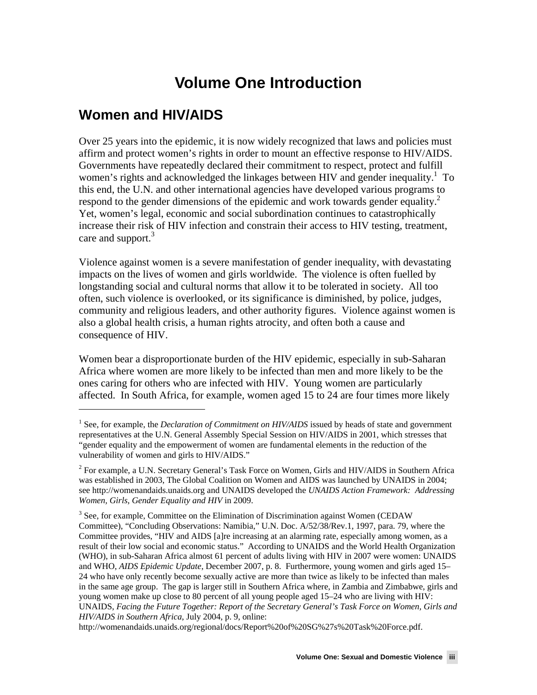## **Volume One Introduction**

## **Women and HIV/AIDS**

 $\overline{a}$ 

Over 25 years into the epidemic, it is now widely recognized that laws and policies must affirm and protect women's rights in order to mount an effective response to HIV/AIDS. Governments have repeatedly declared their commitment to respect, protect and fulfill women's rights and acknowledged the linkages between HIV and gender inequality.<sup>1</sup> To this end, the U.N. and other international agencies have developed various programs to respond to the gender dimensions of the epidemic and work towards gender equality.<sup>2</sup> Yet, women's legal, economic and social subordination continues to catastrophically increase their risk of HIV infection and constrain their access to HIV testing, treatment, care and support.<sup>3</sup>

Violence against women is a severe manifestation of gender inequality, with devastating impacts on the lives of women and girls worldwide. The violence is often fuelled by longstanding social and cultural norms that allow it to be tolerated in society. All too often, such violence is overlooked, or its significance is diminished, by police, judges, community and religious leaders, and other authority figures. Violence against women is also a global health crisis, a human rights atrocity, and often both a cause and consequence of HIV.

Women bear a disproportionate burden of the HIV epidemic, especially in sub-Saharan Africa where women are more likely to be infected than men and more likely to be the ones caring for others who are infected with HIV. Young women are particularly affected. In South Africa, for example, women aged 15 to 24 are four times more likely

<sup>&</sup>lt;sup>1</sup> See, for example, the *Declaration of Commitment on HIV/AIDS* issued by heads of state and government representatives at the U.N. General Assembly Special Session on HIV/AIDS in 2001, which stresses that "gender equality and the empowerment of women are fundamental elements in the reduction of the vulnerability of women and girls to HIV/AIDS."

 $2^{2}$  For example, a U.N. Secretary General's Task Force on Women, Girls and HIV/AIDS in Southern Africa was established in 2003, The Global Coalition on Women and AIDS was launched by UNAIDS in 2004; see http://womenandaids.unaids.org and UNAIDS developed the *UNAIDS Action Framework: Addressing Women, Girls, Gender Equality and HIV* in 2009.

 $3$  See, for example, Committee on the Elimination of Discrimination against Women (CEDAW) Committee), "Concluding Observations: Namibia," U.N. Doc. A/52/38/Rev.1, 1997, para. 79, where the Committee provides, "HIV and AIDS [a]re increasing at an alarming rate, especially among women, as a result of their low social and economic status." According to UNAIDS and the World Health Organization (WHO), in sub-Saharan Africa almost 61 percent of adults living with HIV in 2007 were women: UNAIDS and WHO, *AIDS Epidemic Update*, December 2007, p. 8. Furthermore, young women and girls aged 15– 24 who have only recently become sexually active are more than twice as likely to be infected than males in the same age group. The gap is larger still in Southern Africa where, in Zambia and Zimbabwe, girls and young women make up close to 80 percent of all young people aged 15–24 who are living with HIV: UNAIDS, *Facing the Future Together: Report of the Secretary General's Task Force on Women, Girls and HIV/AIDS in Southern Africa*, July 2004, p. 9, online:

http://womenandaids.unaids.org/regional/docs/Report%20of%20SG%27s%20Task%20Force.pdf.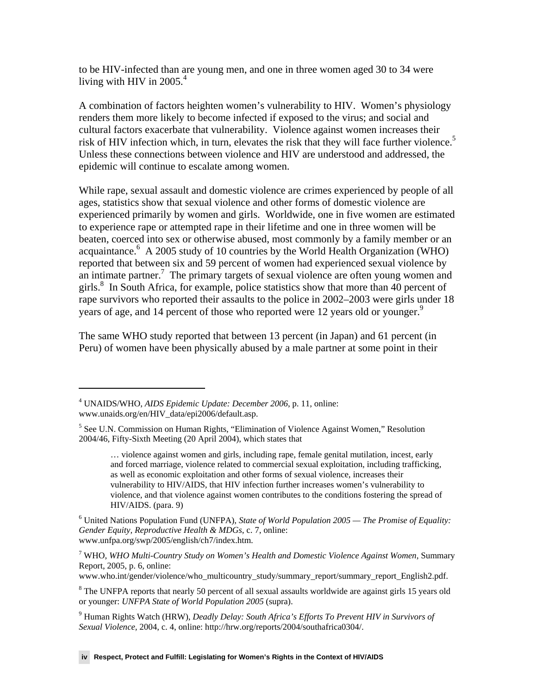to be HIV-infected than are young men, and one in three women aged 30 to 34 were living with HIV in 2005. $4$ 

A combination of factors heighten women's vulnerability to HIV. Women's physiology renders them more likely to become infected if exposed to the virus; and social and cultural factors exacerbate that vulnerability. Violence against women increases their risk of HIV infection which, in turn, elevates the risk that they will face further violence.<sup>5</sup> Unless these connections between violence and HIV are understood and addressed, the epidemic will continue to escalate among women.

While rape, sexual assault and domestic violence are crimes experienced by people of all ages, statistics show that sexual violence and other forms of domestic violence are experienced primarily by women and girls. Worldwide, one in five women are estimated to experience rape or attempted rape in their lifetime and one in three women will be beaten, coerced into sex or otherwise abused, most commonly by a family member or an acquaintance.<sup>6</sup> A 2005 study of 10 countries by the World Health Organization (WHO) reported that between six and 59 percent of women had experienced sexual violence by an intimate partner.<sup>7</sup> The primary targets of sexual violence are often young women and girls.<sup>8</sup> In South Africa, for example, police statistics show that more than 40 percent of rape survivors who reported their assaults to the police in 2002–2003 were girls under 18 years of age, and 14 percent of those who reported were 12 years old or younger.<sup>9</sup>

The same WHO study reported that between 13 percent (in Japan) and 61 percent (in Peru) of women have been physically abused by a male partner at some point in their

<u>.</u>

<sup>4</sup> UNAIDS/WHO, *AIDS Epidemic Update: December 2006*, p. 11, online: www.unaids.org/en/HIV\_data/epi2006/default.asp.

<sup>&</sup>lt;sup>5</sup> See U.N. Commission on Human Rights, "Elimination of Violence Against Women," Resolution 2004/46, Fifty-Sixth Meeting (20 April 2004), which states that

<sup>…</sup> violence against women and girls, including rape, female genital mutilation, incest, early and forced marriage, violence related to commercial sexual exploitation, including trafficking, as well as economic exploitation and other forms of sexual violence, increases their vulnerability to HIV/AIDS, that HIV infection further increases women's vulnerability to violence, and that violence against women contributes to the conditions fostering the spread of HIV/AIDS. (para. 9)

<sup>6</sup> United Nations Population Fund (UNFPA), *State of World Population 2005 — The Promise of Equality: Gender Equity, Reproductive Health & MDGs*, c. 7, online: www.unfpa.org/swp/2005/english/ch7/index.htm.

<sup>7</sup> WHO, *WHO Multi-Country Study on Women's Health and Domestic Violence Against Women*, Summary Report, 2005, p. 6, online:

www.who.int/gender/violence/who\_multicountry\_study/summary\_report/summary\_report\_English2.pdf.

<sup>&</sup>lt;sup>8</sup> The UNFPA reports that nearly 50 percent of all sexual assaults worldwide are against girls 15 years old or younger: *UNFPA State of World Population 2005* (supra).

<sup>9</sup> Human Rights Watch (HRW), *Deadly Delay: South Africa's Efforts To Prevent HIV in Survivors of Sexual Violence,* 2004, c. 4, online: http://hrw.org/reports/2004/southafrica0304/.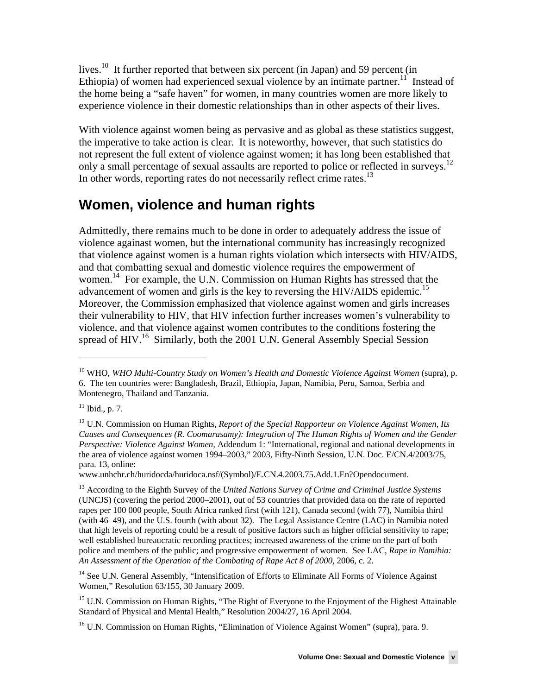lives.<sup>10</sup> It further reported that between six percent (in Japan) and 59 percent (in Ethiopia) of women had experienced sexual violence by an intimate partner.<sup>11</sup> Instead of the home being a "safe haven" for women, in many countries women are more likely to experience violence in their domestic relationships than in other aspects of their lives.

With violence against women being as pervasive and as global as these statistics suggest, the imperative to take action is clear. It is noteworthy, however, that such statistics do not represent the full extent of violence against women; it has long been established that only a small percentage of sexual assaults are reported to police or reflected in surveys.<sup>12</sup> In other words, reporting rates do not necessarily reflect crime rates.<sup>13</sup>

## **Women, violence and human rights**

Admittedly, there remains much to be done in order to adequately address the issue of violence againast women, but the international community has increasingly recognized that violence against women is a human rights violation which intersects with HIV/AIDS, and that combatting sexual and domestic violence requires the empowerment of women.<sup>14</sup> For example, the U.N. Commission on Human Rights has stressed that the advancement of women and girls is the key to reversing the HIV/AIDS epidemic.<sup>15</sup> Moreover, the Commission emphasized that violence against women and girls increases their vulnerability to HIV, that HIV infection further increases women's vulnerability to violence, and that violence against women contributes to the conditions fostering the spread of HIV.<sup>16</sup> Similarly, both the 2001 U.N. General Assembly Special Session

 $11$  Ibid., p. 7.

 $\overline{a}$ 

www.unhchr.ch/huridocda/huridoca.nsf/(Symbol)/E.CN.4.2003.75.Add.1.En?Opendocument.

<sup>&</sup>lt;sup>10</sup> WHO, *WHO Multi-Country Study on Women's Health and Domestic Violence Against Women* (supra), p. 6. The ten countries were: Bangladesh, Brazil, Ethiopia, Japan, Namibia, Peru, Samoa, Serbia and Montenegro, Thailand and Tanzania.

<sup>&</sup>lt;sup>12</sup> U.N. Commission on Human Rights, *Report of the Special Rapporteur on Violence Against Women, Its Causes and Consequences (R. Coomarasamy): Integration of The Human Rights of Women and the Gender Perspective: Violence Against Women,* Addendum 1: "International, regional and national developments in the area of violence against women 1994–2003," 2003, Fifty-Ninth Session, U.N. Doc. E/CN.4/2003/75, para. 13, online:

<sup>13</sup> According to the Eighth Survey of the *United Nations Survey of Crime and Criminal Justice Systems* (UNCJS) (covering the period 2000–2001), out of 53 countries that provided data on the rate of reported rapes per 100 000 people, South Africa ranked first (with 121), Canada second (with 77), Namibia third (with 46–49), and the U.S. fourth (with about 32). The Legal Assistance Centre (LAC) in Namibia noted that high levels of reporting could be a result of positive factors such as higher official sensitivity to rape; well established bureaucratic recording practices; increased awareness of the crime on the part of both police and members of the public; and progressive empowerment of women. See LAC, *Rape in Namibia: An Assessment of the Operation of the Combating of Rape Act 8 of 2000*, 2006, c. 2.

<sup>&</sup>lt;sup>14</sup> See U.N. General Assembly, "Intensification of Efforts to Eliminate All Forms of Violence Against Women," Resolution 63/155, 30 January 2009.

<sup>&</sup>lt;sup>15</sup> U.N. Commission on Human Rights, "The Right of Everyone to the Enjoyment of the Highest Attainable Standard of Physical and Mental Health," Resolution 2004/27, 16 April 2004.

<sup>&</sup>lt;sup>16</sup> U.N. Commission on Human Rights, "Elimination of Violence Against Women" (supra), para. 9.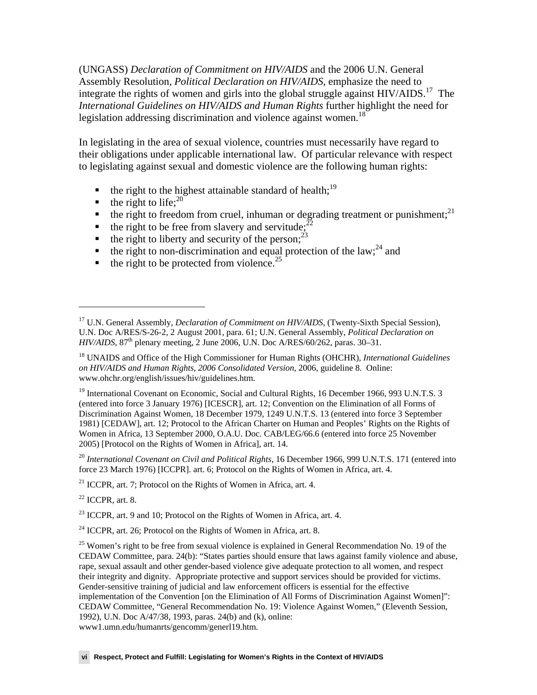(UNGASS) *Declaration of Commitment on HIV/AIDS* and the 2006 U.N. General Assembly Resolution, *Political Declaration on HIV/AIDS,* emphasize the need to integrate the rights of women and girls into the global struggle against HIV/AIDS.<sup>17</sup> The *International Guidelines on HIV/AIDS and Human Rights* further highlight the need for legislation addressing discrimination and violence against women.<sup>18</sup>

In legislating in the area of sexual violence, countries must necessarily have regard to their obligations under applicable international law. Of particular relevance with respect to legislating against sexual and domestic violence are the following human rights:

- $\bullet$  the right to the highest attainable standard of health;<sup>19</sup>
- $\blacksquare$  the right to life;<sup>20</sup>
- $\bullet$  the right to freedom from cruel, inhuman or degrading treatment or punishment;<sup>21</sup>
- the right to be free from slavery and servitude;<sup>2</sup>
- $\bullet$  the right to liberty and security of the person;<sup>23</sup>
- the right to non-discrimination and equal protection of the law;<sup>24</sup> and
- $\bullet$  the right to be protected from violence.<sup>25</sup>

<sup>19</sup> International Covenant on Economic, Social and Cultural Rights, 16 December 1966, 993 U.N.T.S. 3 (entered into force 3 January 1976) [ICESCR], art. 12; Convention on the Elimination of all Forms of Discrimination Against Women, 18 December 1979, 1249 U.N.T.S. 13 (entered into force 3 September 1981) [CEDAW], art. 12; Protocol to the African Charter on Human and Peoples' Rights on the Rights of Women in Africa, 13 September 2000, O.A.U. Doc. CAB/LEG/66.6 (entered into force 25 November 2005) [Protocol on the Rights of Women in Africa], art. 14.

<sup>20</sup> International Covenant on Civil and Political Rights, 16 December 1966, 999 U.N.T.S. 171 (entered into force 23 March 1976) [ICCPR]. art. 6; Protocol on the Rights of Women in Africa, art. 4.

 $21$  ICCPR, art. 7; Protocol on the Rights of Women in Africa, art. 4.

 $22$  ICCPR, art. 8.

 $\overline{a}$ 

 $^{23}$  ICCPR, art. 9 and 10; Protocol on the Rights of Women in Africa, art. 4.

 $24$  ICCPR, art. 26; Protocol on the Rights of Women in Africa, art. 8.

 $25$  Women's right to be free from sexual violence is explained in General Recommendation No. 19 of the CEDAW Committee, para. 24(b): "States parties should ensure that laws against family violence and abuse, rape, sexual assault and other gender-based violence give adequate protection to all women, and respect their integrity and dignity. Appropriate protective and support services should be provided for victims. Gender-sensitive training of judicial and law enforcement officers is essential for the effective implementation of the Convention [on the Elimination of All Forms of Discrimination Against Women]": CEDAW Committee, "General Recommendation No. 19: Violence Against Women," (Eleventh Session, 1992), U.N. Doc A/47/38, 1993, paras. 24(b) and (k), online: www1.umn.edu/humanrts/gencomm/generl19.htm.

<sup>&</sup>lt;sup>17</sup> U.N. General Assembly, *Declaration of Commitment on HIV/AIDS*, (Twenty-Sixth Special Session), U.N. Doc A/RES/S-26-2, 2 August 2001, para. 61; U.N. General Assembly, *Political Declaration on*   $H\ddot{IV}/AIDS$ ,  $87<sup>th</sup>$  plenary meeting, 2 June 2006, U.N. Doc  $A/RES/60/262$ , paras. 30–31.

<sup>18</sup> UNAIDS and Office of the High Commissioner for Human Rights (OHCHR), *International Guidelines on HIV/AIDS and Human Rights*, *2006 Consolidated Version*, 2006, guideline 8. Online: www.ohchr.org/english/issues/hiv/guidelines.htm.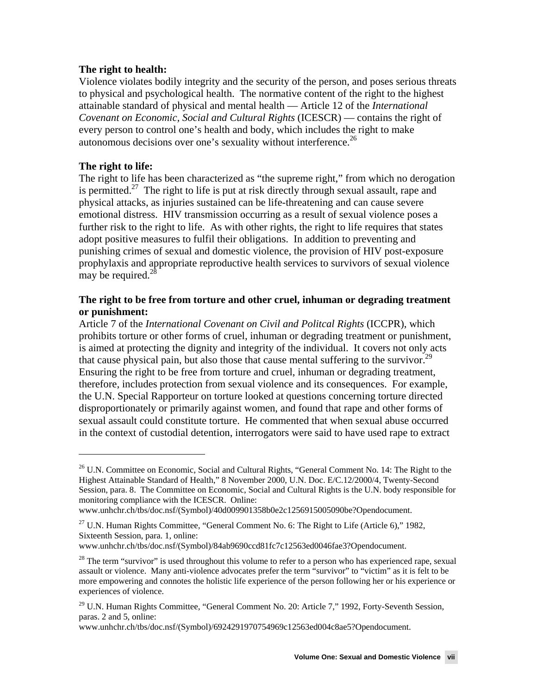#### **The right to health:**

Violence violates bodily integrity and the security of the person, and poses serious threats to physical and psychological health. The normative content of the right to the highest attainable standard of physical and mental health — Article 12 of the *International Covenant on Economic, Social and Cultural Rights* (ICESCR) — contains the right of every person to control one's health and body, which includes the right to make autonomous decisions over one's sexuality without interference. $^{26}$ 

#### **The right to life:**

-

The right to life has been characterized as "the supreme right," from which no derogation is permitted.<sup>27</sup> The right to life is put at risk directly through sexual assault, rape and physical attacks, as injuries sustained can be life-threatening and can cause severe emotional distress. HIV transmission occurring as a result of sexual violence poses a further risk to the right to life. As with other rights, the right to life requires that states adopt positive measures to fulfil their obligations. In addition to preventing and punishing crimes of sexual and domestic violence, the provision of HIV post-exposure prophylaxis and appropriate reproductive health services to survivors of sexual violence may be required. $^{2}$ 

#### **The right to be free from torture and other cruel, inhuman or degrading treatment or punishment:**

Article 7 of the *International Covenant on Civil and Politcal Rights* (ICCPR), which prohibits torture or other forms of cruel, inhuman or degrading treatment or punishment, is aimed at protecting the dignity and integrity of the individual. It covers not only acts that cause physical pain, but also those that cause mental suffering to the survivor.<sup>29</sup> Ensuring the right to be free from torture and cruel, inhuman or degrading treatment, therefore, includes protection from sexual violence and its consequences. For example, the U.N. Special Rapporteur on torture looked at questions concerning torture directed disproportionately or primarily against women, and found that rape and other forms of sexual assault could constitute torture. He commented that when sexual abuse occurred in the context of custodial detention, interrogators were said to have used rape to extract

<sup>&</sup>lt;sup>26</sup> U.N. Committee on Economic, Social and Cultural Rights, "General Comment No. 14: The Right to the Highest Attainable Standard of Health," 8 November 2000, U.N. Doc. E/C.12/2000/4, Twenty-Second Session, para. 8. The Committee on Economic, Social and Cultural Rights is the U.N. body responsible for monitoring compliance with the ICESCR. Online:

www.unhchr.ch/tbs/doc.nsf/(Symbol)/40d009901358b0e2c1256915005090be?Opendocument.

<sup>&</sup>lt;sup>27</sup> U.N. Human Rights Committee, "General Comment No. 6: The Right to Life (Article 6)," 1982, Sixteenth Session, para. 1, online:

www.unhchr.ch/tbs/doc.nsf/(Symbol)/84ab9690ccd81fc7c12563ed0046fae3?Opendocument.

 $28$  The term "survivor" is used throughout this volume to refer to a person who has experienced rape, sexual assault or violence. Many anti-violence advocates prefer the term "survivor" to "victim" as it is felt to be more empowering and connotes the holistic life experience of the person following her or his experience or experiences of violence.

<sup>&</sup>lt;sup>29</sup> U.N. Human Rights Committee, "General Comment No. 20: Article 7," 1992, Forty-Seventh Session, paras. 2 and 5, online:

www.unhchr.ch/tbs/doc.nsf/(Symbol)/6924291970754969c12563ed004c8ae5?Opendocument.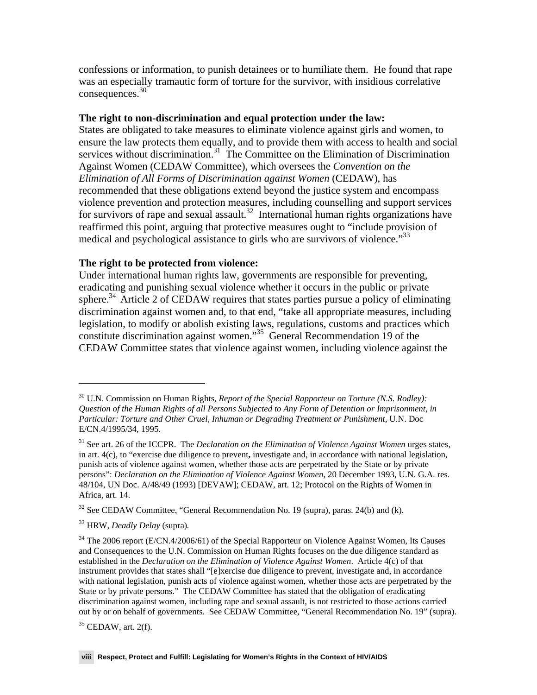confessions or information, to punish detainees or to humiliate them. He found that rape was an especially tramautic form of torture for the survivor, with insidious correlative consequences.<sup>30</sup>

#### **The right to non-discrimination and equal protection under the law:**

States are obligated to take measures to eliminate violence against girls and women, to ensure the law protects them equally, and to provide them with access to health and social services without discrimination.<sup>31</sup> The Committee on the Elimination of Discrimination Against Women (CEDAW Committee), which oversees the *Convention on the Elimination of All Forms of Discrimination against Women* (CEDAW), has recommended that these obligations extend beyond the justice system and encompass violence prevention and protection measures, including counselling and support services for survivors of rape and sexual assault.<sup>32</sup> International human rights organizations have reaffirmed this point, arguing that protective measures ought to "include provision of medical and psychological assistance to girls who are survivors of violence.<sup>333</sup>

#### **The right to be protected from violence:**

Under international human rights law, governments are responsible for preventing, eradicating and punishing sexual violence whether it occurs in the public or private sphere.<sup>34</sup> Article 2 of CEDAW requires that states parties pursue a policy of eliminating discrimination against women and, to that end, "take all appropriate measures, including legislation, to modify or abolish existing laws, regulations, customs and practices which constitute discrimination against women."35 General Recommendation 19 of the CEDAW Committee states that violence against women, including violence against the

-

<sup>30</sup> U.N. Commission on Human Rights, *Report of the Special Rapporteur on Torture (N.S. Rodley): Question of the Human Rights of all Persons Subjected to Any Form of Detention or Imprisonment, in Particular: Torture and Other Cruel, Inhuman or Degrading Treatment or Punishment,* U.N. Doc E/CN.4/1995/34, 1995.

<sup>&</sup>lt;sup>31</sup> See art. 26 of the ICCPR. The *Declaration on the Elimination of Violence Against Women* urges states, in art. 4(c), to "exercise due diligence to prevent**,** investigate and, in accordance with national legislation, punish acts of violence against women, whether those acts are perpetrated by the State or by private persons": *Declaration on the Elimination of Violence Against Women,* 20 December 1993, U.N. G.A. res. 48/104, UN Doc. A/48/49 (1993) [DEVAW]; CEDAW, art. 12; Protocol on the Rights of Women in Africa, art. 14.

 $32$  See CEDAW Committee, "General Recommendation No. 19 (supra), paras. 24(b) and (k).

<sup>33</sup> HRW, *Deadly Delay* (supra)*.* 

<sup>&</sup>lt;sup>34</sup> The 2006 report (E/CN.4/2006/61) of the Special Rapporteur on Violence Against Women, Its Causes and Consequences to the U.N. Commission on Human Rights focuses on the due diligence standard as established in the *Declaration on the Elimination of Violence Against Women*. Article 4(c) of that instrument provides that states shall "[e]xercise due diligence to prevent, investigate and, in accordance with national legislation, punish acts of violence against women, whether those acts are perpetrated by the State or by private persons." The CEDAW Committee has stated that the obligation of eradicating discrimination against women, including rape and sexual assault, is not restricted to those actions carried out by or on behalf of governments. See CEDAW Committee, "General Recommendation No. 19" (supra).

 $35$  CEDAW, art. 2(f).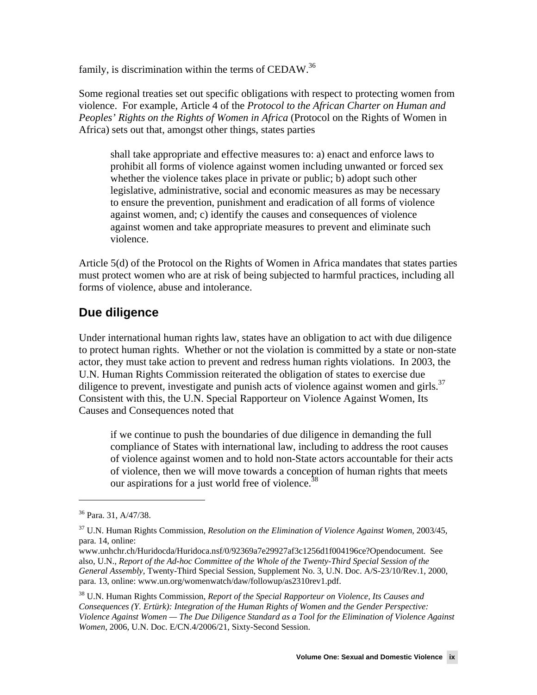family, is discrimination within the terms of CEDAW.<sup>36</sup>

Some regional treaties set out specific obligations with respect to protecting women from violence. For example, Article 4 of the *Protocol to the African Charter on Human and Peoples' Rights on the Rights of Women in Africa* (Protocol on the Rights of Women in Africa) sets out that, amongst other things, states parties

shall take appropriate and effective measures to: a) enact and enforce laws to prohibit all forms of violence against women including unwanted or forced sex whether the violence takes place in private or public; b) adopt such other legislative, administrative, social and economic measures as may be necessary to ensure the prevention, punishment and eradication of all forms of violence against women, and; c) identify the causes and consequences of violence against women and take appropriate measures to prevent and eliminate such violence.

Article 5(d) of the Protocol on the Rights of Women in Africa mandates that states parties must protect women who are at risk of being subjected to harmful practices, including all forms of violence, abuse and intolerance.

### **Due diligence**

Under international human rights law, states have an obligation to act with due diligence to protect human rights. Whether or not the violation is committed by a state or non-state actor, they must take action to prevent and redress human rights violations. In 2003, the U.N. Human Rights Commission reiterated the obligation of states to exercise due diligence to prevent, investigate and punish acts of violence against women and girls. $37$ Consistent with this, the U.N. Special Rapporteur on Violence Against Women, Its Causes and Consequences noted that

if we continue to push the boundaries of due diligence in demanding the full compliance of States with international law, including to address the root causes of violence against women and to hold non-State actors accountable for their acts of violence, then we will move towards a conception of human rights that meets our aspirations for a just world free of violence.<sup>38</sup>

<sup>36</sup> Para. 31, A/47/38.

<sup>37</sup> U.N. Human Rights Commission, *Resolution on the Elimination of Violence Against Women*, 2003/45, para. 14, online:

www.unhchr.ch/Huridocda/Huridoca.nsf/0/92369a7e29927af3c1256d1f004196ce?Opendocument. See also, U.N., *Report of the Ad-hoc Committee of the Whole of the Twenty-Third Special Session of the General Assembly*, Twenty-Third Special Session, Supplement No. 3, U.N. Doc. A/S-23/10/Rev.1, 2000, para. 13, online: www.un.org/womenwatch/daw/followup/as2310rev1.pdf.

<sup>38</sup> U.N. Human Rights Commission, *Report of the Special Rapporteur on Violence, Its Causes and Consequences (Y. Ertürk): Integration of the Human Rights of Women and the Gender Perspective: Violence Against Women — The Due Diligence Standard as a Tool for the Elimination of Violence Against Women*, 2006, U.N. Doc. E/CN.4/2006/21, Sixty-Second Session.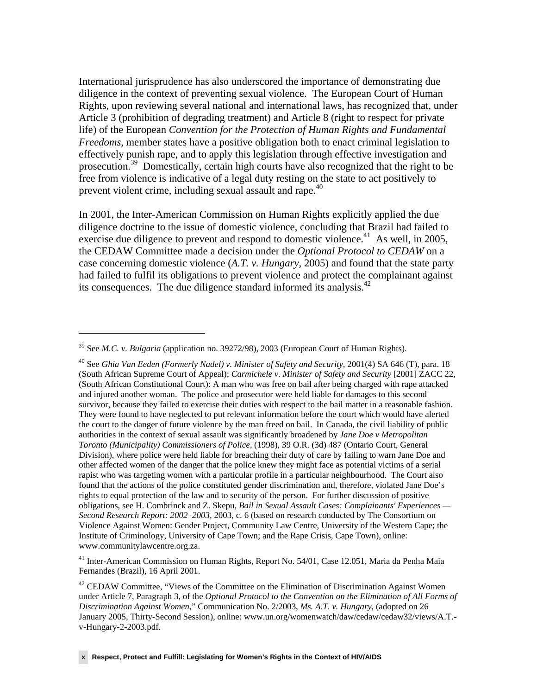International jurisprudence has also underscored the importance of demonstrating due diligence in the context of preventing sexual violence. The European Court of Human Rights, upon reviewing several national and international laws, has recognized that, under Article 3 (prohibition of degrading treatment) and Article 8 (right to respect for private life) of the European *Convention for the Protection of Human Rights and Fundamental Freedoms*, member states have a positive obligation both to enact criminal legislation to effectively punish rape, and to apply this legislation through effective investigation and prosecution.39 Domestically, certain high courts have also recognized that the right to be free from violence is indicative of a legal duty resting on the state to act positively to prevent violent crime, including sexual assault and rape.<sup>40</sup>

In 2001, the Inter-American Commission on Human Rights explicitly applied the due diligence doctrine to the issue of domestic violence, concluding that Brazil had failed to exercise due diligence to prevent and respond to domestic violence.<sup>41</sup> As well, in 2005, the CEDAW Committee made a decision under the *Optional Protocol to CEDAW* on a case concerning domestic violence (*A.T. v. Hungary*, 2005) and found that the state party had failed to fulfil its obligations to prevent violence and protect the complainant against its consequences. The due diligence standard informed its analysis.<sup>42</sup>

 $\overline{a}$ 

41 Inter-American Commission on Human Rights, Report No. 54/01, Case 12.051, Maria da Penha Maia Fernandes (Brazil), 16 April 2001.

<sup>39</sup> See *M.C. v. Bulgaria* (application no. 39272/98), 2003 (European Court of Human Rights).

<sup>40</sup> See *Ghia Van Eeden (Formerly Nadel) v. Minister of Safety and Security*, 2001(4) SA 646 (T), para. 18 (South African Supreme Court of Appeal); *Carmichele v. Minister of Safety and Security* [2001] ZACC 22, (South African Constitutional Court): A man who was free on bail after being charged with rape attacked and injured another woman. The police and prosecutor were held liable for damages to this second survivor, because they failed to exercise their duties with respect to the bail matter in a reasonable fashion. They were found to have neglected to put relevant information before the court which would have alerted the court to the danger of future violence by the man freed on bail. In Canada, the civil liability of public authorities in the context of sexual assault was significantly broadened by *Jane Doe v Metropolitan Toronto (Municipality) Commissioners of Police*, (1998), 39 O.R. (3d) 487 (Ontario Court, General Division), where police were held liable for breaching their duty of care by failing to warn Jane Doe and other affected women of the danger that the police knew they might face as potential victims of a serial rapist who was targeting women with a particular profile in a particular neighbourhood. The Court also found that the actions of the police constituted gender discrimination and, therefore, violated Jane Doe's rights to equal protection of the law and to security of the person. For further discussion of positive obligations, see H. Combrinck and Z. Skepu, *Bail in Sexual Assault Cases: Complainants' Experiences — Second Research Report: 2002–2003,* 2003, c. 6 (based on research conducted by The Consortium on Violence Against Women: Gender Project, Community Law Centre, University of the Western Cape; the Institute of Criminology, University of Cape Town; and the Rape Crisis, Cape Town), online: www.communitylawcentre.org.za.

 $42$  CEDAW Committee, "Views of the Committee on the Elimination of Discrimination Against Women under Article 7, Paragraph 3, of the *Optional Protocol to the Convention on the Elimination of All Forms of Discrimination Against Women*," Communication No. 2/2003, *Ms. A.T. v. Hungary*, (adopted on 26 January 2005, Thirty-Second Session), online: www.un.org/womenwatch/daw/cedaw/cedaw32/views/A.T. v-Hungary-2-2003.pdf.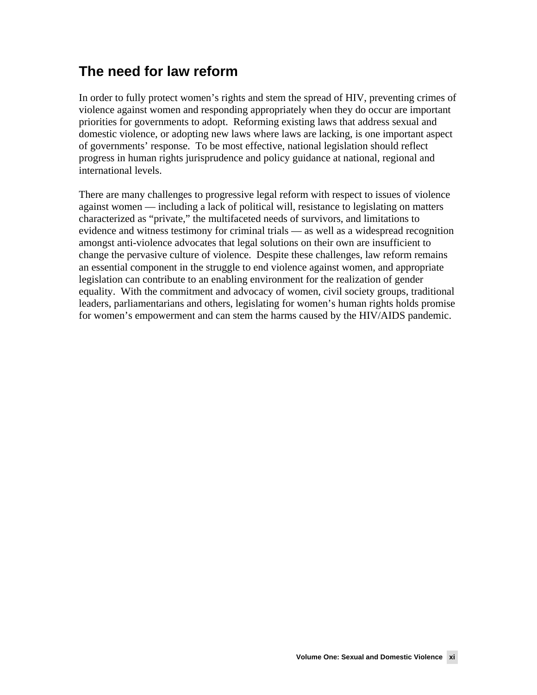## **The need for law reform**

In order to fully protect women's rights and stem the spread of HIV, preventing crimes of violence against women and responding appropriately when they do occur are important priorities for governments to adopt. Reforming existing laws that address sexual and domestic violence, or adopting new laws where laws are lacking, is one important aspect of governments' response. To be most effective, national legislation should reflect progress in human rights jurisprudence and policy guidance at national, regional and international levels.

There are many challenges to progressive legal reform with respect to issues of violence against women — including a lack of political will, resistance to legislating on matters characterized as "private," the multifaceted needs of survivors, and limitations to evidence and witness testimony for criminal trials — as well as a widespread recognition amongst anti-violence advocates that legal solutions on their own are insufficient to change the pervasive culture of violence. Despite these challenges, law reform remains an essential component in the struggle to end violence against women, and appropriate legislation can contribute to an enabling environment for the realization of gender equality. With the commitment and advocacy of women, civil society groups, traditional leaders, parliamentarians and others, legislating for women's human rights holds promise for women's empowerment and can stem the harms caused by the HIV/AIDS pandemic.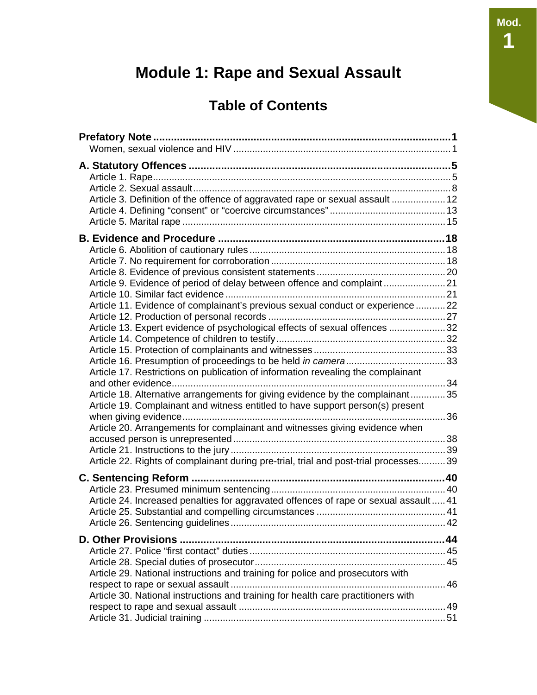## **Module 1: Rape and Sexual Assault**

## **Table of Contents**

| Article 3. Definition of the offence of aggravated rape or sexual assault  12                                                                                                                                                                                                                                                                                                                                                                                                                                                                                                                                                                                          |      |
|------------------------------------------------------------------------------------------------------------------------------------------------------------------------------------------------------------------------------------------------------------------------------------------------------------------------------------------------------------------------------------------------------------------------------------------------------------------------------------------------------------------------------------------------------------------------------------------------------------------------------------------------------------------------|------|
| Article 9. Evidence of period of delay between offence and complaint21<br>Article 11. Evidence of complainant's previous sexual conduct or experience  22<br>Article 13. Expert evidence of psychological effects of sexual offences 32<br>Article 17. Restrictions on publication of information revealing the complainant<br>Article 18. Alternative arrangements for giving evidence by the complainant35<br>Article 19. Complainant and witness entitled to have support person(s) present<br>Article 20. Arrangements for complainant and witnesses giving evidence when<br>Article 22. Rights of complainant during pre-trial, trial and post-trial processes 39 |      |
| Article 24. Increased penalties for aggravated offences of rape or sexual assault  41<br>Article 26. Sentencing guidelines                                                                                                                                                                                                                                                                                                                                                                                                                                                                                                                                             | . 42 |
| Article 29. National instructions and training for police and prosecutors with<br>Article 30. National instructions and training for health care practitioners with                                                                                                                                                                                                                                                                                                                                                                                                                                                                                                    |      |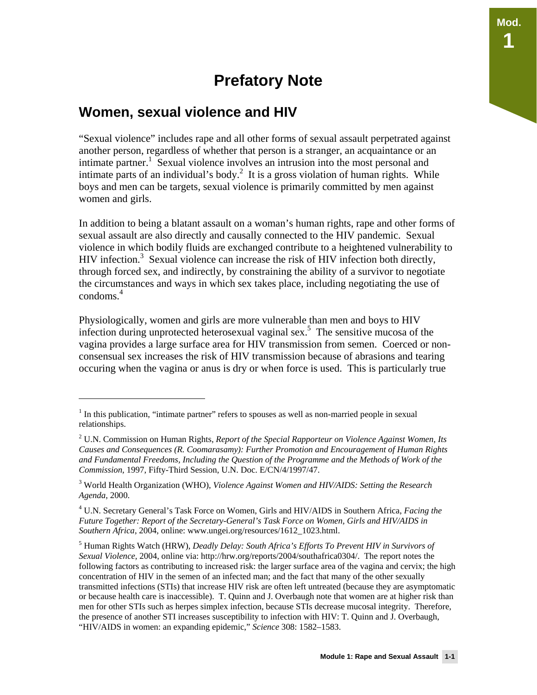## **Prefatory Note**

### **Women, sexual violence and HIV**

 $\overline{a}$ 

"Sexual violence" includes rape and all other forms of sexual assault perpetrated against another person, regardless of whether that person is a stranger, an acquaintance or an intimate partner.<sup>1</sup> Sexual violence involves an intrusion into the most personal and intimate parts of an individual's body.<sup>2</sup> It is a gross violation of human rights. While boys and men can be targets, sexual violence is primarily committed by men against women and girls.

In addition to being a blatant assault on a woman's human rights, rape and other forms of sexual assault are also directly and causally connected to the HIV pandemic. Sexual violence in which bodily fluids are exchanged contribute to a heightened vulnerability to HIV infection.<sup>3</sup> Sexual violence can increase the risk of HIV infection both directly, through forced sex, and indirectly, by constraining the ability of a survivor to negotiate the circumstances and ways in which sex takes place, including negotiating the use of condoms.<sup>4</sup>

Physiologically, women and girls are more vulnerable than men and boys to HIV infection during unprotected heterosexual vaginal sex.5 The sensitive mucosa of the vagina provides a large surface area for HIV transmission from semen. Coerced or nonconsensual sex increases the risk of HIV transmission because of abrasions and tearing occuring when the vagina or anus is dry or when force is used. This is particularly true

**Mod.** 

**1** 

<sup>&</sup>lt;sup>1</sup> In this publication, "intimate partner" refers to spouses as well as non-married people in sexual relationships.

<sup>2</sup> U.N. Commission on Human Rights, *Report of the Special Rapporteur on Violence Against Women, Its Causes and Consequences (R. Coomarasamy): Further Promotion and Encouragement of Human Rights and Fundamental Freedoms, Including the Question of the Programme and the Methods of Work of the Commission,* 1997, Fifty-Third Session, U.N. Doc. E/CN/4/1997/47.

<sup>3</sup> World Health Organization (WHO), *Violence Against Women and HIV/AIDS: Setting the Research Agenda*, 2000.

<sup>4</sup> U.N. Secretary General's Task Force on Women, Girls and HIV/AIDS in Southern Africa, *Facing the Future Together: Report of the Secretary-General's Task Force on Women, Girls and HIV/AIDS in Southern Africa*, 2004, online: www.ungei.org/resources/1612\_1023.html.

<sup>5</sup> Human Rights Watch (HRW), *Deadly Delay: South Africa's Efforts To Prevent HIV in Survivors of Sexual Violence,* 2004, online via: http://hrw.org/reports/2004/southafrica0304/. The report notes the following factors as contributing to increased risk: the larger surface area of the vagina and cervix; the high concentration of HIV in the semen of an infected man; and the fact that many of the other sexually transmitted infections (STIs) that increase HIV risk are often left untreated (because they are asymptomatic or because health care is inaccessible). T. Quinn and J. Overbaugh note that women are at higher risk than men for other STIs such as herpes simplex infection, because STIs decrease mucosal integrity. Therefore, the presence of another STI increases susceptibility to infection with HIV: T. Quinn and J. Overbaugh, "HIV/AIDS in women: an expanding epidemic," *Science* 308: 1582–1583.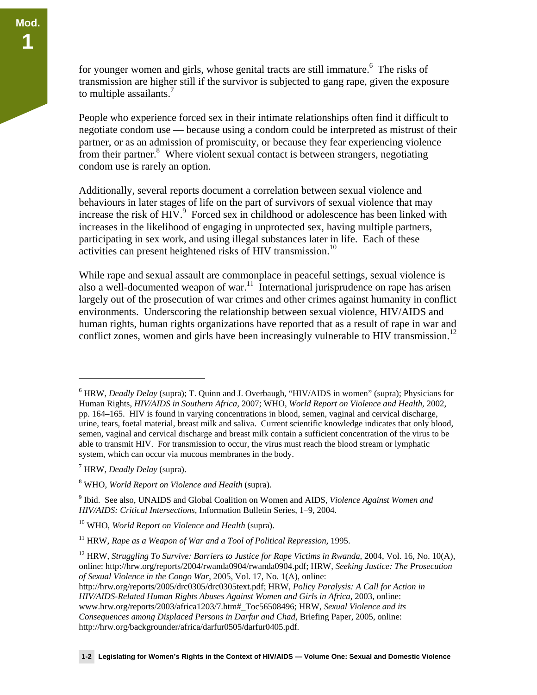for younger women and girls, whose genital tracts are still immature.<sup>6</sup> The risks of transmission are higher still if the survivor is subjected to gang rape, given the exposure to multiple assailants. $<sup>7</sup>$ </sup>

People who experience forced sex in their intimate relationships often find it difficult to negotiate condom use — because using a condom could be interpreted as mistrust of their partner, or as an admission of promiscuity, or because they fear experiencing violence from their partner.<sup>8</sup> Where violent sexual contact is between strangers, negotiating condom use is rarely an option.

Additionally, several reports document a correlation between sexual violence and behaviours in later stages of life on the part of survivors of sexual violence that may increase the risk of HIV. $\degree$  Forced sex in childhood or adolescence has been linked with increases in the likelihood of engaging in unprotected sex, having multiple partners, participating in sex work, and using illegal substances later in life. Each of these activities can present heightened risks of HIV transmission.<sup>10</sup>

While rape and sexual assault are commonplace in peaceful settings, sexual violence is also a well-documented weapon of war.<sup>11</sup> International jurisprudence on rape has arisen largely out of the prosecution of war crimes and other crimes against humanity in conflict environments. Underscoring the relationship between sexual violence, HIV/AIDS and human rights, human rights organizations have reported that as a result of rape in war and conflict zones, women and girls have been increasingly vulnerable to HIV transmission.<sup>12</sup>

-

<sup>6</sup> HRW, *Deadly Delay* (supra); T. Quinn and J. Overbaugh, "HIV/AIDS in women" (supra); Physicians for Human Rights, *HIV/AIDS in Southern Africa,* 2007; WHO, *World Report on Violence and Health,* 2002, pp. 164–165. HIV is found in varying concentrations in blood, semen, vaginal and cervical discharge, urine, tears, foetal material, breast milk and saliva. Current scientific knowledge indicates that only blood, semen, vaginal and cervical discharge and breast milk contain a sufficient concentration of the virus to be able to transmit HIV. For transmission to occur, the virus must reach the blood stream or lymphatic system, which can occur via mucous membranes in the body.

<sup>7</sup> HRW, *Deadly Delay* (supra).

<sup>8</sup> WHO, *World Report on Violence and Health* (supra).

<sup>9</sup> Ibid. See also, UNAIDS and Global Coalition on Women and AIDS, *Violence Against Women and HIV/AIDS: Critical Intersections,* Information Bulletin Series, 1–9, 2004.

<sup>10</sup> WHO, *World Report on Violence and Health* (supra).

<sup>11</sup> HRW, *Rape as a Weapon of War and a Tool of Political Repression,* 1995.

<sup>&</sup>lt;sup>12</sup> HRW, *Struggling To Survive: Barriers to Justice for Rape Victims in Rwanda*, 2004, Vol. 16, No. 10(A), online: http://hrw.org/reports/2004/rwanda0904/rwanda0904.pdf; HRW, *Seeking Justice: The Prosecution of Sexual Violence in the Congo War*, 2005, Vol. 17, No. 1(A), online: http://hrw.org/reports/2005/drc0305/drc0305text.pdf; HRW, *Policy Paralysis: A Call for Action in* 

*HIV/AIDS-Related Human Rights Abuses Against Women and Girls in Africa,* 2003, online: www.hrw.org/reports/2003/africa1203/7.htm#\_Toc56508496; HRW, *Sexual Violence and its Consequences among Displaced Persons in Darfur and Chad*, Briefing Paper, 2005, online: http://hrw.org/backgrounder/africa/darfur0505/darfur0405.pdf.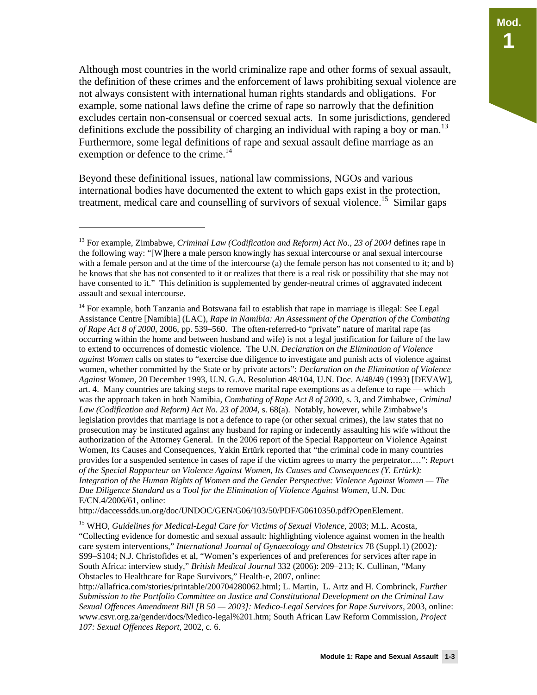Although most countries in the world criminalize rape and other forms of sexual assault, the definition of these crimes and the enforcement of laws prohibiting sexual violence are not always consistent with international human rights standards and obligations. For example, some national laws define the crime of rape so narrowly that the definition excludes certain non-consensual or coerced sexual acts. In some jurisdictions, gendered definitions exclude the possibility of charging an individual with raping a boy or man.<sup>13</sup> Furthermore, some legal definitions of rape and sexual assault define marriage as an exemption or defence to the crime.<sup>14</sup>

Beyond these definitional issues, national law commissions, NGOs and various international bodies have documented the extent to which gaps exist in the protection, treatment, medical care and counselling of survivors of sexual violence.<sup>15</sup> Similar gaps

 $\overline{a}$ 

http://daccessdds.un.org/doc/UNDOC/GEN/G06/103/50/PDF/G0610350.pdf?OpenElement.

15 WHO, *Guidelines for Medical-Legal Care for Victims of Sexual Violence*, 2003; M.L. Acosta, "Collecting evidence for domestic and sexual assault: highlighting violence against women in the health care system interventions," *International Journal of Gynaecology and Obstetrics* 78 (Suppl.1) (2002)*:*  S99–S104; N.J. Christofides et al, "Women's experiences of and preferences for services after rape in South Africa: interview study," *British Medical Journal* 332 (2006): 209–213; K. Cullinan, "Many Obstacles to Healthcare for Rape Survivors," Health-e, 2007, online:

http://allafrica.com/stories/printable/200704280062.html; L. Martin, L. Artz and H. Combrinck, *Further Submission to the Portfolio Committee on Justice and Constitutional Development on the Criminal Law Sexual Offences Amendment Bill [B 50 — 2003]: Medico-Legal Services for Rape Survivors,* 2003, online: www.csvr.org.za/gender/docs/Medico-legal%201.htm; South African Law Reform Commission, *Project 107: Sexual Offences Report*, 2002, c. 6.

<sup>13</sup> For example, Zimbabwe, *Criminal Law (Codification and Reform) Act No., 23 of 2004* defines rape in the following way: "[W]here a male person knowingly has sexual intercourse or anal sexual intercourse with a female person and at the time of the intercourse (a) the female person has not consented to it; and b) he knows that she has not consented to it or realizes that there is a real risk or possibility that she may not have consented to it." This definition is supplemented by gender-neutral crimes of aggravated indecent assault and sexual intercourse.

<sup>&</sup>lt;sup>14</sup> For example, both Tanzania and Botswana fail to establish that rape in marriage is illegal: See Legal Assistance Centre [Namibia] (LAC), *Rape in Namibia: An Assessment of the Operation of the Combating of Rape Act 8 of 2000,* 2006, pp. 539–560. The often-referred-to "private" nature of marital rape (as occurring within the home and between husband and wife) is not a legal justification for failure of the law to extend to occurrences of domestic violence. The U.N. *Declaration on the Elimination of Violence against Women* calls on states to "exercise due diligence to investigate and punish acts of violence against women, whether committed by the State or by private actors": *Declaration on the Elimination of Violence Against Women,* 20 December 1993, U.N. G.A. Resolution 48/104, U.N. Doc. A/48/49 (1993) [DEVAW], art. 4. Many countries are taking steps to remove marital rape exemptions as a defence to rape — which was the approach taken in both Namibia, *Combating of Rape Act 8 of 2000,* s. 3, and Zimbabwe, *Criminal Law (Codification and Reform) Act No. 23 of 2004*, s. 68(a). Notably, however, while Zimbabwe's legislation provides that marriage is not a defence to rape (or other sexual crimes), the law states that no prosecution may be instituted against any husband for raping or indecently assaulting his wife without the authorization of the Attorney General. In the 2006 report of the Special Rapporteur on Violence Against Women, Its Causes and Consequences, Yakin Ertürk reported that "the criminal code in many countries provides for a suspended sentence in cases of rape if the victim agrees to marry the perpetrator.…": *Report of the Special Rapporteur on Violence Against Women, Its Causes and Consequences (Y. Ertürk): Integration of the Human Rights of Women and the Gender Perspective: Violence Against Women — The Due Diligence Standard as a Tool for the Elimination of Violence Against Women*, U.N. Doc E/CN.4/2006/61, online: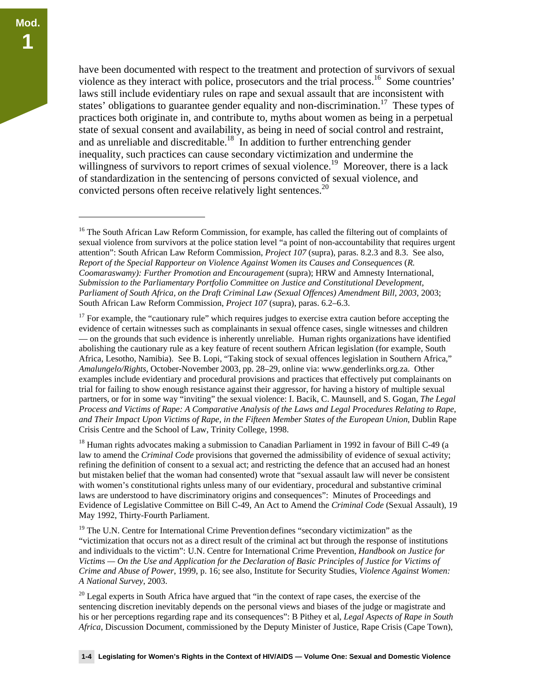$\overline{a}$ 

have been documented with respect to the treatment and protection of survivors of sexual violence as they interact with police, prosecutors and the trial process.<sup>16</sup> Some countries' laws still include evidentiary rules on rape and sexual assault that are inconsistent with states' obligations to guarantee gender equality and non-discrimination.<sup>17</sup> These types of practices both originate in, and contribute to, myths about women as being in a perpetual state of sexual consent and availability, as being in need of social control and restraint, and as unreliable and discreditable.<sup>18</sup> In addition to further entrenching gender inequality, such practices can cause secondary victimization and undermine the willingness of survivors to report crimes of sexual violence.<sup>19</sup> Moreover, there is a lack of standardization in the sentencing of persons convicted of sexual violence, and convicted persons often receive relatively light sentences.<sup>20</sup>

 $17$  For example, the "cautionary rule" which requires judges to exercise extra caution before accepting the evidence of certain witnesses such as complainants in sexual offence cases, single witnesses and children — on the grounds that such evidence is inherently unreliable. Human rights organizations have identified abolishing the cautionary rule as a key feature of recent southern African legislation (for example, South Africa, Lesotho, Namibia). See B. Lopi, "Taking stock of sexual offences legislation in Southern Africa," *Amalungelo/Rights,* October-November 2003, pp. 28–29, online via: www.genderlinks.org.za. Other examples include evidentiary and procedural provisions and practices that effectively put complainants on trial for failing to show enough resistance against their aggressor, for having a history of multiple sexual partners, or for in some way "inviting" the sexual violence: I. Bacik, C. Maunsell, and S. Gogan, *The Legal Process and Victims of Rape: A Comparative Analysis of the Laws and Legal Procedures Relating to Rape, and Their Impact Upon Victims of Rape, in the Fifteen Member States of the European Union*, Dublin Rape Crisis Centre and the School of Law, Trinity College, 1998.

<sup>18</sup> Human rights advocates making a submission to Canadian Parliament in 1992 in favour of Bill C-49 (a law to amend the *Criminal Code* provisions that governed the admissibility of evidence of sexual activity; refining the definition of consent to a sexual act; and restricting the defence that an accused had an honest but mistaken belief that the woman had consented) wrote that "sexual assault law will never be consistent with women's constitutional rights unless many of our evidentiary, procedural and substantive criminal laws are understood to have discriminatory origins and consequences": Minutes of Proceedings and Evidence of Legislative Committee on Bill C-49, An Act to Amend the *Criminal Code* (Sexual Assault), 19 May 1992, Thirty-Fourth Parliament.

 $19$  The U.N. Centre for International Crime Prevention defines "secondary victimization" as the "victimization that occurs not as a direct result of the criminal act but through the response of institutions and individuals to the victim": U.N. Centre for International Crime Prevention, *Handbook on Justice for Victims — On the Use and Application for the Declaration of Basic Principles of Justice for Victims of Crime and Abuse of Power*, 1999, p. 16; see also, Institute for Security Studies, *Violence Against Women: A National Survey*, 2003.

 $20$  Legal experts in South Africa have argued that "in the context of rape cases, the exercise of the sentencing discretion inevitably depends on the personal views and biases of the judge or magistrate and his or her perceptions regarding rape and its consequences": B Pithey et al, *Legal Aspects of Rape in South Africa*, Discussion Document, commissioned by the Deputy Minister of Justice, Rape Crisis (Cape Town),

<sup>&</sup>lt;sup>16</sup> The South African Law Reform Commission, for example, has called the filtering out of complaints of sexual violence from survivors at the police station level "a point of non-accountability that requires urgent attention": South African Law Reform Commission, *Project 107* (supra), paras. 8.2.3 and 8.3. See also, *Report of the Special Rapporteur on Violence Against Women its Causes and Consequences* (*R. Coomaraswamy): Further Promotion and Encouragement* (supra); HRW and Amnesty International, *Submission to the Parliamentary Portfolio Committee on Justice and Constitutional Development, Parliament of South Africa, on the Draft Criminal Law (Sexual Offences) Amendment Bill, 2003*, 2003; South African Law Reform Commission, *Project 107* (supra), paras. 6.2–6.3.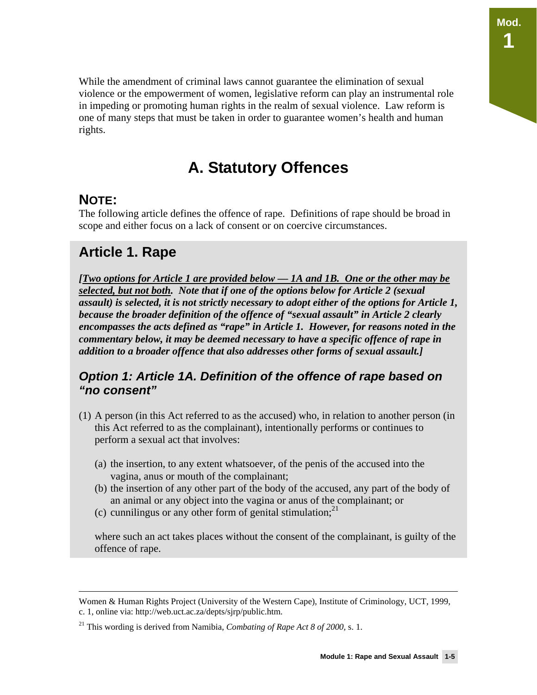While the amendment of criminal laws cannot guarantee the elimination of sexual violence or the empowerment of women, legislative reform can play an instrumental role in impeding or promoting human rights in the realm of sexual violence. Law reform is one of many steps that must be taken in order to guarantee women's health and human rights.

## **A. Statutory Offences**

## **NOTE:**

The following article defines the offence of rape. Definitions of rape should be broad in scope and either focus on a lack of consent or on coercive circumstances.

## **Article 1. Rape**

*[Two options for Article 1 are provided below — 1A and 1B. One or the other may be selected, but not both. Note that if one of the options below for Article 2 (sexual assault) is selected, it is not strictly necessary to adopt either of the options for Article 1, because the broader definition of the offence of "sexual assault" in Article 2 clearly encompasses the acts defined as "rape" in Article 1. However, for reasons noted in the commentary below, it may be deemed necessary to have a specific offence of rape in addition to a broader offence that also addresses other forms of sexual assault.]* 

### *Option 1: Article 1A. Definition of the offence of rape based on "no consent"*

- (1) A person (in this Act referred to as the accused) who, in relation to another person (in this Act referred to as the complainant), intentionally performs or continues to perform a sexual act that involves:
	- (a) the insertion, to any extent whatsoever, of the penis of the accused into the vagina, anus or mouth of the complainant;
	- (b) the insertion of any other part of the body of the accused, any part of the body of an animal or any object into the vagina or anus of the complainant; or
	- (c) cunnilingus or any other form of genital stimulation;  $2^{1}$

where such an act takes places without the consent of the complainant, is guilty of the offence of rape.

**Mod.** 

**1** 

Women & Human Rights Project (University of the Western Cape), Institute of Criminology, UCT, 1999, c. 1, online via: http://web.uct.ac.za/depts/sjrp/public.htm.

<sup>21</sup> This wording is derived from Namibia, *Combating of Rape Act 8 of 2000,* s. 1.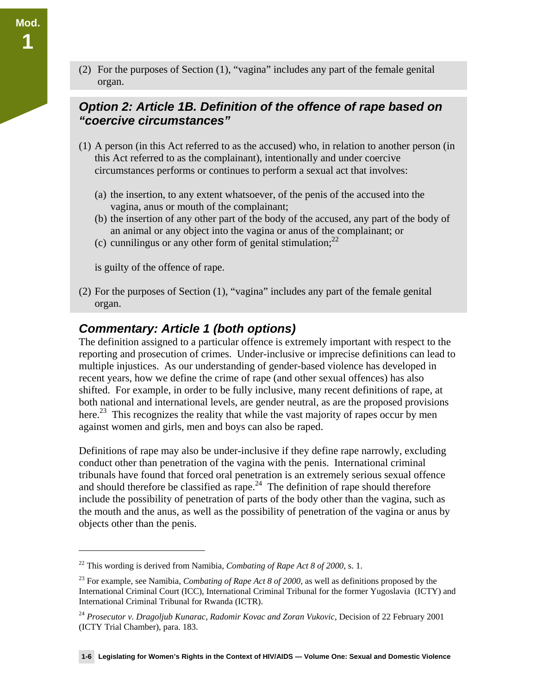(2) For the purposes of Section (1), "vagina" includes any part of the female genital organ.

### *Option 2: Article 1B. Definition of the offence of rape based on "coercive circumstances"*

- (1) A person (in this Act referred to as the accused) who, in relation to another person (in this Act referred to as the complainant), intentionally and under coercive circumstances performs or continues to perform a sexual act that involves:
	- (a) the insertion, to any extent whatsoever, of the penis of the accused into the vagina, anus or mouth of the complainant;
	- (b) the insertion of any other part of the body of the accused, any part of the body of an animal or any object into the vagina or anus of the complainant; or
	- (c) cunnilingus or any other form of genital stimulation;  $2^2$

is guilty of the offence of rape.

 $\overline{a}$ 

(2) For the purposes of Section (1), "vagina" includes any part of the female genital organ.

### *Commentary: Article 1 (both options)*

The definition assigned to a particular offence is extremely important with respect to the reporting and prosecution of crimes. Under-inclusive or imprecise definitions can lead to multiple injustices. As our understanding of gender-based violence has developed in recent years, how we define the crime of rape (and other sexual offences) has also shifted. For example, in order to be fully inclusive, many recent definitions of rape, at both national and international levels, are gender neutral, as are the proposed provisions here.<sup>23</sup> This recognizes the reality that while the vast majority of rapes occur by men against women and girls, men and boys can also be raped.

Definitions of rape may also be under-inclusive if they define rape narrowly, excluding conduct other than penetration of the vagina with the penis. International criminal tribunals have found that forced oral penetration is an extremely serious sexual offence and should therefore be classified as rape.<sup>24</sup> The definition of rape should therefore include the possibility of penetration of parts of the body other than the vagina, such as the mouth and the anus, as well as the possibility of penetration of the vagina or anus by objects other than the penis.

**Mod.** 

<sup>22</sup> This wording is derived from Namibia, *Combating of Rape Act 8 of 2000,* s. 1.

<sup>23</sup> For example, see Namibia, *Combating of Rape Act 8 of 2000,* as well as definitions proposed by the International Criminal Court (ICC), International Criminal Tribunal for the former Yugoslavia (ICTY) and International Criminal Tribunal for Rwanda (ICTR).

<sup>&</sup>lt;sup>24</sup> Prosecutor v. Dragoljub Kunarac, Radomir Kovac and Zoran Vukovic, Decision of 22 February 2001 (ICTY Trial Chamber), para. 183.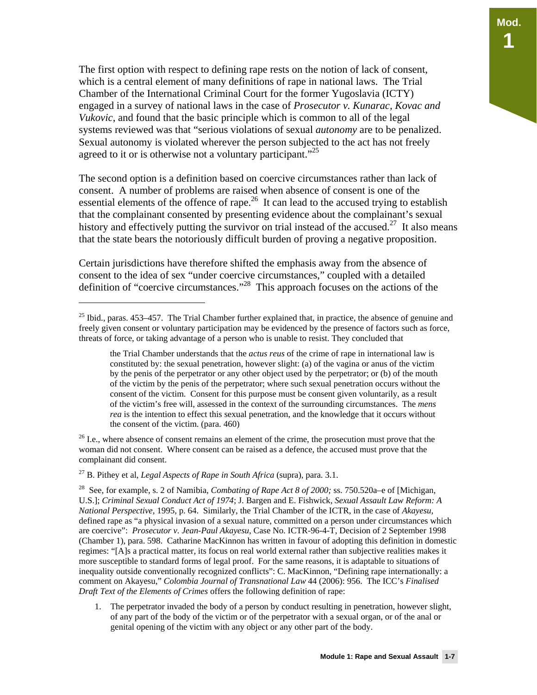The first option with respect to defining rape rests on the notion of lack of consent, which is a central element of many definitions of rape in national laws. The Trial Chamber of the International Criminal Court for the former Yugoslavia (ICTY) engaged in a survey of national laws in the case of *Prosecutor v. Kunarac, Kovac and Vukovic*, and found that the basic principle which is common to all of the legal systems reviewed was that "serious violations of sexual *autonomy* are to be penalized. Sexual autonomy is violated wherever the person subjected to the act has not freely agreed to it or is otherwise not a voluntary participant."<sup>25</sup>

The second option is a definition based on coercive circumstances rather than lack of consent. A number of problems are raised when absence of consent is one of the essential elements of the offence of rape. $^{26}$  It can lead to the accused trying to establish that the complainant consented by presenting evidence about the complainant's sexual history and effectively putting the survivor on trial instead of the accused.<sup>27</sup> It also means that the state bears the notoriously difficult burden of proving a negative proposition.

Certain jurisdictions have therefore shifted the emphasis away from the absence of consent to the idea of sex "under coercive circumstances," coupled with a detailed definition of "coercive circumstances."28 This approach focuses on the actions of the

<sup>26</sup> I.e., where absence of consent remains an element of the crime, the prosecution must prove that the woman did not consent. Where consent can be raised as a defence, the accused must prove that the complainant did consent.

27 B. Pithey et al, *Legal Aspects of Rape in South Africa* (supra), para. 3.1.

 $\overline{a}$ 

28 See, for example, s. 2 of Namibia, *Combating of Rape Act 8 of 2000;* ss. 750.520a–e of [Michigan, U.S.]; *Criminal Sexual Conduct Act of 1974*; J. Bargen and E. Fishwick, *Sexual Assault Law Reform: A National Perspective,* 1995, p. 64. Similarly, the Trial Chamber of the ICTR, in the case of *Akayesu,* defined rape as "a physical invasion of a sexual nature, committed on a person under circumstances which are coercive": *Prosecutor v. Jean-Paul Akayesu*, Case No. ICTR-96-4-T, Decision of 2 September 1998 (Chamber 1), para. 598. Catharine MacKinnon has written in favour of adopting this definition in domestic regimes: "[A]s a practical matter, its focus on real world external rather than subjective realities makes it more susceptible to standard forms of legal proof. For the same reasons, it is adaptable to situations of inequality outside conventionally recognized conflicts": C. MacKinnon, "Defining rape internationally: a comment on Akayesu," *Colombia Journal of Transnational Law* 44 (2006): 956. The ICC's *Finalised Draft Text of the Elements of Crimes* offers the following definition of rape:

1. The perpetrator invaded the body of a person by conduct resulting in penetration, however slight, of any part of the body of the victim or of the perpetrator with a sexual organ, or of the anal or genital opening of the victim with any object or any other part of the body.

<sup>&</sup>lt;sup>25</sup> Ibid., paras.  $453-457$ . The Trial Chamber further explained that, in practice, the absence of genuine and freely given consent or voluntary participation may be evidenced by the presence of factors such as force, threats of force, or taking advantage of a person who is unable to resist. They concluded that

the Trial Chamber understands that the *actus reus* of the crime of rape in international law is constituted by: the sexual penetration, however slight: (a) of the vagina or anus of the victim by the penis of the perpetrator or any other object used by the perpetrator; or (b) of the mouth of the victim by the penis of the perpetrator; where such sexual penetration occurs without the consent of the victim. Consent for this purpose must be consent given voluntarily, as a result of the victim's free will, assessed in the context of the surrounding circumstances. The *mens rea* is the intention to effect this sexual penetration, and the knowledge that it occurs without the consent of the victim. (para. 460)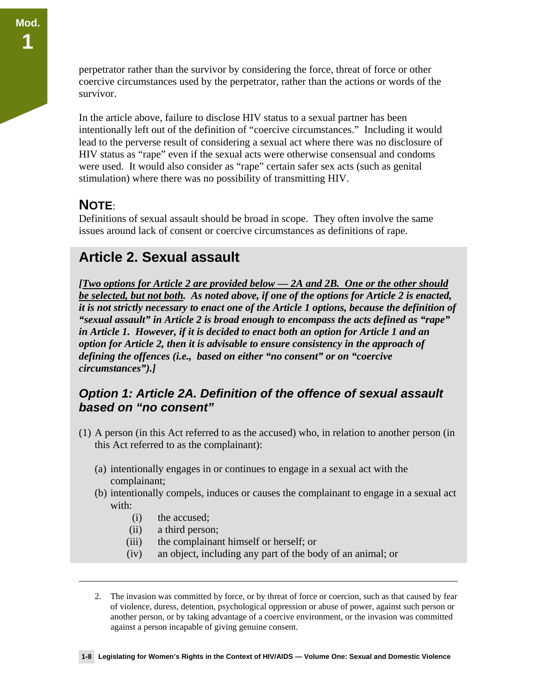perpetrator rather than the survivor by considering the force, threat of force or other coercive circumstances used by the perpetrator, rather than the actions or words of the survivor.

In the article above, failure to disclose HIV status to a sexual partner has been intentionally left out of the definition of "coercive circumstances." Including it would lead to the perverse result of considering a sexual act where there was no disclosure of HIV status as "rape" even if the sexual acts were otherwise consensual and condoms were used. It would also consider as "rape" certain safer sex acts (such as genital stimulation) where there was no possibility of transmitting HIV.

### **NOTE**:

 $\overline{a}$ 

Definitions of sexual assault should be broad in scope. They often involve the same issues around lack of consent or coercive circumstances as definitions of rape.

## **Article 2. Sexual assault**

*[Two options for Article 2 are provided below — 2A and 2B. One or the other should be selected, but not both. As noted above, if one of the options for Article 2 is enacted, it is not strictly necessary to enact one of the Article 1 options, because the definition of "sexual assault" in Article 2 is broad enough to encompass the acts defined as "rape" in Article 1. However, if it is decided to enact both an option for Article 1 and an option for Article 2, then it is advisable to ensure consistency in the approach of defining the offences (i.e., based on either "no consent" or on "coercive circumstances").]* 

### *Option 1: Article 2A. Definition of the offence of sexual assault based on "no consent"*

- (1) A person (in this Act referred to as the accused) who, in relation to another person (in this Act referred to as the complainant):
	- (a) intentionally engages in or continues to engage in a sexual act with the complainant;
	- (b) intentionally compels, induces or causes the complainant to engage in a sexual act with:
		- (i) the accused;
		- (ii) a third person;
		- (iii) the complainant himself or herself; or
		- (iv) an object, including any part of the body of an animal; or

2. The invasion was committed by force, or by threat of force or coercion, such as that caused by fear of violence, duress, detention, psychological oppression or abuse of power, against such person or another person, or by taking advantage of a coercive environment, or the invasion was committed against a person incapable of giving genuine consent.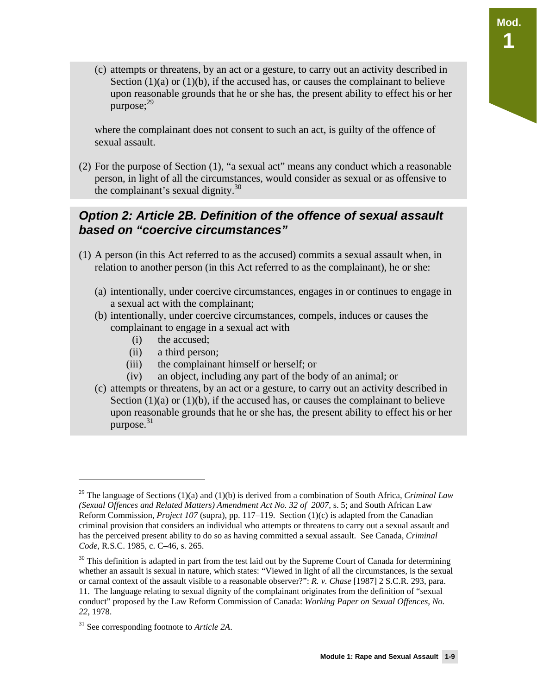(c) attempts or threatens, by an act or a gesture, to carry out an activity described in Section  $(1)(a)$  or  $(1)(b)$ , if the accused has, or causes the complainant to believe upon reasonable grounds that he or she has, the present ability to effect his or her purpose; $^{29}$ 

where the complainant does not consent to such an act, is guilty of the offence of sexual assault.

(2) For the purpose of Section (1), "a sexual act" means any conduct which a reasonable person, in light of all the circumstances, would consider as sexual or as offensive to the complainant's sexual dignity. $30$ 

### *Option 2: Article 2B. Definition of the offence of sexual assault based on "coercive circumstances"*

- (1) A person (in this Act referred to as the accused) commits a sexual assault when, in relation to another person (in this Act referred to as the complainant), he or she:
	- (a) intentionally, under coercive circumstances, engages in or continues to engage in a sexual act with the complainant;
	- (b) intentionally, under coercive circumstances, compels, induces or causes the complainant to engage in a sexual act with
		- (i) the accused;
		- (ii) a third person;
		- (iii) the complainant himself or herself; or
		- (iv) an object, including any part of the body of an animal; or
	- (c) attempts or threatens, by an act or a gesture, to carry out an activity described in Section  $(1)(a)$  or  $(1)(b)$ , if the accused has, or causes the complainant to believe upon reasonable grounds that he or she has, the present ability to effect his or her purpose. $31$

<sup>29</sup> The language of Sections (1)(a) and (1)(b) is derived from a combination of South Africa, *Criminal Law*  (Sexual Offences and Related Matters) Amendment Act No. 32 of 2007, s. 5; and South African Law Reform Commission, *Project 107* (supra)*,* pp. 117–119. Section (1)(c) is adapted from the Canadian criminal provision that considers an individual who attempts or threatens to carry out a sexual assault and has the perceived present ability to do so as having committed a sexual assault. See Canada, *Criminal Code*, R.S.C. 1985, c. C–46, s. 265.

<sup>&</sup>lt;sup>30</sup> This definition is adapted in part from the test laid out by the Supreme Court of Canada for determining whether an assault is sexual in nature, which states: "Viewed in light of all the circumstances, is the sexual or carnal context of the assault visible to a reasonable observer?": *R. v. Chase* [1987] 2 S.C.R. 293, para. 11. The language relating to sexual dignity of the complainant originates from the definition of "sexual conduct" proposed by the Law Reform Commission of Canada: *Working Paper on Sexual Offences, No. 22*, 1978.

<sup>31</sup> See corresponding footnote to *Article 2A*.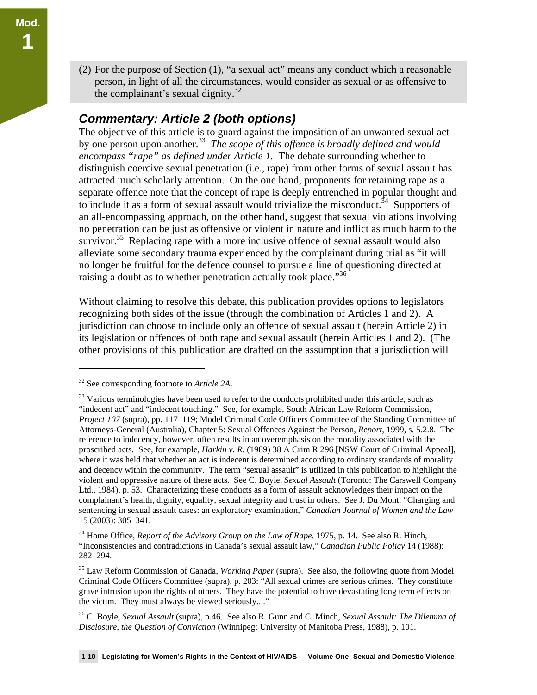(2) For the purpose of Section (1), "a sexual act" means any conduct which a reasonable person, in light of all the circumstances, would consider as sexual or as offensive to the complainant's sexual dignity.32

### *Commentary: Article 2 (both options)*

The objective of this article is to guard against the imposition of an unwanted sexual act by one person upon another.<sup>33</sup> *The scope of this offence is broadly defined and would encompass "rape" as defined under Article 1.* The debate surrounding whether to distinguish coercive sexual penetration (i.e., rape) from other forms of sexual assault has attracted much scholarly attention. On the one hand, proponents for retaining rape as a separate offence note that the concept of rape is deeply entrenched in popular thought and to include it as a form of sexual assault would trivialize the misconduct.<sup>34</sup> Supporters of an all-encompassing approach, on the other hand, suggest that sexual violations involving no penetration can be just as offensive or violent in nature and inflict as much harm to the survivor.<sup>35</sup> Replacing rape with a more inclusive offence of sexual assault would also alleviate some secondary trauma experienced by the complainant during trial as "it will no longer be fruitful for the defence counsel to pursue a line of questioning directed at raising a doubt as to whether penetration actually took place."<sup>36</sup>

Without claiming to resolve this debate, this publication provides options to legislators recognizing both sides of the issue (through the combination of Articles 1 and 2). A jurisdiction can choose to include only an offence of sexual assault (herein Article 2) in its legislation or offences of both rape and sexual assault (herein Articles 1 and 2). (The other provisions of this publication are drafted on the assumption that a jurisdiction will

<sup>32</sup> See corresponding footnote to *Article 2A*.

<sup>&</sup>lt;sup>33</sup> Various terminologies have been used to refer to the conducts prohibited under this article, such as "indecent act" and "indecent touching." See, for example, South African Law Reform Commission, *Project 107* (supra)*,* pp. 117–119; Model Criminal Code Officers Committee of the Standing Committee of Attorneys-General (Australia), Chapter 5: Sexual Offences Against the Person, *Report*, 1999, s. 5.2.8. The reference to indecency, however, often results in an overemphasis on the morality associated with the proscribed acts. See, for example, *Harkin v. R.* (1989) 38 A Crim R 296 [NSW Court of Criminal Appeal], where it was held that whether an act is indecent is determined according to ordinary standards of morality and decency within the community. The term "sexual assault" is utilized in this publication to highlight the violent and oppressive nature of these acts. See C. Boyle, *Sexual Assault* (Toronto: The Carswell Company Ltd., 1984), p. 53. Characterizing these conducts as a form of assault acknowledges their impact on the complainant's health, dignity, equality, sexual integrity and trust in others. See J. Du Mont, "Charging and sentencing in sexual assault cases: an exploratory examination," *Canadian Journal of Women and the Law* 15 (2003): 305–341.

<sup>&</sup>lt;sup>34</sup> Home Office, *Report of the Advisory Group on the Law of Rape*. 1975, p. 14. See also R. Hinch, "Inconsistencies and contradictions in Canada's sexual assault law," *Canadian Public Policy* 14 (1988): 282–294.

<sup>35</sup> Law Reform Commission of Canada, *Working Paper* (supra). See also, the following quote from Model Criminal Code Officers Committee (supra), p. 203: "All sexual crimes are serious crimes. They constitute grave intrusion upon the rights of others. They have the potential to have devastating long term effects on the victim. They must always be viewed seriously...."

<sup>36</sup> C. Boyle, *Sexual Assault* (supra), p.46. See also R. Gunn and C. Minch, *Sexual Assault: The Dilemma of Disclosure, the Question of Conviction* (Winnipeg: University of Manitoba Press, 1988), p. 101.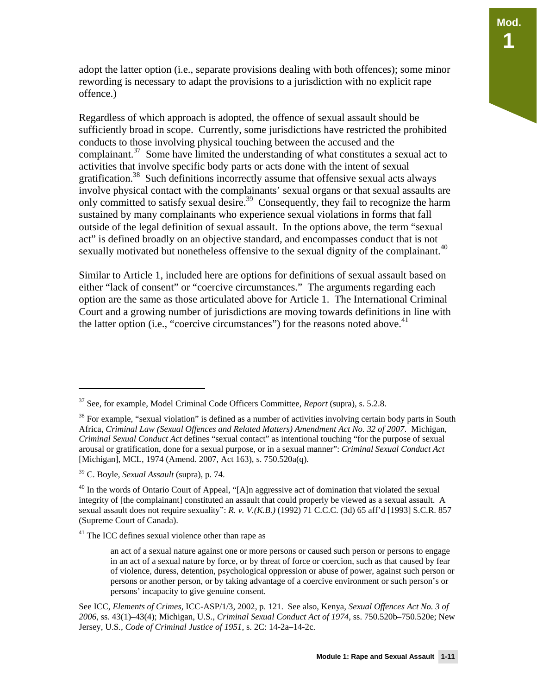adopt the latter option (i.e., separate provisions dealing with both offences); some minor rewording is necessary to adapt the provisions to a jurisdiction with no explicit rape offence.)

Regardless of which approach is adopted, the offence of sexual assault should be sufficiently broad in scope. Currently, some jurisdictions have restricted the prohibited conducts to those involving physical touching between the accused and the complainant.<sup>37</sup> Some have limited the understanding of what constitutes a sexual act to activities that involve specific body parts or acts done with the intent of sexual gratification.<sup>38</sup> Such definitions incorrectly assume that offensive sexual acts always involve physical contact with the complainants' sexual organs or that sexual assaults are only committed to satisfy sexual desire.<sup>39</sup> Consequently, they fail to recognize the harm sustained by many complainants who experience sexual violations in forms that fall outside of the legal definition of sexual assault. In the options above, the term "sexual act" is defined broadly on an objective standard, and encompasses conduct that is not sexually motivated but nonetheless offensive to the sexual dignity of the complainant.<sup>40</sup>

Similar to Article 1, included here are options for definitions of sexual assault based on either "lack of consent" or "coercive circumstances." The arguments regarding each option are the same as those articulated above for Article 1. The International Criminal Court and a growing number of jurisdictions are moving towards definitions in line with the latter option (i.e., "coercive circumstances") for the reasons noted above.<sup>41</sup>

<sup>37</sup> See, for example, Model Criminal Code Officers Committee, *Report* (supra), s. 5.2.8.

 $38$  For example, "sexual violation" is defined as a number of activities involving certain body parts in South Africa, *Criminal Law (Sexual Offences and Related Matters) Amendment Act No. 32 of 2007*. Michigan, *Criminal Sexual Conduct Act* defines "sexual contact" as intentional touching "for the purpose of sexual arousal or gratification, done for a sexual purpose, or in a sexual manner": *Criminal Sexual Conduct Act*  [Michigan], MCL, 1974 (Amend. 2007, Act 163), s. 750.520a(q).

<sup>39</sup> C. Boyle, *Sexual Assault* (supra), p. 74.

 $40$  In the words of Ontario Court of Appeal, "[A]n aggressive act of domination that violated the sexual integrity of [the complainant] constituted an assault that could properly be viewed as a sexual assault. A sexual assault does not require sexuality": *R. v. V.(K.B.)* (1992) 71 C.C.C. (3d) 65 aff'd [1993] S.C.R. 857 (Supreme Court of Canada).

<sup>&</sup>lt;sup>41</sup> The ICC defines sexual violence other than rape as

an act of a sexual nature against one or more persons or caused such person or persons to engage in an act of a sexual nature by force, or by threat of force or coercion, such as that caused by fear of violence, duress, detention, psychological oppression or abuse of power, against such person or persons or another person, or by taking advantage of a coercive environment or such person's or persons' incapacity to give genuine consent.

See ICC, *Elements of Crimes,* ICC-ASP/1/3, 2002, p. 121. See also, Kenya, *Sexual Offences Act No. 3 of 2006*, ss. 43(1)–43(4); Michigan, U.S., *Criminal Sexual Conduct Act of 1974*, ss. 750.520b–750.520e; New Jersey, U.S*.*, *Code of Criminal Justice of 1951*, s. 2C: 14-2a–14-2c.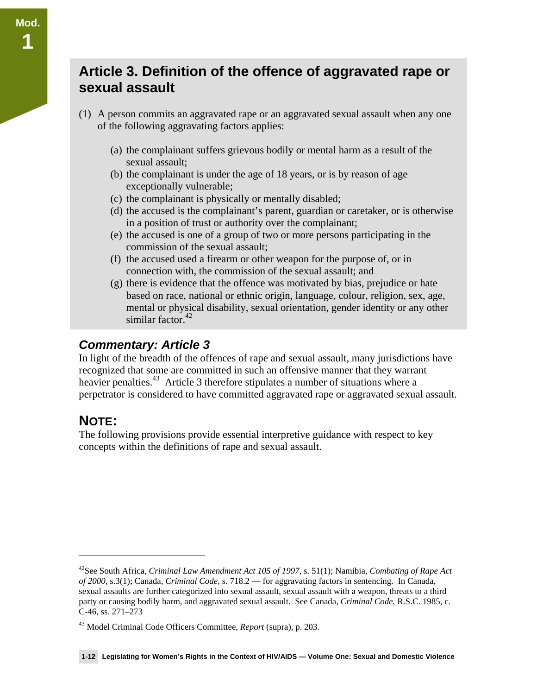## **Article 3. Definition of the offence of aggravated rape or sexual assault**

- (1) A person commits an aggravated rape or an aggravated sexual assault when any one of the following aggravating factors applies:
	- (a) the complainant suffers grievous bodily or mental harm as a result of the sexual assault;
	- (b) the complainant is under the age of 18 years, or is by reason of age exceptionally vulnerable;
	- (c) the complainant is physically or mentally disabled;
	- (d) the accused is the complainant's parent, guardian or caretaker, or is otherwise in a position of trust or authority over the complainant;
	- (e) the accused is one of a group of two or more persons participating in the commission of the sexual assault;
	- (f) the accused used a firearm or other weapon for the purpose of, or in connection with, the commission of the sexual assault; and
	- (g) there is evidence that the offence was motivated by bias, prejudice or hate based on race, national or ethnic origin, language, colour, religion, sex, age, mental or physical disability, sexual orientation, gender identity or any other similar factor. $42$

### *Commentary: Article 3*

In light of the breadth of the offences of rape and sexual assault, many jurisdictions have recognized that some are committed in such an offensive manner that they warrant heavier penalties.<sup>43</sup> Article 3 therefore stipulates a number of situations where a perpetrator is considered to have committed aggravated rape or aggravated sexual assault.

## **NOTE:**

 $\overline{a}$ 

**Mod.** 

**1** 

The following provisions provide essential interpretive guidance with respect to key concepts within the definitions of rape and sexual assault.

<sup>42</sup>See South Africa, *Criminal Law Amendment Act 105 of 1997*, s. 51(1); Namibia, *Combating of Rape Act of 2000*, s.3(1); Canada, *Criminal Code,* s. 718.2 — for aggravating factors in sentencing. In Canada, sexual assaults are further categorized into sexual assault, sexual assault with a weapon, threats to a third party or causing bodily harm, and aggravated sexual assault. See Canada, *Criminal Code*, R.S.C. 1985, c. C-46, ss. 271–273

<sup>43</sup> Model Criminal Code Officers Committee, *Report* (supra), p. 203.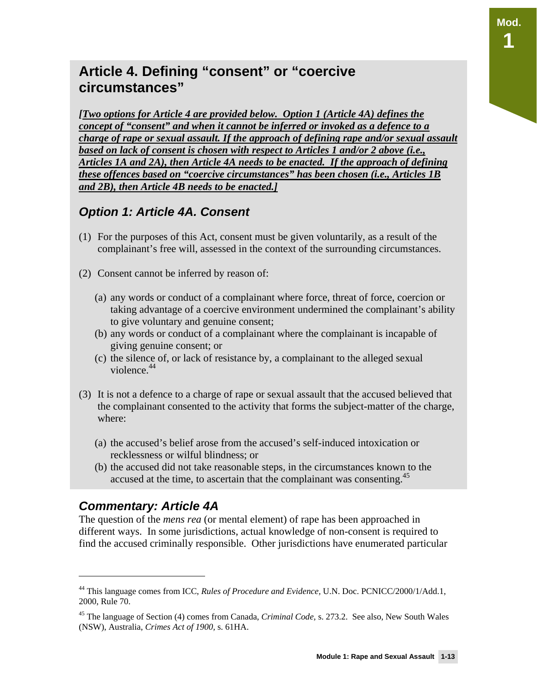**Mod.** 

**1** 

## **Article 4. Defining "consent" or "coercive circumstances"**

*[Two options for Article 4 are provided below. Option 1 (Article 4A) defines the concept of "consent" and when it cannot be inferred or invoked as a defence to a charge of rape or sexual assault. If the approach of defining rape and/or sexual assault based on lack of consent is chosen with respect to Articles 1 and/or 2 above (i.e., Articles 1A and 2A), then Article 4A needs to be enacted. If the approach of defining these offences based on "coercive circumstances" has been chosen (i.e., Articles 1B and 2B), then Article 4B needs to be enacted.]*

## *Option 1: Article 4A. Consent*

- (1) For the purposes of this Act, consent must be given voluntarily, as a result of the complainant's free will, assessed in the context of the surrounding circumstances.
- (2) Consent cannot be inferred by reason of:
	- (a) any words or conduct of a complainant where force, threat of force, coercion or taking advantage of a coercive environment undermined the complainant's ability to give voluntary and genuine consent;
	- (b) any words or conduct of a complainant where the complainant is incapable of giving genuine consent; or
	- (c) the silence of, or lack of resistance by, a complainant to the alleged sexual violence.<sup>44</sup>
- (3) It is not a defence to a charge of rape or sexual assault that the accused believed that the complainant consented to the activity that forms the subject-matter of the charge, where:
	- (a) the accused's belief arose from the accused's self-induced intoxication or recklessness or wilful blindness; or
	- (b) the accused did not take reasonable steps, in the circumstances known to the accused at the time, to ascertain that the complainant was consenting.<sup>45</sup>

### *Commentary: Article 4A*

-

The question of the *mens rea* (or mental element) of rape has been approached in different ways. In some jurisdictions, actual knowledge of non-consent is required to find the accused criminally responsible. Other jurisdictions have enumerated particular

<sup>44</sup> This language comes from ICC, *Rules of Procedure and Evidence,* U.N. Doc. PCNICC/2000/1/Add.1, 2000, Rule 70.

<sup>45</sup> The language of Section (4) comes from Canada, *Criminal Code,* s. 273.2. See also, New South Wales (NSW), Australia, *Crimes Act of 1900,* s. 61HA.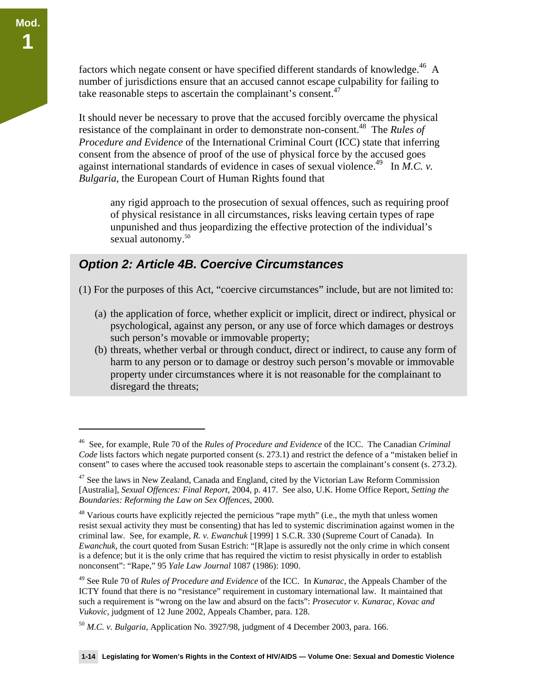$\overline{a}$ 

factors which negate consent or have specified different standards of knowledge.<sup>46</sup> A number of jurisdictions ensure that an accused cannot escape culpability for failing to take reasonable steps to ascertain the complainant's consent. $47$ 

It should never be necessary to prove that the accused forcibly overcame the physical resistance of the complainant in order to demonstrate non-consent.48 The *Rules of Procedure and Evidence* of the International Criminal Court (ICC) state that inferring consent from the absence of proof of the use of physical force by the accused goes against international standards of evidence in cases of sexual violence.<sup>49</sup> In *M.C. v. Bulgaria,* the European Court of Human Rights found that

any rigid approach to the prosecution of sexual offences, such as requiring proof of physical resistance in all circumstances, risks leaving certain types of rape unpunished and thus jeopardizing the effective protection of the individual's sexual autonomy.<sup>50</sup>

### *Option 2: Article 4B. Coercive Circumstances*

(1) For the purposes of this Act, "coercive circumstances" include, but are not limited to:

- (a) the application of force, whether explicit or implicit, direct or indirect, physical or psychological, against any person, or any use of force which damages or destroys such person's movable or immovable property;
- (b) threats, whether verbal or through conduct, direct or indirect, to cause any form of harm to any person or to damage or destroy such person's movable or immovable property under circumstances where it is not reasonable for the complainant to disregard the threats;

<sup>46</sup> See, for example, Rule 70 of the *Rules of Procedure and Evidence* of the ICC. The Canadian *Criminal Code* lists factors which negate purported consent (s. 273.1) and restrict the defence of a "mistaken belief in consent" to cases where the accused took reasonable steps to ascertain the complainant's consent (s. 273.2).

 $47$  See the laws in New Zealand, Canada and England, cited by the Victorian Law Reform Commission [Australia], *Sexual Offences: Final Report*, 2004, p. 417. See also, U.K. Home Office Report, *Setting the Boundaries: Reforming the Law on Sex Offences*, 2000.

<sup>&</sup>lt;sup>48</sup> Various courts have explicitly rejected the pernicious "rape myth" (i.e., the myth that unless women resist sexual activity they must be consenting) that has led to systemic discrimination against women in the criminal law. See, for example, *R. v. Ewanchuk* [1999] 1 S.C.R. 330 (Supreme Court of Canada). In *Ewanchuk*, the court quoted from Susan Estrich: "[R]ape is assuredly not the only crime in which consent is a defence; but it is the only crime that has required the victim to resist physically in order to establish nonconsent": "Rape," 95 *Yale Law Journal* 1087 (1986): 1090.

<sup>49</sup> See Rule 70 of *Rules of Procedure and Evidence* of the ICC. In *Kunarac*, the Appeals Chamber of the ICTY found that there is no "resistance" requirement in customary international law. It maintained that such a requirement is "wrong on the law and absurd on the facts": *Prosecutor v. Kunarac, Kovac and Vukovic*, judgment of 12 June 2002, Appeals Chamber, para. 128.

<sup>50</sup> *M.C. v. Bulgaria*, Application No. 3927/98, judgment of 4 December 2003, para. 166.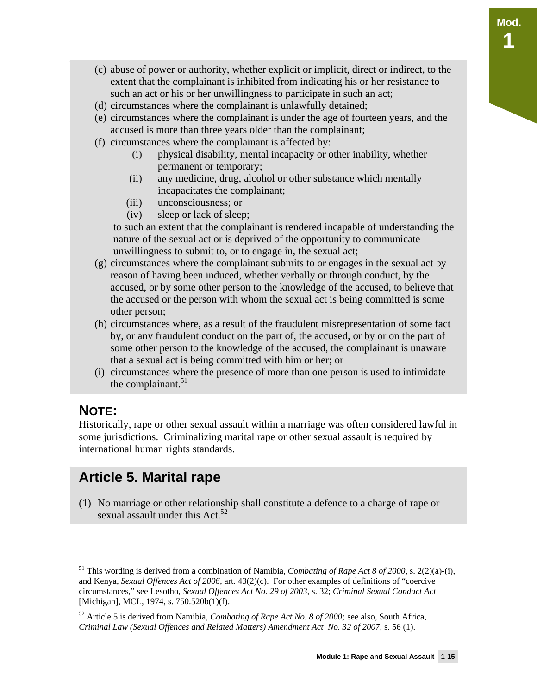- (c) abuse of power or authority, whether explicit or implicit, direct or indirect, to the extent that the complainant is inhibited from indicating his or her resistance to such an act or his or her unwillingness to participate in such an act;
- (d) circumstances where the complainant is unlawfully detained;
- (e) circumstances where the complainant is under the age of fourteen years, and the accused is more than three years older than the complainant;
- (f) circumstances where the complainant is affected by:
	- (i) physical disability, mental incapacity or other inability, whether permanent or temporary;
	- (ii) any medicine, drug, alcohol or other substance which mentally incapacitates the complainant;
	- (iii) unconsciousness; or
	- (iv) sleep or lack of sleep;

to such an extent that the complainant is rendered incapable of understanding the nature of the sexual act or is deprived of the opportunity to communicate unwillingness to submit to, or to engage in, the sexual act;

- (g) circumstances where the complainant submits to or engages in the sexual act by reason of having been induced, whether verbally or through conduct, by the accused, or by some other person to the knowledge of the accused, to believe that the accused or the person with whom the sexual act is being committed is some other person;
- (h) circumstances where, as a result of the fraudulent misrepresentation of some fact by, or any fraudulent conduct on the part of, the accused, or by or on the part of some other person to the knowledge of the accused, the complainant is unaware that a sexual act is being committed with him or her; or
- (i) circumstances where the presence of more than one person is used to intimidate the complainant. $51$

## **NOTE:**

 $\overline{a}$ 

Historically, rape or other sexual assault within a marriage was often considered lawful in some jurisdictions. Criminalizing marital rape or other sexual assault is required by international human rights standards.

## **Article 5. Marital rape**

(1) No marriage or other relationship shall constitute a defence to a charge of rape or sexual assault under this Act. $52$ 

<sup>&</sup>lt;sup>51</sup> This wording is derived from a combination of Namibia, *Combating of Rape Act 8 of 2000*, s. 2(2)(a)-(i), and Kenya, *Sexual Offences Act of 2006,* art. 43(2)(c). For other examples of definitions of "coercive circumstances," see Lesotho, *Sexual Offences Act No. 29 of 2003*, s. 32; *Criminal Sexual Conduct Act*  [Michigan], MCL, 1974, s. 750.520b(1)(f).

<sup>52</sup> Article 5 is derived from Namibia, *Combating of Rape Act No. 8 of 2000;* see also, South Africa, *Criminal Law (Sexual Offences and Related Matters) Amendment Act No. 32 of 2007*, s. 56 (1).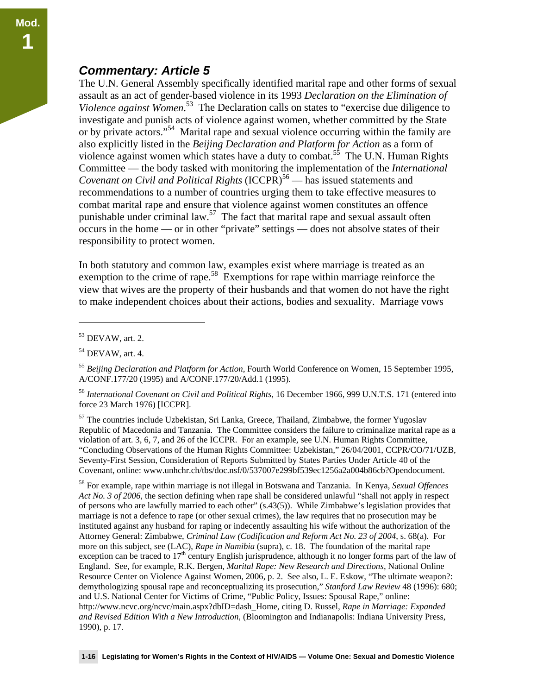### *Commentary: Article 5*

The U.N. General Assembly specifically identified marital rape and other forms of sexual assault as an act of gender-based violence in its 1993 *Declaration on the Elimination of Violence against Women*. 53 The Declaration calls on states to "exercise due diligence to investigate and punish acts of violence against women, whether committed by the State or by private actors."54 Marital rape and sexual violence occurring within the family are also explicitly listed in the *Beijing Declaration and Platform for Action* as a form of violence against women which states have a duty to combat.<sup>55</sup> The U.N. Human Rights Committee — the body tasked with monitoring the implementation of the *International Covenant on Civil and Political Rights* (ICCPR)<sup>56</sup> — has issued statements and recommendations to a number of countries urging them to take effective measures to combat marital rape and ensure that violence against women constitutes an offence punishable under criminal law.<sup>57</sup> The fact that marital rape and sexual assault often occurs in the home — or in other "private" settings — does not absolve states of their responsibility to protect women.

In both statutory and common law, examples exist where marriage is treated as an exemption to the crime of rape.<sup>58</sup> Exemptions for rape within marriage reinforce the view that wives are the property of their husbands and that women do not have the right to make independent choices about their actions, bodies and sexuality. Marriage vows

 $\overline{a}$ 

<sup>57</sup> The countries include Uzbekistan, Sri Lanka, Greece, Thailand, Zimbabwe, the former Yugoslav Republic of Macedonia and Tanzania. The Committee considers the failure to criminalize marital rape as a violation of art. 3, 6, 7, and 26 of the ICCPR. For an example, see U.N. Human Rights Committee, "Concluding Observations of the Human Rights Committee: Uzbekistan," 26/04/2001, CCPR/CO/71/UZB, Seventy-First Session, Consideration of Reports Submitted by States Parties Under Article 40 of the Covenant, online: www.unhchr.ch/tbs/doc.nsf/0/537007e299bf539ec1256a2a004b86cb?Opendocument.

58 For example, rape within marriage is not illegal in Botswana and Tanzania. In Kenya, *Sexual Offences Act No. 3 of 2006*, the section defining when rape shall be considered unlawful "shall not apply in respect of persons who are lawfully married to each other" (s.43(5)). While Zimbabwe's legislation provides that marriage is not a defence to rape (or other sexual crimes), the law requires that no prosecution may be instituted against any husband for raping or indecently assaulting his wife without the authorization of the Attorney General: Zimbabwe, *Criminal Law (Codification and Reform Act No. 23 of 2004*, s. 68(a). For more on this subject, see (LAC), *Rape in Namibia* (supra), c. 18. The foundation of the marital rape exception can be traced to  $17<sup>th</sup>$  century English jurisprudence, although it no longer forms part of the law of England. See, for example, R.K. Bergen, *Marital Rape: New Research and Directions*, National Online Resource Center on Violence Against Women, 2006, p. 2. See also, L. E. Eskow, "The ultimate weapon?: demythologizing spousal rape and reconceptualizing its prosecution," *Stanford Law Review* 48 (1996): 680; and U.S. National Center for Victims of Crime, "Public Policy, Issues: Spousal Rape," online: http://www.ncvc.org/ncvc/main.aspx?dbID=dash\_Home, citing D. Russel*, Rape in Marriage: Expanded and Revised Edition With a New Introduction*, (Bloomington and Indianapolis: Indiana University Press, 1990), p. 17.

<sup>53</sup> DEVAW, art. 2.

<sup>54</sup> DEVAW, art. 4.

<sup>55</sup> *Beijing Declaration and Platform for Action*, Fourth World Conference on Women, 15 September 1995, A/CONF.177/20 (1995) and A/CONF.177/20/Add.1 (1995).

<sup>56</sup> *International Covenant on Civil and Political Rights,* 16 December 1966, 999 U.N.T.S. 171 (entered into force 23 March 1976) [ICCPR].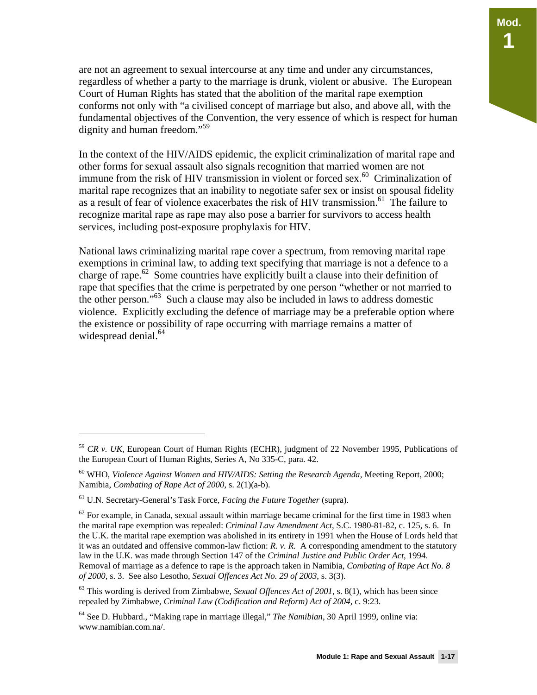are not an agreement to sexual intercourse at any time and under any circumstances, regardless of whether a party to the marriage is drunk, violent or abusive. The European Court of Human Rights has stated that the abolition of the marital rape exemption conforms not only with "a civilised concept of marriage but also, and above all, with the fundamental objectives of the Convention, the very essence of which is respect for human dignity and human freedom."<sup>59</sup>

In the context of the HIV/AIDS epidemic, the explicit criminalization of marital rape and other forms for sexual assault also signals recognition that married women are not immune from the risk of HIV transmission in violent or forced sex.<sup>60</sup> Criminalization of marital rape recognizes that an inability to negotiate safer sex or insist on spousal fidelity as a result of fear of violence exacerbates the risk of HIV transmission.<sup>61</sup> The failure to recognize marital rape as rape may also pose a barrier for survivors to access health services, including post-exposure prophylaxis for HIV.

National laws criminalizing marital rape cover a spectrum, from removing marital rape exemptions in criminal law, to adding text specifying that marriage is not a defence to a charge of rape.<sup>62</sup> Some countries have explicitly built a clause into their definition of rape that specifies that the crime is perpetrated by one person "whether or not married to the other person."<sup>63</sup> Such a clause may also be included in laws to address domestic violence. Explicitly excluding the defence of marriage may be a preferable option where the existence or possibility of rape occurring with marriage remains a matter of widespread denial. $64$ 

<sup>59</sup> *CR v. UK,* European Court of Human Rights (ECHR), judgment of 22 November 1995, Publications of the European Court of Human Rights, Series A, No 335-C, para. 42.

<sup>&</sup>lt;sup>60</sup> WHO, *Violence Against Women and HIV/AIDS: Setting the Research Agenda, Meeting Report, 2000;* Namibia, *Combating of Rape Act of 2000,* s. 2(1)(a-b).

<sup>61</sup> U.N. Secretary-General's Task Force, *Facing the Future Together* (supra).

 $62$  For example, in Canada, sexual assault within marriage became criminal for the first time in 1983 when the marital rape exemption was repealed: *Criminal Law Amendment Act*, S.C. 1980-81-82, c. 125, s. 6. In the U.K. the marital rape exemption was abolished in its entirety in 1991 when the House of Lords held that it was an outdated and offensive common-law fiction:  $R$ ,  $v$ ,  $R$ . A corresponding amendment to the statutory law in the U.K. was made through Section 147 of the *Criminal Justice and Public Order Act*, 1994. Removal of marriage as a defence to rape is the approach taken in Namibia, *Combating of Rape Act No. 8 of 2000*, s. 3. See also Lesotho, *Sexual Offences Act No. 29 of 2003*, s. 3(3).

<sup>63</sup> This wording is derived from Zimbabwe, *Sexual Offences Act of 2001*, s. 8(1), which has been since repealed by Zimbabwe, *Criminal Law (Codification and Reform) Act of 2004,* c. 9:23.

<sup>64</sup> See D. Hubbard., "Making rape in marriage illegal," *The Namibian*, 30 April 1999, online via: www.namibian.com.na/.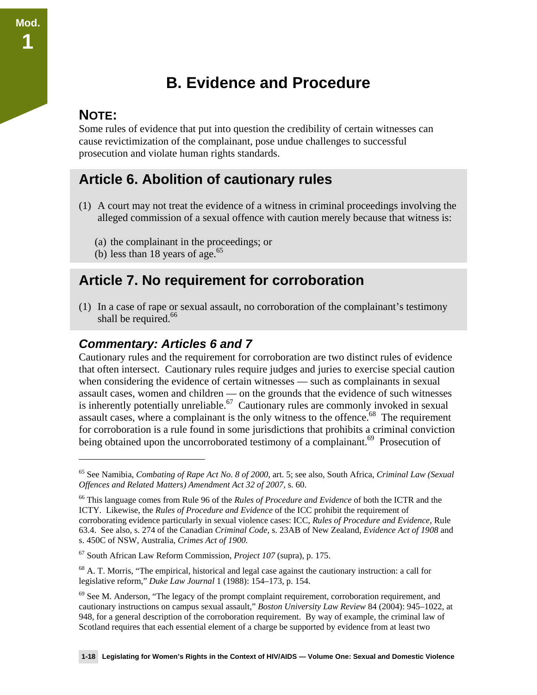# **B. Evidence and Procedure**

#### **NOTE:**

 $\overline{a}$ 

**Mod.** 

**1** 

Some rules of evidence that put into question the credibility of certain witnesses can cause revictimization of the complainant, pose undue challenges to successful prosecution and violate human rights standards.

### **Article 6. Abolition of cautionary rules**

- (1) A court may not treat the evidence of a witness in criminal proceedings involving the alleged commission of a sexual offence with caution merely because that witness is:
	- (a) the complainant in the proceedings; or
	- (b) less than 18 years of age. $65$

### **Article 7. No requirement for corroboration**

(1) In a case of rape or sexual assault, no corroboration of the complainant's testimony shall be required.<sup>66</sup>

#### *Commentary: Articles 6 and 7*

Cautionary rules and the requirement for corroboration are two distinct rules of evidence that often intersect. Cautionary rules require judges and juries to exercise special caution when considering the evidence of certain witnesses — such as complainants in sexual assault cases, women and children — on the grounds that the evidence of such witnesses is inherently potentially unreliable.<sup>67</sup> Cautionary rules are commonly invoked in sexual assault cases, where a complainant is the only witness to the offence.<sup>68</sup> The requirement for corroboration is a rule found in some jurisdictions that prohibits a criminal conviction being obtained upon the uncorroborated testimony of a complainant.<sup>69</sup> Prosecution of

<sup>65</sup> See Namibia, *Combating of Rape Act No. 8 of 2000*, art. 5; see also, South Africa, *Criminal Law (Sexual Offences and Related Matters) Amendment Act 32 of 2007,* s. 60.

<sup>66</sup> This language comes from Rule 96 of the *Rules of Procedure and Evidence* of both the ICTR and the ICTY. Likewise, the *Rules of Procedure and Evidence* of the ICC prohibit the requirement of corroborating evidence particularly in sexual violence cases: ICC, *Rules of Procedure and Evidence,* Rule 63.4. See also, s. 274 of the Canadian *Criminal Code,* s. 23AB of New Zealand, *Evidence Act of 1908* and s. 450C of NSW, Australia, *Crimes Act of 1900.*

<sup>67</sup> South African Law Reform Commission, *Project 107* (supra)*,* p. 175.

 $^{68}$  A. T. Morris, "The empirical, historical and legal case against the cautionary instruction: a call for legislative reform," *Duke Law Journal* 1 (1988): 154–173, p. 154.

 $69$  See M. Anderson, "The legacy of the prompt complaint requirement, corroboration requirement, and cautionary instructions on campus sexual assault," *Boston University Law Review* 84 (2004): 945–1022, at 948, for a general description of the corroboration requirement. By way of example, the criminal law of Scotland requires that each essential element of a charge be supported by evidence from at least two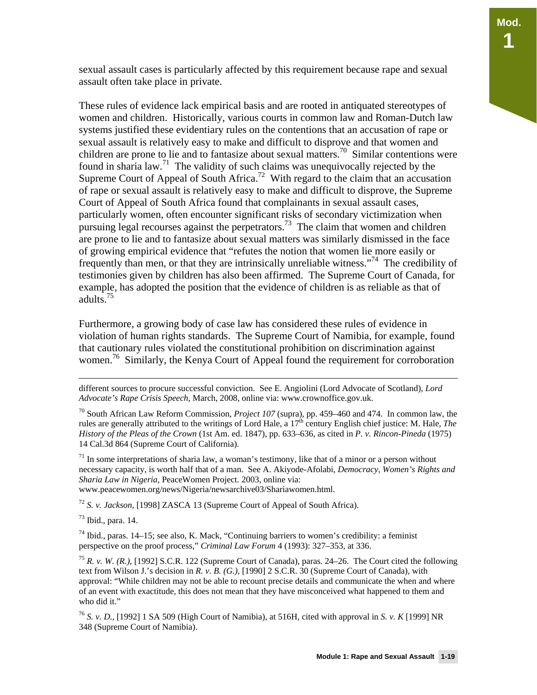sexual assault cases is particularly affected by this requirement because rape and sexual assault often take place in private.

These rules of evidence lack empirical basis and are rooted in antiquated stereotypes of women and children. Historically, various courts in common law and Roman-Dutch law systems justified these evidentiary rules on the contentions that an accusation of rape or sexual assault is relatively easy to make and difficult to disprove and that women and children are prone to lie and to fantasize about sexual matters.<sup>70</sup> Similar contentions were found in sharia law.<sup>71</sup> The validity of such claims was unequivocally rejected by the Supreme Court of Appeal of South Africa.<sup>72</sup> With regard to the claim that an accusation of rape or sexual assault is relatively easy to make and difficult to disprove, the Supreme Court of Appeal of South Africa found that complainants in sexual assault cases, particularly women, often encounter significant risks of secondary victimization when pursuing legal recourses against the perpetrators.<sup>73</sup> The claim that women and children are prone to lie and to fantasize about sexual matters was similarly dismissed in the face of growing empirical evidence that "refutes the notion that women lie more easily or frequently than men, or that they are intrinsically unreliable witness."<sup>74</sup> The credibility of testimonies given by children has also been affirmed. The Supreme Court of Canada, for example, has adopted the position that the evidence of children is as reliable as that of adults.<sup>75</sup>

Furthermore, a growing body of case law has considered these rules of evidence in violation of human rights standards. The Supreme Court of Namibia, for example, found that cautionary rules violated the constitutional prohibition on discrimination against women.<sup>76</sup> Similarly, the Kenya Court of Appeal found the requirement for corroboration

70 South African Law Reform Commission, *Project 107* (supra), pp. 459–460 and 474. In common law, the rules are generally attributed to the writings of Lord Hale, a  $17<sup>th</sup>$  century English chief justice: M. Hale, *The History of the Pleas of the Crown* (1st Am. ed. 1847), pp. 633–636, as cited in *P. v. Rincon-Pineda* (1975) 14 Cal.3d 864 (Supreme Court of California).

 $71$  In some interpretations of sharia law, a woman's testimony, like that of a minor or a person without necessary capacity, is worth half that of a man. See A. Akiyode-Afolabi, *Democracy, Women's Rights and Sharia Law in Nigeria,* PeaceWomen Project. 2003, online via: www.peacewomen.org/news/Nigeria/newsarchive03/Shariawomen.html.

<sup>72</sup> *S. v. Jackson,* [1998] ZASCA 13 (Supreme Court of Appeal of South Africa).

 $73$  Ibid., para. 14.

 $74$  Ibid., paras. 14–15; see also, K. Mack, "Continuing barriers to women's credibility: a feminist perspective on the proof process," *Criminal Law Forum* 4 (1993): 327–353, at 336.

<sup>75</sup> *R. v. W. (R.)*, [1992] S.C.R. 122 (Supreme Court of Canada), paras. 24–26. The Court cited the following text from Wilson J.'s decision in *R. v. B. (G.),* [1990] 2 S.C.R. 30 (Supreme Court of Canada), with approval: "While children may not be able to recount precise details and communicate the when and where of an event with exactitude, this does not mean that they have misconceived what happened to them and who did it."

<sup>76</sup> *S. v. D.*, [1992] 1 SA 509 (High Court of Namibia), at 516H, cited with approval in *S. v. K* [1999] NR 348 (Supreme Court of Namibia).

different sources to procure successful conviction. See E. Angiolini (Lord Advocate of Scotland), *Lord Advocate's Rape Crisis Speech*, March, 2008, online via: www.crownoffice.gov.uk.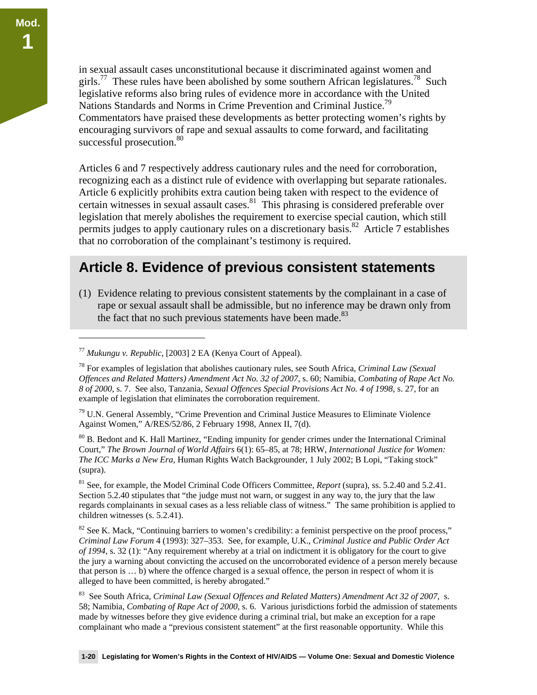in sexual assault cases unconstitutional because it discriminated against women and girls.<sup>77</sup> These rules have been abolished by some southern African legislatures.<sup>78</sup> Such legislative reforms also bring rules of evidence more in accordance with the United Nations Standards and Norms in Crime Prevention and Criminal Justice.<sup>79</sup> Commentators have praised these developments as better protecting women's rights by encouraging survivors of rape and sexual assaults to come forward, and facilitating successful prosecution.<sup>80</sup>

Articles 6 and 7 respectively address cautionary rules and the need for corroboration, recognizing each as a distinct rule of evidence with overlapping but separate rationales. Article 6 explicitly prohibits extra caution being taken with respect to the evidence of certain witnesses in sexual assault cases. $81$  This phrasing is considered preferable over legislation that merely abolishes the requirement to exercise special caution, which still permits judges to apply cautionary rules on a discretionary basis.<sup>82</sup> Article 7 establishes that no corroboration of the complainant's testimony is required.

### **Article 8. Evidence of previous consistent statements**

(1) Evidence relating to previous consistent statements by the complainant in a case of rape or sexual assault shall be admissible, but no inference may be drawn only from the fact that no such previous statements have been made. $83$ 

 $\overline{a}$ 

80 B. Bedont and K. Hall Martinez, "Ending impunity for gender crimes under the International Criminal Court," *The Brown Journal of World Affairs* 6(1): 65–85, at 78; HRW, *International Justice for Women: The ICC Marks a New Era,* Human Rights Watch Backgrounder, 1 July 2002; B Lopi, "Taking stock" (supra).

81 See, for example, the Model Criminal Code Officers Committee, *Report* (supra), ss. 5.2.40 and 5.2.41. Section 5.2.40 stipulates that "the judge must not warn, or suggest in any way to, the jury that the law regards complainants in sexual cases as a less reliable class of witness." The same prohibition is applied to children witnesses (s. 5.2.41).

 $82$  See K. Mack, "Continuing barriers to women's credibility: a feminist perspective on the proof process," *Criminal Law Forum* 4 (1993): 327–353. See, for example, U.K., *Criminal Justice and Public Order Act of 1994*, s. 32 (1): "Any requirement whereby at a trial on indictment it is obligatory for the court to give the jury a warning about convicting the accused on the uncorroborated evidence of a person merely because that person is … b) where the offence charged is a sexual offence, the person in respect of whom it is alleged to have been committed, is hereby abrogated."

83 See South Africa, *Criminal Law (Sexual Offences and Related Matters) Amendment Act 32 of 2007*, s. 58; Namibia, *Combating of Rape Act of 2000*, s. 6. Various jurisdictions forbid the admission of statements made by witnesses before they give evidence during a criminal trial, but make an exception for a rape complainant who made a "previous consistent statement" at the first reasonable opportunity. While this

<sup>77</sup> *Mukungu v. Republic*, [2003] 2 EA (Kenya Court of Appeal).

<sup>78</sup> For examples of legislation that abolishes cautionary rules, see South Africa, *Criminal Law (Sexual Offences and Related Matters) Amendment Act No. 32 of 2007*, s. 60; Namibia, *Combating of Rape Act No. 8 of 2000*, s. 7. See also, Tanzania, *Sexual Offences Special Provisions Act No. 4 of 1998*, s. 27, for an example of legislation that eliminates the corroboration requirement.

<sup>&</sup>lt;sup>79</sup> U.N. General Assembly, "Crime Prevention and Criminal Justice Measures to Eliminate Violence Against Women," A/RES/52/86, 2 February 1998, Annex II, 7(d).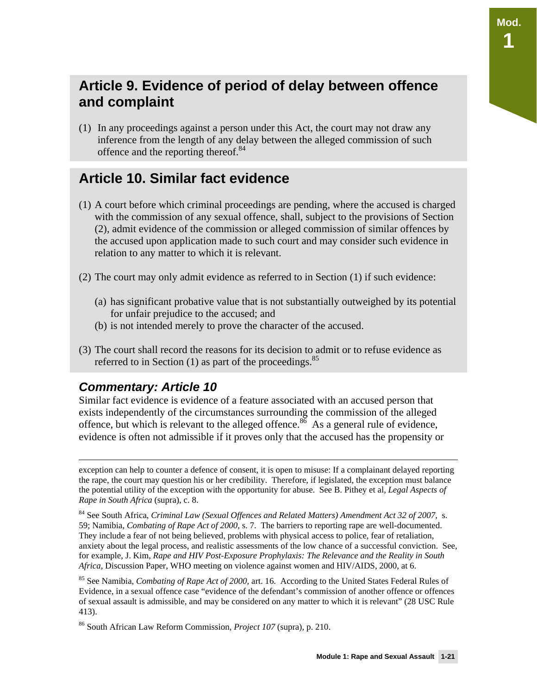### **Article 9. Evidence of period of delay between offence and complaint**

(1) In any proceedings against a person under this Act, the court may not draw any inference from the length of any delay between the alleged commission of such offence and the reporting thereof.<sup>84</sup>

### **Article 10. Similar fact evidence**

- (1) A court before which criminal proceedings are pending, where the accused is charged with the commission of any sexual offence, shall, subject to the provisions of Section (2), admit evidence of the commission or alleged commission of similar offences by the accused upon application made to such court and may consider such evidence in relation to any matter to which it is relevant.
- (2) The court may only admit evidence as referred to in Section (1) if such evidence:
	- (a) has significant probative value that is not substantially outweighed by its potential for unfair prejudice to the accused; and
	- (b) is not intended merely to prove the character of the accused.
- (3) The court shall record the reasons for its decision to admit or to refuse evidence as referred to in Section  $(1)$  as part of the proceedings.<sup>85</sup>

#### *Commentary: Article 10*

Similar fact evidence is evidence of a feature associated with an accused person that exists independently of the circumstances surrounding the commission of the alleged offence, but which is relevant to the alleged offence.<sup>86</sup> As a general rule of evidence, evidence is often not admissible if it proves only that the accused has the propensity or

exception can help to counter a defence of consent, it is open to misuse: If a complainant delayed reporting the rape, the court may question his or her credibility. Therefore, if legislated, the exception must balance the potential utility of the exception with the opportunity for abuse. See B. Pithey et al, *Legal Aspects of Rape in South Africa* (supra), c. 8.

<sup>84</sup> See South Africa, *Criminal Law (Sexual Offences and Related Matters) Amendment Act 32 of 2007*, s. 59; Namibia, *Combating of Rape Act of 2000,* s. 7. The barriers to reporting rape are well-documented. They include a fear of not being believed, problems with physical access to police, fear of retaliation, anxiety about the legal process, and realistic assessments of the low chance of a successful conviction. See, for example, J. Kim, *Rape and HIV Post-Exposure Prophylaxis: The Relevance and the Reality in South Africa,* Discussion Paper, WHO meeting on violence against women and HIV/AIDS, 2000, at 6.

<sup>85</sup> See Namibia, *Combating of Rape Act of 2000,* art. 16. According to the United States Federal Rules of Evidence, in a sexual offence case "evidence of the defendant's commission of another offence or offences of sexual assault is admissible, and may be considered on any matter to which it is relevant" (28 USC Rule 413).

<sup>86</sup> South African Law Reform Commission, *Project 107* (supra), p. 210.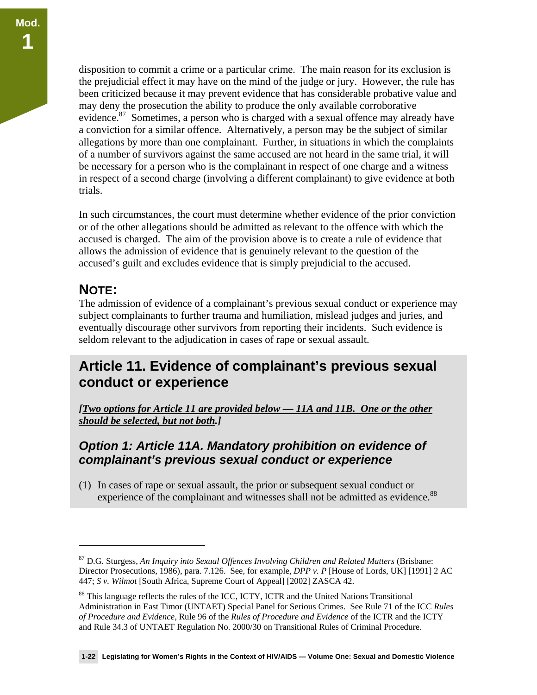disposition to commit a crime or a particular crime. The main reason for its exclusion is the prejudicial effect it may have on the mind of the judge or jury. However, the rule has been criticized because it may prevent evidence that has considerable probative value and may deny the prosecution the ability to produce the only available corroborative evidence.<sup>87</sup> Sometimes, a person who is charged with a sexual offence may already have a conviction for a similar offence. Alternatively, a person may be the subject of similar allegations by more than one complainant. Further, in situations in which the complaints of a number of survivors against the same accused are not heard in the same trial, it will be necessary for a person who is the complainant in respect of one charge and a witness in respect of a second charge (involving a different complainant) to give evidence at both trials.

In such circumstances, the court must determine whether evidence of the prior conviction or of the other allegations should be admitted as relevant to the offence with which the accused is charged. The aim of the provision above is to create a rule of evidence that allows the admission of evidence that is genuinely relevant to the question of the accused's guilt and excludes evidence that is simply prejudicial to the accused.

### **NOTE:**

-

The admission of evidence of a complainant's previous sexual conduct or experience may subject complainants to further trauma and humiliation, mislead judges and juries, and eventually discourage other survivors from reporting their incidents. Such evidence is seldom relevant to the adjudication in cases of rape or sexual assault.

### **Article 11. Evidence of complainant's previous sexual conduct or experience**

*[Two options for Article 11 are provided below — 11A and 11B. One or the other should be selected, but not both.]* 

#### *Option 1: Article 11A. Mandatory prohibition on evidence of complainant's previous sexual conduct or experience*

(1) In cases of rape or sexual assault, the prior or subsequent sexual conduct or experience of the complainant and witnesses shall not be admitted as evidence.<sup>88</sup>

<sup>&</sup>lt;sup>87</sup> D.G. Sturgess, *An Inquiry into Sexual Offences Involving Children and Related Matters (Brisbane:* Director Prosecutions, 1986), para. 7.126. See, for example, *DPP v. P* [House of Lords, UK] [1991] 2 AC 447; *S v. Wilmot* [South Africa, Supreme Court of Appeal] [2002] ZASCA 42.

<sup>&</sup>lt;sup>88</sup> This language reflects the rules of the ICC, ICTY, ICTR and the United Nations Transitional Administration in East Timor (UNTAET) Special Panel for Serious Crimes. See Rule 71 of the ICC *Rules of Procedure and Evidence*, Rule 96 of the *Rules of Procedure and Evidence* of the ICTR and the ICTY and Rule 34.3 of UNTAET Regulation No. 2000/30 on Transitional Rules of Criminal Procedure.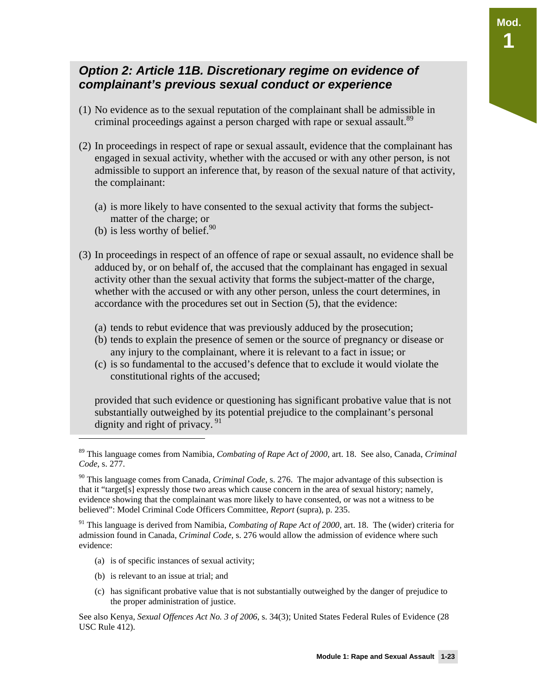#### *Option 2: Article 11B. Discretionary regime on evidence of complainant's previous sexual conduct or experience*

- (1) No evidence as to the sexual reputation of the complainant shall be admissible in criminal proceedings against a person charged with rape or sexual assault.<sup>89</sup>
- (2) In proceedings in respect of rape or sexual assault, evidence that the complainant has engaged in sexual activity, whether with the accused or with any other person, is not admissible to support an inference that, by reason of the sexual nature of that activity, the complainant:
	- (a) is more likely to have consented to the sexual activity that forms the subjectmatter of the charge; or
	- (b) is less worthy of belief. $90$
- (3) In proceedings in respect of an offence of rape or sexual assault, no evidence shall be adduced by, or on behalf of, the accused that the complainant has engaged in sexual activity other than the sexual activity that forms the subject-matter of the charge, whether with the accused or with any other person, unless the court determines, in accordance with the procedures set out in Section (5), that the evidence:
	- (a) tends to rebut evidence that was previously adduced by the prosecution;
	- (b) tends to explain the presence of semen or the source of pregnancy or disease or any injury to the complainant, where it is relevant to a fact in issue; or
	- (c) is so fundamental to the accused's defence that to exclude it would violate the constitutional rights of the accused;

provided that such evidence or questioning has significant probative value that is not substantially outweighed by its potential prejudice to the complainant's personal dignity and right of privacy.  $91$ 

91 This language is derived from Namibia, *Combating of Rape Act of 2000,* art. 18. The (wider) criteria for admission found in Canada, *Criminal Code,* s. 276 would allow the admission of evidence where such evidence:

- (a) is of specific instances of sexual activity;
- (b) is relevant to an issue at trial; and

j

(c) has significant probative value that is not substantially outweighed by the danger of prejudice to the proper administration of justice.

See also Kenya, *Sexual Offences Act No. 3 of 2006*, s. 34(3); United States Federal Rules of Evidence (28 USC Rule 412).

**Mod.** 

**1** 

<sup>89</sup> This language comes from Namibia, *Combating of Rape Act of 2000,* art. 18. See also, Canada, *Criminal Code*, s. 277.

<sup>90</sup> This language comes from Canada, *Criminal Code,* s. 276. The major advantage of this subsection is that it "target[s] expressly those two areas which cause concern in the area of sexual history; namely, evidence showing that the complainant was more likely to have consented, or was not a witness to be believed": Model Criminal Code Officers Committee, *Report* (supra), p. 235.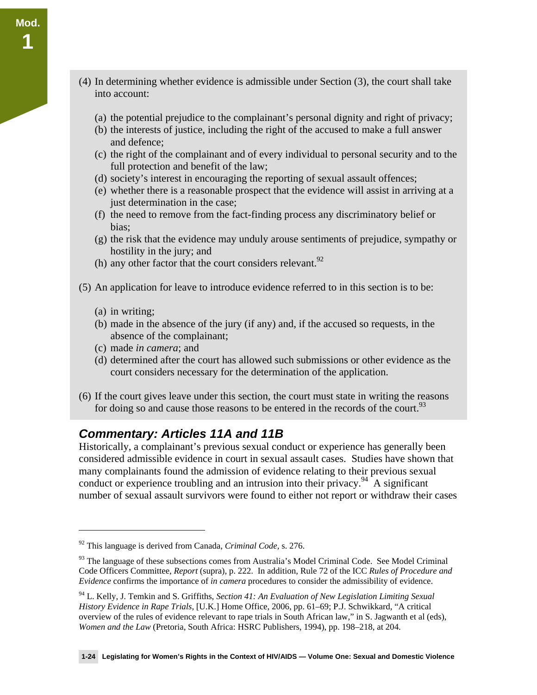- (4) In determining whether evidence is admissible under Section (3), the court shall take into account:
	- (a) the potential prejudice to the complainant's personal dignity and right of privacy;
	- (b) the interests of justice, including the right of the accused to make a full answer and defence;
	- (c) the right of the complainant and of every individual to personal security and to the full protection and benefit of the law;
	- (d) society's interest in encouraging the reporting of sexual assault offences;
	- (e) whether there is a reasonable prospect that the evidence will assist in arriving at a just determination in the case;
	- (f) the need to remove from the fact-finding process any discriminatory belief or bias;
	- (g) the risk that the evidence may unduly arouse sentiments of prejudice, sympathy or hostility in the jury; and
	- (h) any other factor that the court considers relevant.  $92$
- (5) An application for leave to introduce evidence referred to in this section is to be:
	- (a) in writing;

 $\overline{a}$ 

- (b) made in the absence of the jury (if any) and, if the accused so requests, in the absence of the complainant;
- (c) made *in camera*; and
- (d) determined after the court has allowed such submissions or other evidence as the court considers necessary for the determination of the application.
- (6) If the court gives leave under this section, the court must state in writing the reasons for doing so and cause those reasons to be entered in the records of the court.<sup>93</sup>

#### *Commentary: Articles 11A and 11B*

Historically, a complainant's previous sexual conduct or experience has generally been considered admissible evidence in court in sexual assault cases. Studies have shown that many complainants found the admission of evidence relating to their previous sexual conduct or experience troubling and an intrusion into their privacy.<sup>94</sup> A significant number of sexual assault survivors were found to either not report or withdraw their cases

<sup>92</sup> This language is derived from Canada, *Criminal Code,* s. 276.

<sup>&</sup>lt;sup>93</sup> The language of these subsections comes from Australia's Model Criminal Code. See Model Criminal Code Officers Committee, *Report* (supra), p. 222. In addition, Rule 72 of the ICC *Rules of Procedure and Evidence* confirms the importance of *in camera* procedures to consider the admissibility of evidence.

<sup>94</sup> L. Kelly, J. Temkin and S. Griffiths, *Section 41: An Evaluation of New Legislation Limiting Sexual History Evidence in Rape Trials*, [U.K.] Home Office, 2006, pp. 61–69; P.J. Schwikkard, "A critical overview of the rules of evidence relevant to rape trials in South African law," in S. Jagwanth et al (eds), *Women and the Law* (Pretoria, South Africa: HSRC Publishers, 1994), pp. 198–218, at 204.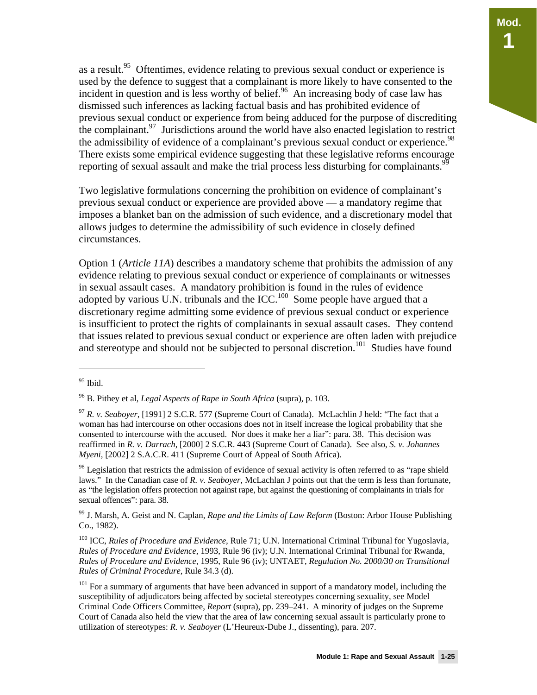as a result.<sup>95</sup> Oftentimes, evidence relating to previous sexual conduct or experience is used by the defence to suggest that a complainant is more likely to have consented to the incident in question and is less worthy of belief.<sup>96</sup> An increasing body of case law has dismissed such inferences as lacking factual basis and has prohibited evidence of previous sexual conduct or experience from being adduced for the purpose of discrediting the complainant.<sup>97</sup> Jurisdictions around the world have also enacted legislation to restrict the admissibility of evidence of a complainant's previous sexual conduct or experience.<sup>98</sup> There exists some empirical evidence suggesting that these legislative reforms encourage reporting of sexual assault and make the trial process less disturbing for complainants.<sup>99</sup>

Two legislative formulations concerning the prohibition on evidence of complainant's previous sexual conduct or experience are provided above — a mandatory regime that imposes a blanket ban on the admission of such evidence, and a discretionary model that allows judges to determine the admissibility of such evidence in closely defined circumstances.

Option 1 (*Article 11A*) describes a mandatory scheme that prohibits the admission of any evidence relating to previous sexual conduct or experience of complainants or witnesses in sexual assault cases. A mandatory prohibition is found in the rules of evidence adopted by various U.N. tribunals and the ICC.<sup>100</sup> Some people have argued that a discretionary regime admitting some evidence of previous sexual conduct or experience is insufficient to protect the rights of complainants in sexual assault cases. They contend that issues related to previous sexual conduct or experience are often laden with prejudice and stereotype and should not be subjected to personal discretion.<sup>101</sup> Studies have found

<sup>&</sup>lt;sup>95</sup> Ibid.

<sup>96</sup> B. Pithey et al, *Legal Aspects of Rape in South Africa* (supra), p. 103.

<sup>97</sup> *R. v. Seaboyer*, [1991] 2 S.C.R. 577 (Supreme Court of Canada). McLachlin J held: "The fact that a woman has had intercourse on other occasions does not in itself increase the logical probability that she consented to intercourse with the accused. Nor does it make her a liar": para. 38. This decision was reaffirmed in *R. v. Darrach*, [2000] 2 S.C.R. 443 (Supreme Court of Canada). See also, *S. v. Johannes Myeni,* [2002] 2 S.A.C.R. 411 (Supreme Court of Appeal of South Africa).

 $98$  Legislation that restricts the admission of evidence of sexual activity is often referred to as "rape shield" laws." In the Canadian case of *R. v. Seaboyer*, McLachlan J points out that the term is less than fortunate, as "the legislation offers protection not against rape, but against the questioning of complainants in trials for sexual offences": para. 38.

<sup>99</sup> J. Marsh, A. Geist and N. Caplan, *Rape and the Limits of Law Reform* (Boston: Arbor House Publishing Co., 1982).

<sup>100</sup> ICC, *Rules of Procedure and Evidence,* Rule 71; U.N. International Criminal Tribunal for Yugoslavia, *Rules of Procedure and Evidence*, 1993, Rule 96 (iv); U.N. International Criminal Tribunal for Rwanda, *Rules of Procedure and Evidence*, 1995, Rule 96 (iv); UNTAET, *Regulation No. 2000/30 on Transitional Rules of Criminal Procedure*, Rule 34.3 (d).

<sup>&</sup>lt;sup>101</sup> For a summary of arguments that have been advanced in support of a mandatory model, including the susceptibility of adjudicators being affected by societal stereotypes concerning sexuality, see Model Criminal Code Officers Committee, *Report* (supra), pp. 239–241. A minority of judges on the Supreme Court of Canada also held the view that the area of law concerning sexual assault is particularly prone to utilization of stereotypes: *R. v. Seaboyer* (L'Heureux-Dube J., dissenting), para. 207.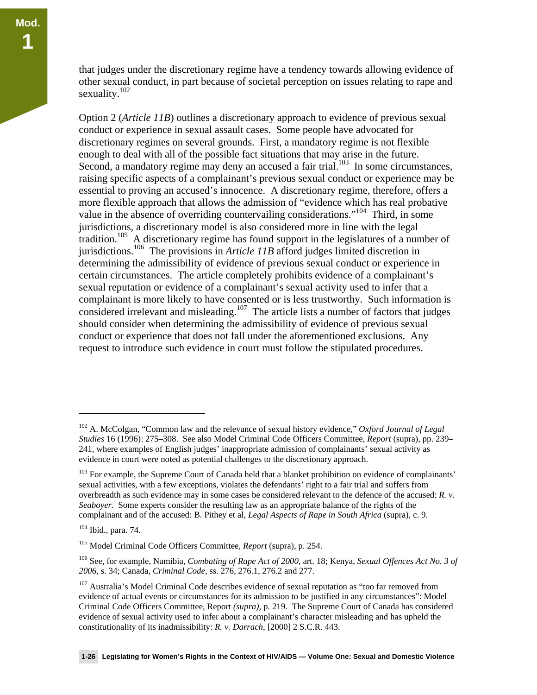that judges under the discretionary regime have a tendency towards allowing evidence of other sexual conduct, in part because of societal perception on issues relating to rape and sexuality.<sup>102</sup>

Option 2 (*Article 11B*) outlines a discretionary approach to evidence of previous sexual conduct or experience in sexual assault cases. Some people have advocated for discretionary regimes on several grounds. First, a mandatory regime is not flexible enough to deal with all of the possible fact situations that may arise in the future. Second, a mandatory regime may deny an accused a fair trial.<sup>103</sup> In some circumstances, raising specific aspects of a complainant's previous sexual conduct or experience may be essential to proving an accused's innocence. A discretionary regime, therefore, offers a more flexible approach that allows the admission of "evidence which has real probative value in the absence of overriding countervailing considerations."<sup>104</sup> Third, in some jurisdictions, a discretionary model is also considered more in line with the legal tradition.<sup>105</sup> A discretionary regime has found support in the legislatures of a number of jurisdictions.106 The provisions in *Article 11B* afford judges limited discretion in determining the admissibility of evidence of previous sexual conduct or experience in certain circumstances. The article completely prohibits evidence of a complainant's sexual reputation or evidence of a complainant's sexual activity used to infer that a complainant is more likely to have consented or is less trustworthy. Such information is considered irrelevant and misleading.<sup>107</sup> The article lists a number of factors that judges should consider when determining the admissibility of evidence of previous sexual conduct or experience that does not fall under the aforementioned exclusions. Any request to introduce such evidence in court must follow the stipulated procedures.

<sup>102</sup> A. McColgan, "Common law and the relevance of sexual history evidence," *Oxford Journal of Legal Studies* 16 (1996): 275–308. See also Model Criminal Code Officers Committee, *Report* (supra), pp. 239– 241, where examples of English judges' inappropriate admission of complainants' sexual activity as evidence in court were noted as potential challenges to the discretionary approach.

<sup>&</sup>lt;sup>103</sup> For example, the Supreme Court of Canada held that a blanket prohibition on evidence of complainants' sexual activities, with a few exceptions, violates the defendants' right to a fair trial and suffers from overbreadth as such evidence may in some cases be considered relevant to the defence of the accused: *R. v. Seaboyer*. Some experts consider the resulting law as an appropriate balance of the rights of the complainant and of the accused: B. Pithey et al, *Legal Aspects of Rape in South Africa* (supra), c. 9.

<sup>104</sup> Ibid., para. 74.

<sup>105</sup> Model Criminal Code Officers Committee, *Report* (supra), p. 254.

<sup>106</sup> See, for example, Namibia, *Combating of Rape Act of 2000,* art. 18; Kenya, *Sexual Offences Act No. 3 of 2006,* s. 34; Canada, *Criminal Code*, ss. 276, 276.1, 276.2 and 277.

<sup>&</sup>lt;sup>107</sup> Australia's Model Criminal Code describes evidence of sexual reputation as "too far removed from evidence of actual events or circumstances for its admission to be justified in any circumstances": Model Criminal Code Officers Committee, Report *(supra),* p. 219. The Supreme Court of Canada has considered evidence of sexual activity used to infer about a complainant's character misleading and has upheld the constitutionality of its inadmissibility: *R. v. Darrach*, [2000] 2 S.C.R. 443.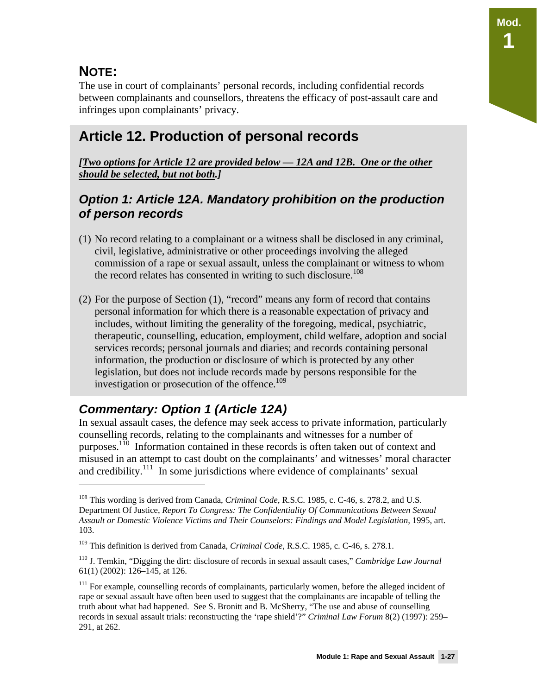### **NOTE:**

 $\overline{a}$ 

The use in court of complainants' personal records, including confidential records between complainants and counsellors, threatens the efficacy of post-assault care and infringes upon complainants' privacy.

## **Article 12. Production of personal records**

*[Two options for Article 12 are provided below — 12A and 12B. One or the other should be selected, but not both.]* 

#### *Option 1: Article 12A. Mandatory prohibition on the production of person records*

- (1) No record relating to a complainant or a witness shall be disclosed in any criminal, civil, legislative, administrative or other proceedings involving the alleged commission of a rape or sexual assault, unless the complainant or witness to whom the record relates has consented in writing to such disclosure.<sup>108</sup>
- (2) For the purpose of Section (1), "record" means any form of record that contains personal information for which there is a reasonable expectation of privacy and includes, without limiting the generality of the foregoing, medical, psychiatric, therapeutic, counselling, education, employment, child welfare, adoption and social services records; personal journals and diaries; and records containing personal information, the production or disclosure of which is protected by any other legislation, but does not include records made by persons responsible for the investigation or prosecution of the offence.<sup>109</sup>

### *Commentary: Option 1 (Article 12A)*

In sexual assault cases, the defence may seek access to private information, particularly counselling records, relating to the complainants and witnesses for a number of purposes.110 Information contained in these records is often taken out of context and misused in an attempt to cast doubt on the complainants' and witnesses' moral character and credibility.<sup>111</sup> In some jurisdictions where evidence of complainants' sexual

<sup>108</sup> This wording is derived from Canada, *Criminal Code*, R.S.C. 1985, c. C-46, s. 278.2, and U.S. Department Of Justice, *Report To Congress: The Confidentiality Of Communications Between Sexual Assault or Domestic Violence Victims and Their Counselors: Findings and Model Legislation,* 1995, art. 103.

<sup>109</sup> This definition is derived from Canada, *Criminal Code*, R.S.C. 1985, c. C-46, s. 278.1.

<sup>110</sup> J. Temkin, "Digging the dirt: disclosure of records in sexual assault cases," *Cambridge Law Journal*  61(1) (2002): 126–145, at 126.

<sup>&</sup>lt;sup>111</sup> For example, counselling records of complainants, particularly women, before the alleged incident of rape or sexual assault have often been used to suggest that the complainants are incapable of telling the truth about what had happened. See S. Bronitt and B. McSherry, "The use and abuse of counselling records in sexual assault trials: reconstructing the 'rape shield'?" *Criminal Law Forum* 8(2) (1997): 259– 291, at 262.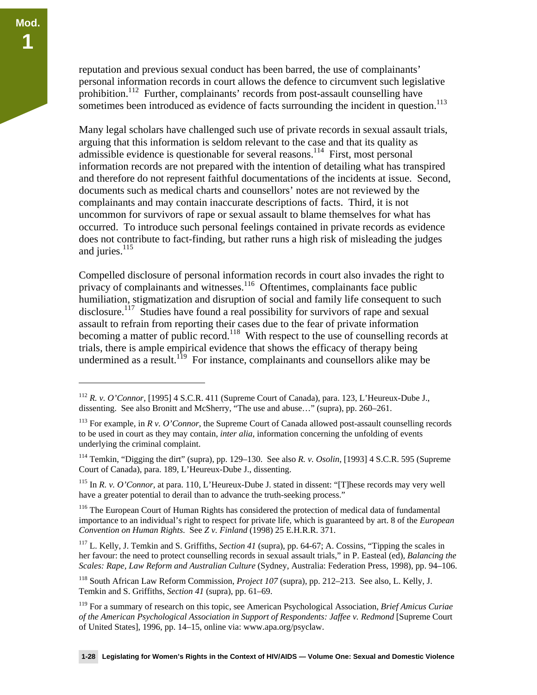<u>.</u>

reputation and previous sexual conduct has been barred, the use of complainants' personal information records in court allows the defence to circumvent such legislative prohibition.112 Further, complainants' records from post-assault counselling have sometimes been introduced as evidence of facts surrounding the incident in question.<sup>113</sup>

Many legal scholars have challenged such use of private records in sexual assault trials, arguing that this information is seldom relevant to the case and that its quality as admissible evidence is questionable for several reasons.<sup>114</sup> First, most personal information records are not prepared with the intention of detailing what has transpired and therefore do not represent faithful documentations of the incidents at issue. Second, documents such as medical charts and counsellors' notes are not reviewed by the complainants and may contain inaccurate descriptions of facts. Third, it is not uncommon for survivors of rape or sexual assault to blame themselves for what has occurred. To introduce such personal feelings contained in private records as evidence does not contribute to fact-finding, but rather runs a high risk of misleading the judges and juries.<sup>115</sup>

Compelled disclosure of personal information records in court also invades the right to privacy of complainants and witnesses.<sup>116</sup> Oftentimes, complainants face public humiliation, stigmatization and disruption of social and family life consequent to such disclosure.<sup>117</sup> Studies have found a real possibility for survivors of rape and sexual assault to refrain from reporting their cases due to the fear of private information becoming a matter of public record.<sup>118</sup> With respect to the use of counselling records at trials, there is ample empirical evidence that shows the efficacy of therapy being undermined as a result.<sup>119</sup> For instance, complainants and counsellors alike may be

115 In *R. v. O'Connor,* at para. 110, L'Heureux-Dube J. stated in dissent: "[T]hese records may very well have a greater potential to derail than to advance the truth-seeking process."

<sup>116</sup> The European Court of Human Rights has considered the protection of medical data of fundamental importance to an individual's right to respect for private life, which is guaranteed by art. 8 of the *European Convention on Human Rights*. See *Z v. Finland* (1998) 25 E.H.R.R. 371.

117 L. Kelly, J. Temkin and S. Griffiths, *Section 41* (supra), pp. 64-67; A. Cossins, "Tipping the scales in her favour: the need to protect counselling records in sexual assault trials," in P. Easteal (ed), *Balancing the Scales: Rape, Law Reform and Australian Culture* (Sydney, Australia: Federation Press, 1998), pp. 94–106.

118 South African Law Reform Commission, *Project 107* (supra), pp. 212–213. See also, L. Kelly, J. Temkin and S. Griffiths, *Section 41* (supra), pp. 61–69.

119 For a summary of research on this topic, see American Psychological Association, *Brief Amicus Curiae*  of the American Psychological Association in Support of Respondents: Jaffee v. Redmond [Supreme Court of United States], 1996, pp. 14–15, online via: www.apa.org/psyclaw.

<sup>112</sup> *R. v. O'Connor*, [1995] 4 S.C.R. 411 (Supreme Court of Canada), para. 123, L'Heureux-Dube J., dissenting. See also Bronitt and McSherry, "The use and abuse…" (supra), pp. 260–261.

<sup>&</sup>lt;sup>113</sup> For example, in  $R$  v. O'Connor, the Supreme Court of Canada allowed post-assault counselling records to be used in court as they may contain, *inter alia*, information concerning the unfolding of events underlying the criminal complaint.

<sup>114</sup> Temkin, "Digging the dirt" (supra), pp. 129–130. See also *R. v. Osolin*, [1993] 4 S.C.R. 595 (Supreme Court of Canada), para. 189, L'Heureux-Dube J., dissenting.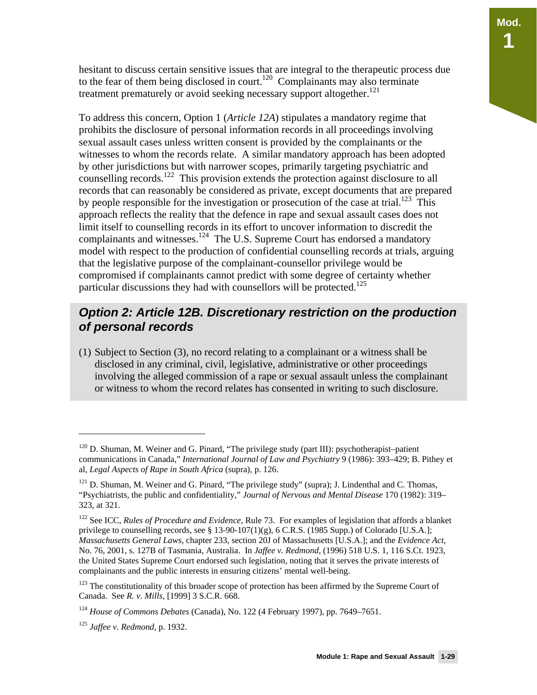hesitant to discuss certain sensitive issues that are integral to the therapeutic process due to the fear of them being disclosed in court.<sup>120</sup> Complainants may also terminate treatment prematurely or avoid seeking necessary support altogether.<sup>121</sup>

To address this concern, Option 1 (*Article 12A*) stipulates a mandatory regime that prohibits the disclosure of personal information records in all proceedings involving sexual assault cases unless written consent is provided by the complainants or the witnesses to whom the records relate. A similar mandatory approach has been adopted by other jurisdictions but with narrower scopes, primarily targeting psychiatric and counselling records.<sup>122</sup> This provision extends the protection against disclosure to all records that can reasonably be considered as private, except documents that are prepared by people responsible for the investigation or prosecution of the case at trial.<sup>123</sup> This approach reflects the reality that the defence in rape and sexual assault cases does not limit itself to counselling records in its effort to uncover information to discredit the complainants and witnesses.<sup>124</sup> The U.S. Supreme Court has endorsed a mandatory model with respect to the production of confidential counselling records at trials, arguing that the legislative purpose of the complainant-counsellor privilege would be compromised if complainants cannot predict with some degree of certainty whether particular discussions they had with counsellors will be protected.<sup>125</sup>

#### *Option 2: Article 12B. Discretionary restriction on the production of personal records*

(1) Subject to Section (3), no record relating to a complainant or a witness shall be disclosed in any criminal, civil, legislative, administrative or other proceedings involving the alleged commission of a rape or sexual assault unless the complainant or witness to whom the record relates has consented in writing to such disclosure.

 $120$  D. Shuman, M. Weiner and G. Pinard, "The privilege study (part III): psychotherapist–patient communications in Canada," *International Journal of Law and Psychiatry* 9 (1986): 393–429; B. Pithey et al, *Legal Aspects of Rape in South Africa* (supra), p. 126.

<sup>&</sup>lt;sup>121</sup> D. Shuman, M. Weiner and G. Pinard, "The privilege study" (supra); J. Lindenthal and C. Thomas, "Psychiatrists, the public and confidentiality," *Journal of Nervous and Mental Disease* 170 (1982): 319– 323, at 321.

<sup>122</sup> See ICC, *Rules of Procedure and Evidence,* Rule 73. For examples of legislation that affords a blanket privilege to counselling records, see §  $13-90-107(1)(g)$ , 6 C.R.S. (1985 Supp.) of Colorado [U.S.A.]; *Massachusetts General Laws*, chapter 233, section 20J of Massachusetts [U.S.A.]; and the *Evidence Act*, No. 76, 2001, s. 127B of Tasmania, Australia. In *Jaffee v. Redmond*, (1996) 518 U.S. 1, 116 S.Ct. 1923, the United States Supreme Court endorsed such legislation, noting that it serves the private interests of complainants and the public interests in ensuring citizens' mental well-being.

<sup>&</sup>lt;sup>123</sup> The constitutionality of this broader scope of protection has been affirmed by the Supreme Court of Canada. See *R. v. Mills*, [1999] 3 S.C.R. 668.

<sup>124</sup> *House of Commons Debates* (Canada), No. 122 (4 February 1997), pp. 7649–7651.

<sup>125</sup> *Jaffee v. Redmond,* p. 1932.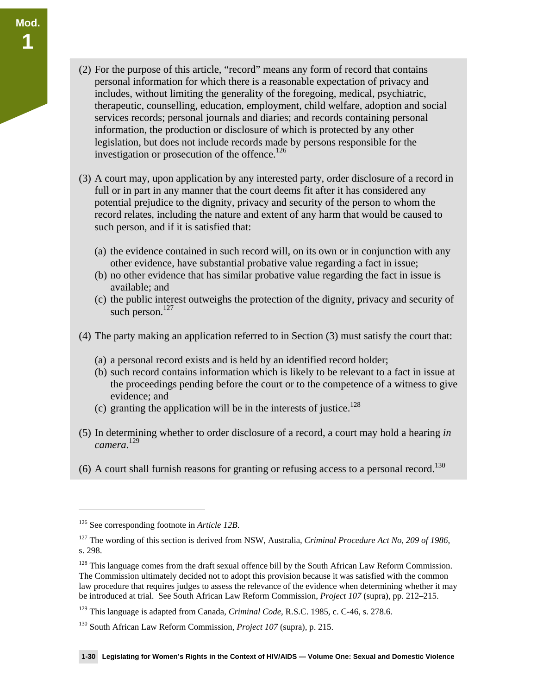- (2) For the purpose of this article, "record" means any form of record that contains personal information for which there is a reasonable expectation of privacy and includes, without limiting the generality of the foregoing, medical, psychiatric, therapeutic, counselling, education, employment, child welfare, adoption and social services records; personal journals and diaries; and records containing personal information, the production or disclosure of which is protected by any other legislation, but does not include records made by persons responsible for the investigation or prosecution of the offence.<sup>126</sup>
- (3) A court may, upon application by any interested party, order disclosure of a record in full or in part in any manner that the court deems fit after it has considered any potential prejudice to the dignity, privacy and security of the person to whom the record relates, including the nature and extent of any harm that would be caused to such person, and if it is satisfied that:
	- (a) the evidence contained in such record will, on its own or in conjunction with any other evidence, have substantial probative value regarding a fact in issue;
	- (b) no other evidence that has similar probative value regarding the fact in issue is available; and
	- (c) the public interest outweighs the protection of the dignity, privacy and security of such person. $127$
- (4) The party making an application referred to in Section (3) must satisfy the court that:
	- (a) a personal record exists and is held by an identified record holder;
	- (b) such record contains information which is likely to be relevant to a fact in issue at the proceedings pending before the court or to the competence of a witness to give evidence; and
	- (c) granting the application will be in the interests of justice.<sup>128</sup>
- (5) In determining whether to order disclosure of a record, a court may hold a hearing *in camera*. 129
- (6) A court shall furnish reasons for granting or refusing access to a personal record.<sup>130</sup>

 $\overline{a}$ 

**Mod.** 

**1** 

<sup>126</sup> See corresponding footnote in *Article 12B*.

<sup>127</sup> The wording of this section is derived from NSW, Australia, *Criminal Procedure Act No, 209 of 1986*, s. 298.

<sup>&</sup>lt;sup>128</sup> This language comes from the draft sexual offence bill by the South African Law Reform Commission. The Commission ultimately decided not to adopt this provision because it was satisfied with the common law procedure that requires judges to assess the relevance of the evidence when determining whether it may be introduced at trial. See South African Law Reform Commission, *Project 107* (supra), pp. 212–215.

<sup>129</sup> This language is adapted from Canada, *Criminal Code*, R.S.C. 1985, c. C-46, s. 278.6.

<sup>130</sup> South African Law Reform Commission, *Project 107* (supra), p. 215.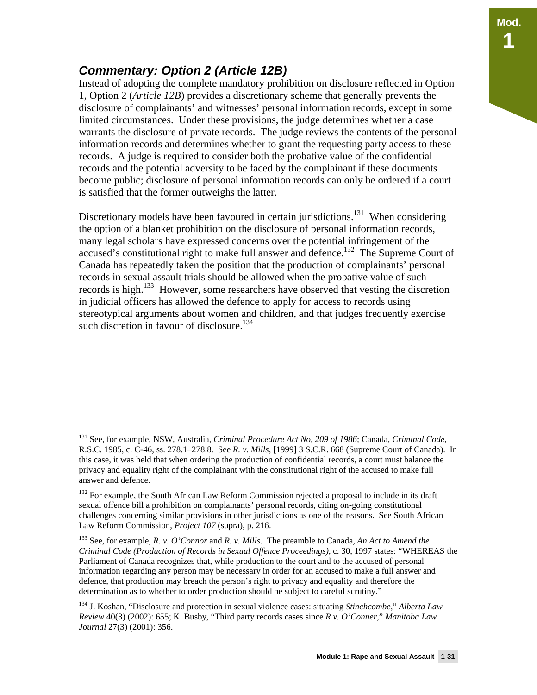#### *Commentary: Option 2 (Article 12B)*

 $\overline{a}$ 

Instead of adopting the complete mandatory prohibition on disclosure reflected in Option 1, Option 2 (*Article 12B*) provides a discretionary scheme that generally prevents the disclosure of complainants' and witnesses' personal information records, except in some limited circumstances. Under these provisions, the judge determines whether a case warrants the disclosure of private records. The judge reviews the contents of the personal information records and determines whether to grant the requesting party access to these records. A judge is required to consider both the probative value of the confidential records and the potential adversity to be faced by the complainant if these documents become public; disclosure of personal information records can only be ordered if a court is satisfied that the former outweighs the latter.

Discretionary models have been favoured in certain jurisdictions.<sup>131</sup> When considering the option of a blanket prohibition on the disclosure of personal information records, many legal scholars have expressed concerns over the potential infringement of the accused's constitutional right to make full answer and defence.<sup>132</sup> The Supreme Court of Canada has repeatedly taken the position that the production of complainants' personal records in sexual assault trials should be allowed when the probative value of such records is high.<sup>133</sup> However, some researchers have observed that vesting the discretion in judicial officers has allowed the defence to apply for access to records using stereotypical arguments about women and children, and that judges frequently exercise such discretion in favour of disclosure.<sup>134</sup>

<sup>131</sup> See, for example, NSW, Australia, *Criminal Procedure Act No, 209 of 1986*; Canada, *Criminal Code*, R.S.C. 1985, c. C-46, ss. 278.1–278.8. See *R. v. Mills*, [1999] 3 S.C.R. 668 (Supreme Court of Canada). In this case, it was held that when ordering the production of confidential records, a court must balance the privacy and equality right of the complainant with the constitutional right of the accused to make full answer and defence.

<sup>&</sup>lt;sup>132</sup> For example, the South African Law Reform Commission rejected a proposal to include in its draft sexual offence bill a prohibition on complainants' personal records, citing on-going constitutional challenges concerning similar provisions in other jurisdictions as one of the reasons. See South African Law Reform Commission, *Project 107* (supra), p. 216.

<sup>133</sup> See, for example, *R. v. O'Connor* and *R. v. Mills*. The preamble to Canada, *An Act to Amend the Criminal Code (Production of Records in Sexual Offence Proceedings)*, c. 30, 1997 states: "WHEREAS the Parliament of Canada recognizes that, while production to the court and to the accused of personal information regarding any person may be necessary in order for an accused to make a full answer and defence, that production may breach the person's right to privacy and equality and therefore the determination as to whether to order production should be subject to careful scrutiny."

<sup>134</sup> J. Koshan, "Disclosure and protection in sexual violence cases: situating *Stinchcombe,*" *Alberta Law Review* 40(3) (2002): 655; K. Busby, "Third party records cases since *R v. O'Conner,*" *Manitoba Law Journal* 27(3) (2001): 356.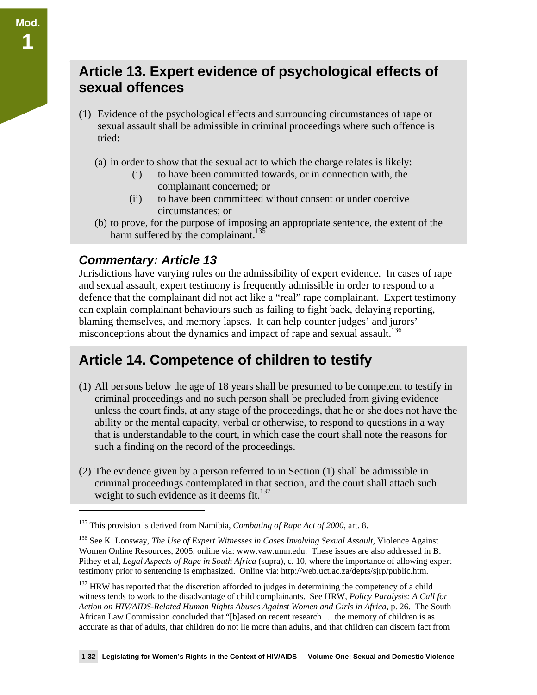### **Article 13. Expert evidence of psychological effects of sexual offences**

- (1) Evidence of the psychological effects and surrounding circumstances of rape or sexual assault shall be admissible in criminal proceedings where such offence is tried:
	- (a) in order to show that the sexual act to which the charge relates is likely:
		- (i) to have been committed towards, or in connection with, the complainant concerned; or
		- (ii) to have been committeed without consent or under coercive circumstances; or
	- (b) to prove, for the purpose of imposing an appropriate sentence, the extent of the harm suffered by the complainant.<sup>135</sup>

#### *Commentary: Article 13*

 $\overline{a}$ 

Jurisdictions have varying rules on the admissibility of expert evidence. In cases of rape and sexual assault, expert testimony is frequently admissible in order to respond to a defence that the complainant did not act like a "real" rape complainant. Expert testimony can explain complainant behaviours such as failing to fight back, delaying reporting, blaming themselves, and memory lapses. It can help counter judges' and jurors' misconceptions about the dynamics and impact of rape and sexual assault.<sup>136</sup>

## **Article 14. Competence of children to testify**

- (1) All persons below the age of 18 years shall be presumed to be competent to testify in criminal proceedings and no such person shall be precluded from giving evidence unless the court finds, at any stage of the proceedings, that he or she does not have the ability or the mental capacity, verbal or otherwise, to respond to questions in a way that is understandable to the court, in which case the court shall note the reasons for such a finding on the record of the proceedings.
- (2) The evidence given by a person referred to in Section (1) shall be admissible in criminal proceedings contemplated in that section, and the court shall attach such weight to such evidence as it deems fit. $137$

<sup>135</sup> This provision is derived from Namibia, *Combating of Rape Act of 2000,* art. 8.

<sup>&</sup>lt;sup>136</sup> See K. Lonsway, *The Use of Expert Witnesses in Cases Involving Sexual Assault*, Violence Against Women Online Resources, 2005, online via: www.vaw.umn.edu. These issues are also addressed in B. Pithey et al, *Legal Aspects of Rape in South Africa* (supra), c. 10, where the importance of allowing expert testimony prior to sentencing is emphasized. Online via: http://web.uct.ac.za/depts/sjrp/public.htm.

<sup>&</sup>lt;sup>137</sup> HRW has reported that the discretion afforded to judges in determining the competency of a child witness tends to work to the disadvantage of child complainants. See HRW, *Policy Paralysis: A Call for Action on HIV/AIDS-Related Human Rights Abuses Against Women and Girls in Africa*, p. 26. The South African Law Commission concluded that "[b]ased on recent research … the memory of children is as accurate as that of adults, that children do not lie more than adults, and that children can discern fact from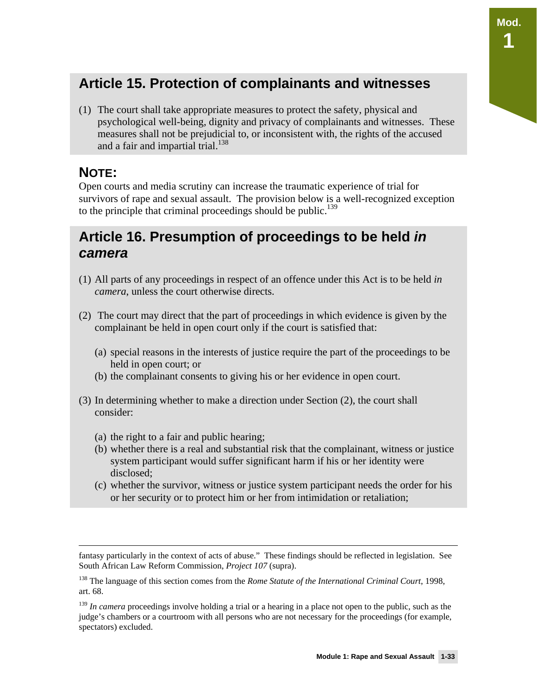### **Article 15. Protection of complainants and witnesses**

(1) The court shall take appropriate measures to protect the safety, physical and psychological well-being, dignity and privacy of complainants and witnesses. These measures shall not be prejudicial to, or inconsistent with, the rights of the accused and a fair and impartial trial.<sup>138</sup>

#### **NOTE:**

Open courts and media scrutiny can increase the traumatic experience of trial for survivors of rape and sexual assault. The provision below is a well-recognized exception to the principle that criminal proceedings should be public.<sup>139</sup>

### **Article 16. Presumption of proceedings to be held** *in camera*

- (1) All parts of any proceedings in respect of an offence under this Act is to be held *in camera*, unless the court otherwise directs.
- (2) The court may direct that the part of proceedings in which evidence is given by the complainant be held in open court only if the court is satisfied that:
	- (a) special reasons in the interests of justice require the part of the proceedings to be held in open court; or
	- (b) the complainant consents to giving his or her evidence in open court.
- (3) In determining whether to make a direction under Section (2), the court shall consider:
	- (a) the right to a fair and public hearing;
	- (b) whether there is a real and substantial risk that the complainant, witness or justice system participant would suffer significant harm if his or her identity were disclosed;
	- (c) whether the survivor, witness or justice system participant needs the order for his or her security or to protect him or her from intimidation or retaliation;

fantasy particularly in the context of acts of abuse." These findings should be reflected in legislation. See South African Law Reform Commission, *Project 107* (supra).

<sup>138</sup> The language of this section comes from the *Rome Statute of the International Criminal Court*, 1998, art. 68.

<sup>&</sup>lt;sup>139</sup> *In camera* proceedings involve holding a trial or a hearing in a place not open to the public, such as the judge's chambers or a courtroom with all persons who are not necessary for the proceedings (for example, spectators) excluded.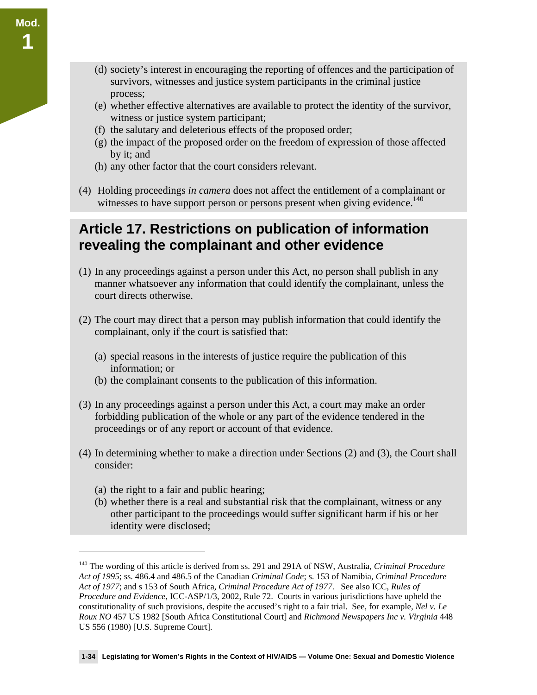- (d) society's interest in encouraging the reporting of offences and the participation of survivors, witnesses and justice system participants in the criminal justice process;
- (e) whether effective alternatives are available to protect the identity of the survivor, witness or justice system participant;
- (f) the salutary and deleterious effects of the proposed order;
- (g) the impact of the proposed order on the freedom of expression of those affected by it; and
- (h) any other factor that the court considers relevant.
- (4) Holding proceedings *in camera* does not affect the entitlement of a complainant or witnesses to have support person or persons present when giving evidence.<sup>140</sup>

### **Article 17. Restrictions on publication of information revealing the complainant and other evidence**

- (1) In any proceedings against a person under this Act, no person shall publish in any manner whatsoever any information that could identify the complainant, unless the court directs otherwise.
- (2) The court may direct that a person may publish information that could identify the complainant, only if the court is satisfied that:
	- (a) special reasons in the interests of justice require the publication of this information; or
	- (b) the complainant consents to the publication of this information.
- (3) In any proceedings against a person under this Act, a court may make an order forbidding publication of the whole or any part of the evidence tendered in the proceedings or of any report or account of that evidence.
- (4) In determining whether to make a direction under Sections (2) and (3), the Court shall consider:
	- (a) the right to a fair and public hearing;

 $\overline{a}$ 

(b) whether there is a real and substantial risk that the complainant, witness or any other participant to the proceedings would suffer significant harm if his or her identity were disclosed;

<sup>140</sup> The wording of this article is derived from ss. 291 and 291A of NSW, Australia, *Criminal Procedure Act of 1995*; ss. 486.4 and 486.5 of the Canadian *Criminal Code*; s. 153 of Namibia, *Criminal Procedure Act of 1977*; and s 153 of South Africa, *Criminal Procedure Act of 1977*. See also ICC, *Rules of Procedure and Evidence,* ICC-ASP/1/3, 2002, Rule 72. Courts in various jurisdictions have upheld the constitutionality of such provisions, despite the accused's right to a fair trial. See, for example, *Nel v. Le Roux NO* 457 US 1982 [South Africa Constitutional Court] and *Richmond Newspapers Inc v. Virginia* 448 US 556 (1980) [U.S. Supreme Court].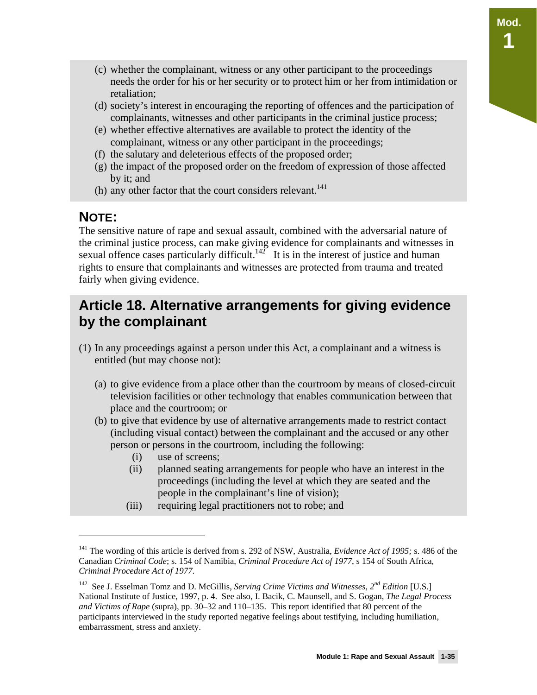- (c) whether the complainant, witness or any other participant to the proceedings needs the order for his or her security or to protect him or her from intimidation or retaliation;
- (d) society's interest in encouraging the reporting of offences and the participation of complainants, witnesses and other participants in the criminal justice process;
- (e) whether effective alternatives are available to protect the identity of the complainant, witness or any other participant in the proceedings;
- (f) the salutary and deleterious effects of the proposed order;
- (g) the impact of the proposed order on the freedom of expression of those affected by it; and
- (h) any other factor that the court considers relevant. $^{141}$

#### **NOTE:**

 $\overline{a}$ 

The sensitive nature of rape and sexual assault, combined with the adversarial nature of the criminal justice process, can make giving evidence for complainants and witnesses in sexual offence cases particularly difficult.<sup>142</sup> It is in the interest of justice and human rights to ensure that complainants and witnesses are protected from trauma and treated fairly when giving evidence.

### **Article 18. Alternative arrangements for giving evidence by the complainant**

- (1) In any proceedings against a person under this Act, a complainant and a witness is entitled (but may choose not):
	- (a) to give evidence from a place other than the courtroom by means of closed-circuit television facilities or other technology that enables communication between that place and the courtroom; or
	- (b) to give that evidence by use of alternative arrangements made to restrict contact (including visual contact) between the complainant and the accused or any other person or persons in the courtroom, including the following:
		- (i) use of screens;
		- (ii) planned seating arrangements for people who have an interest in the proceedings (including the level at which they are seated and the people in the complainant's line of vision);
		- (iii) requiring legal practitioners not to robe; and

<sup>141</sup> The wording of this article is derived from s. 292 of NSW, Australia, *Evidence Act of 1995;* s. 486 of the Canadian *Criminal Code*; s. 154 of Namibia, *Criminal Procedure Act of 1977*, s 154 of South Africa, *Criminal Procedure Act of 1977*.

<sup>142</sup> See J. Esselman Tomz and D. McGillis, *Serving Crime Victims and Witnesses, 2nd Edition* [U.S.] National Institute of Justice, 1997, p. 4. See also, I. Bacik, C. Maunsell, and S. Gogan, *The Legal Process and Victims of Rape* (supra), pp. 30–32 and 110–135. This report identified that 80 percent of the participants interviewed in the study reported negative feelings about testifying, including humiliation, embarrassment, stress and anxiety.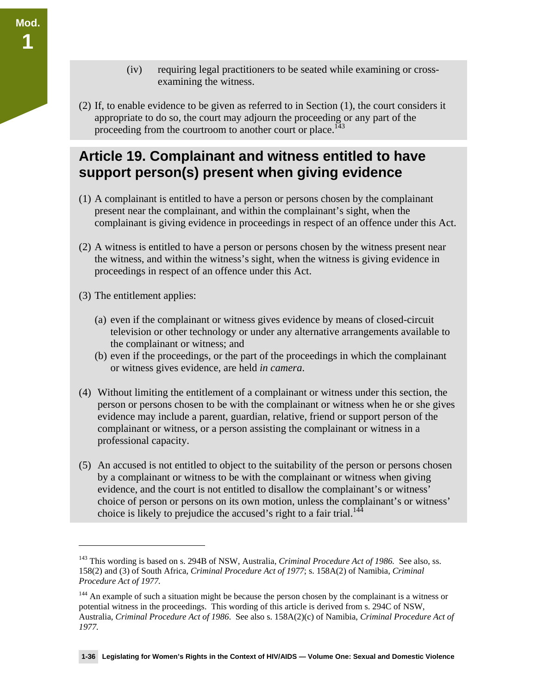- (iv) requiring legal practitioners to be seated while examining or crossexamining the witness.
- (2) If, to enable evidence to be given as referred to in Section (1), the court considers it appropriate to do so, the court may adjourn the proceeding or any part of the proceeding from the courtroom to another court or place.<sup>143</sup>

### **Article 19. Complainant and witness entitled to have support person(s) present when giving evidence**

- (1) A complainant is entitled to have a person or persons chosen by the complainant present near the complainant, and within the complainant's sight, when the complainant is giving evidence in proceedings in respect of an offence under this Act.
- (2) A witness is entitled to have a person or persons chosen by the witness present near the witness, and within the witness's sight, when the witness is giving evidence in proceedings in respect of an offence under this Act.
- (3) The entitlement applies:

 $\overline{a}$ 

**Mod.** 

**1** 

- (a) even if the complainant or witness gives evidence by means of closed-circuit television or other technology or under any alternative arrangements available to the complainant or witness; and
- (b) even if the proceedings, or the part of the proceedings in which the complainant or witness gives evidence, are held *in camera*.
- (4) Without limiting the entitlement of a complainant or witness under this section, the person or persons chosen to be with the complainant or witness when he or she gives evidence may include a parent, guardian, relative, friend or support person of the complainant or witness, or a person assisting the complainant or witness in a professional capacity.
- (5) An accused is not entitled to object to the suitability of the person or persons chosen by a complainant or witness to be with the complainant or witness when giving evidence, and the court is not entitled to disallow the complainant's or witness' choice of person or persons on its own motion, unless the complainant's or witness' choice is likely to prejudice the accused's right to a fair trial.<sup>144</sup>

<sup>143</sup> This wording is based on s. 294B of NSW, Australia, *Criminal Procedure Act of 1986.* See also, ss. 158(2) and (3) of South Africa, *Criminal Procedure Act of 1977*; s. 158A(2) of Namibia, *Criminal Procedure Act of 1977.*

<sup>&</sup>lt;sup>144</sup> An example of such a situation might be because the person chosen by the complainant is a witness or potential witness in the proceedings. This wording of this article is derived from s. 294C of NSW, Australia, *Criminal Procedure Act of 1986*. See also s. 158A(2)(c) of Namibia, *Criminal Procedure Act of 1977.*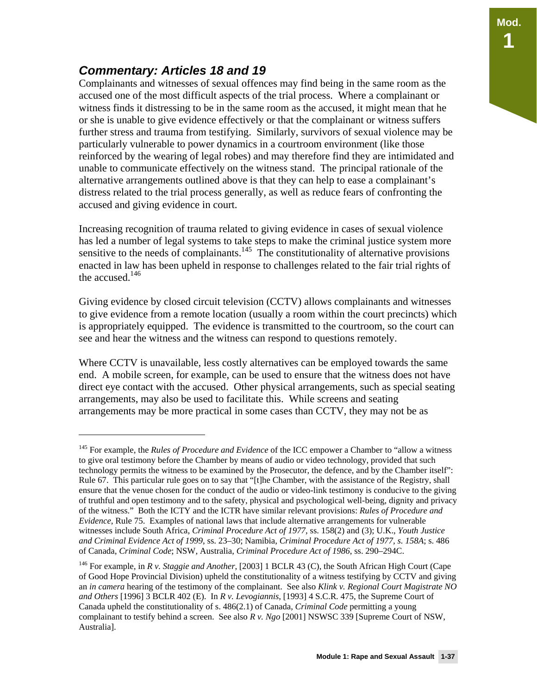#### *Commentary: Articles 18 and 19*

 $\overline{a}$ 

Complainants and witnesses of sexual offences may find being in the same room as the accused one of the most difficult aspects of the trial process. Where a complainant or witness finds it distressing to be in the same room as the accused, it might mean that he or she is unable to give evidence effectively or that the complainant or witness suffers further stress and trauma from testifying. Similarly, survivors of sexual violence may be particularly vulnerable to power dynamics in a courtroom environment (like those reinforced by the wearing of legal robes) and may therefore find they are intimidated and unable to communicate effectively on the witness stand. The principal rationale of the alternative arrangements outlined above is that they can help to ease a complainant's distress related to the trial process generally, as well as reduce fears of confronting the accused and giving evidence in court.

Increasing recognition of trauma related to giving evidence in cases of sexual violence has led a number of legal systems to take steps to make the criminal justice system more sensitive to the needs of complainants.<sup>145</sup> The constitutionality of alternative provisions enacted in law has been upheld in response to challenges related to the fair trial rights of the accused. $146$ 

Giving evidence by closed circuit television (CCTV) allows complainants and witnesses to give evidence from a remote location (usually a room within the court precincts) which is appropriately equipped. The evidence is transmitted to the courtroom, so the court can see and hear the witness and the witness can respond to questions remotely.

Where CCTV is unavailable, less costly alternatives can be employed towards the same end. A mobile screen, for example, can be used to ensure that the witness does not have direct eye contact with the accused. Other physical arrangements, such as special seating arrangements, may also be used to facilitate this. While screens and seating arrangements may be more practical in some cases than CCTV, they may not be as

<sup>145</sup> For example, the *Rules of Procedure and Evidence* of the ICC empower a Chamber to "allow a witness to give oral testimony before the Chamber by means of audio or video technology, provided that such technology permits the witness to be examined by the Prosecutor, the defence, and by the Chamber itself": Rule 67. This particular rule goes on to say that "[t]he Chamber, with the assistance of the Registry, shall ensure that the venue chosen for the conduct of the audio or video-link testimony is conducive to the giving of truthful and open testimony and to the safety, physical and psychological well-being, dignity and privacy of the witness." Both the ICTY and the ICTR have similar relevant provisions: *Rules of Procedure and Evidence*, Rule 75. Examples of national laws that include alternative arrangements for vulnerable witnesses include South Africa, *Criminal Procedure Act of 1977*, ss. 158(2) and (3); U.K., *Youth Justice and Criminal Evidence Act of 1999*, ss. 23–30; Namibia, *Criminal Procedure Act of 1977, s. 158A*; s. 486 of Canada, *Criminal Code*; NSW, Australia, *Criminal Procedure Act of 1986*, ss. 290–294C.

<sup>146</sup> For example, in *R v. Staggie and Another*, [2003] 1 BCLR 43 (C), the South African High Court (Cape of Good Hope Provincial Division) upheld the constitutionality of a witness testifying by CCTV and giving an *in camera* hearing of the testimony of the complainant. See also *Klink v. Regional Court Magistrate NO and Others* [1996] 3 BCLR 402 (E). In *R v. Levogiannis*, [1993] 4 S.C.R. 475, the Supreme Court of Canada upheld the constitutionality of s. 486(2.1) of Canada, *Criminal Code* permitting a young complainant to testify behind a screen. See also *R v. Ngo* [2001] NSWSC 339 [Supreme Court of NSW, Australia].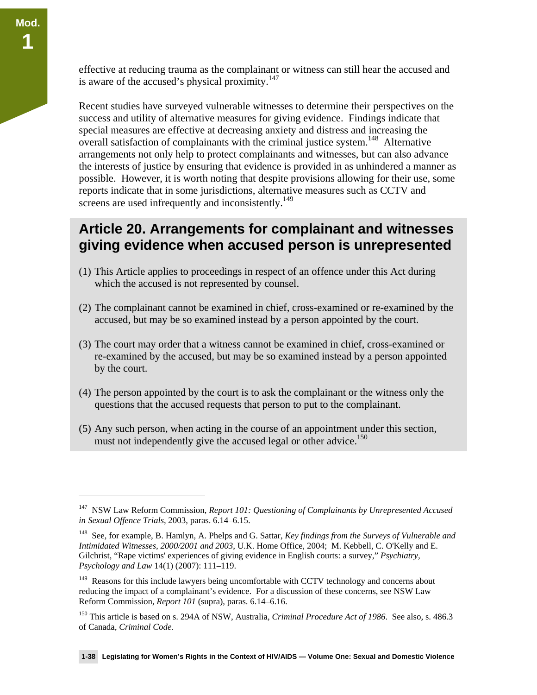$\overline{a}$ 

effective at reducing trauma as the complainant or witness can still hear the accused and is aware of the accused's physical proximity.<sup>147</sup>

Recent studies have surveyed vulnerable witnesses to determine their perspectives on the success and utility of alternative measures for giving evidence. Findings indicate that special measures are effective at decreasing anxiety and distress and increasing the overall satisfaction of complainants with the criminal justice system.<sup>148</sup> Alternative arrangements not only help to protect complainants and witnesses, but can also advance the interests of justice by ensuring that evidence is provided in as unhindered a manner as possible. However, it is worth noting that despite provisions allowing for their use, some reports indicate that in some jurisdictions, alternative measures such as CCTV and screens are used infrequently and inconsistently.<sup>149</sup>

#### **Article 20. Arrangements for complainant and witnesses giving evidence when accused person is unrepresented**

- (1) This Article applies to proceedings in respect of an offence under this Act during which the accused is not represented by counsel.
- (2) The complainant cannot be examined in chief, cross-examined or re-examined by the accused, but may be so examined instead by a person appointed by the court.
- (3) The court may order that a witness cannot be examined in chief, cross-examined or re-examined by the accused, but may be so examined instead by a person appointed by the court.
- (4) The person appointed by the court is to ask the complainant or the witness only the questions that the accused requests that person to put to the complainant.
- (5) Any such person, when acting in the course of an appointment under this section, must not independently give the accused legal or other advice.<sup>150</sup>

<sup>147</sup> NSW Law Reform Commission, *Report 101: Questioning of Complainants by Unrepresented Accused in Sexual Offence Trials*, 2003, paras. 6.14–6.15.

<sup>148</sup> See, for example, B. Hamlyn, A. Phelps and G. Sattar, *Key findings from the Surveys of Vulnerable and Intimidated Witnesses, 2000/2001 and 2003*, U.K. Home Office, 2004; M. Kebbell, C. O'Kelly and E. Gilchrist, "Rape victims' experiences of giving evidence in English courts: a survey," *Psychiatry, Psychology and Law* 14(1) (2007): 111–119.

<sup>&</sup>lt;sup>149</sup> Reasons for this include lawyers being uncomfortable with CCTV technology and concerns about reducing the impact of a complainant's evidence. For a discussion of these concerns, see NSW Law Reform Commission, *Report 101* (supra), paras. 6.14–6.16.

<sup>150</sup> This article is based on s. 294A of NSW, Australia, *Criminal Procedure Act of 1986*. See also, s. 486.3 of Canada, *Criminal Code*.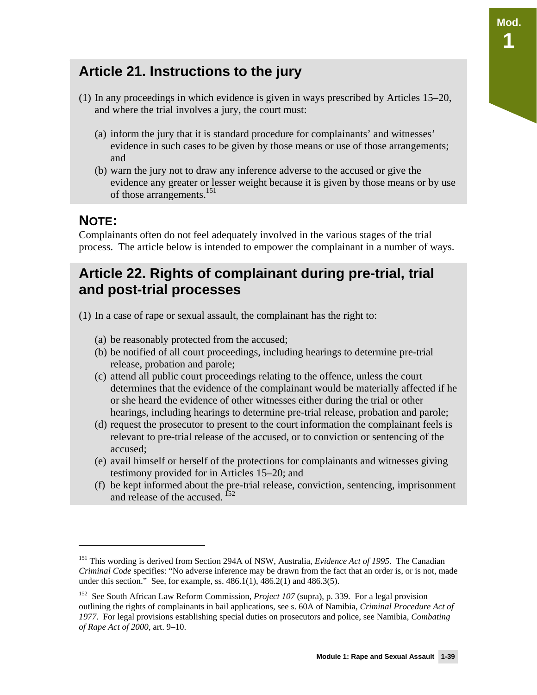- (1) In any proceedings in which evidence is given in ways prescribed by Articles 15–20, and where the trial involves a jury, the court must:
	- (a) inform the jury that it is standard procedure for complainants' and witnesses' evidence in such cases to be given by those means or use of those arrangements; and
	- (b) warn the jury not to draw any inference adverse to the accused or give the evidence any greater or lesser weight because it is given by those means or by use of those arrangements.<sup>151</sup>

### **NOTE:**

 $\overline{a}$ 

Complainants often do not feel adequately involved in the various stages of the trial process. The article below is intended to empower the complainant in a number of ways.

### **Article 22. Rights of complainant during pre-trial, trial and post-trial processes**

- (1) In a case of rape or sexual assault, the complainant has the right to:
	- (a) be reasonably protected from the accused;
	- (b) be notified of all court proceedings, including hearings to determine pre-trial release, probation and parole;
	- (c) attend all public court proceedings relating to the offence, unless the court determines that the evidence of the complainant would be materially affected if he or she heard the evidence of other witnesses either during the trial or other hearings, including hearings to determine pre-trial release, probation and parole;
	- (d) request the prosecutor to present to the court information the complainant feels is relevant to pre-trial release of the accused, or to conviction or sentencing of the accused;
	- (e) avail himself or herself of the protections for complainants and witnesses giving testimony provided for in Articles 15–20; and
	- (f) be kept informed about the pre-trial release, conviction, sentencing, imprisonment and release of the accused. <sup>152</sup>

**Mod.** 

**1** 

<sup>151</sup> This wording is derived from Section 294A of NSW, Australia, *Evidence Act of 1995*. The Canadian *Criminal Code* specifies: "No adverse inference may be drawn from the fact that an order is, or is not, made under this section." See, for example, ss. 486.1(1), 486.2(1) and 486.3(5).

<sup>152</sup> See South African Law Reform Commission, *Project 107* (supra), p. 339. For a legal provision outlining the rights of complainants in bail applications, see s. 60A of Namibia, *Criminal Procedure Act of 1977*. For legal provisions establishing special duties on prosecutors and police, see Namibia, *Combating of Rape Act of 2000*, art. 9–10.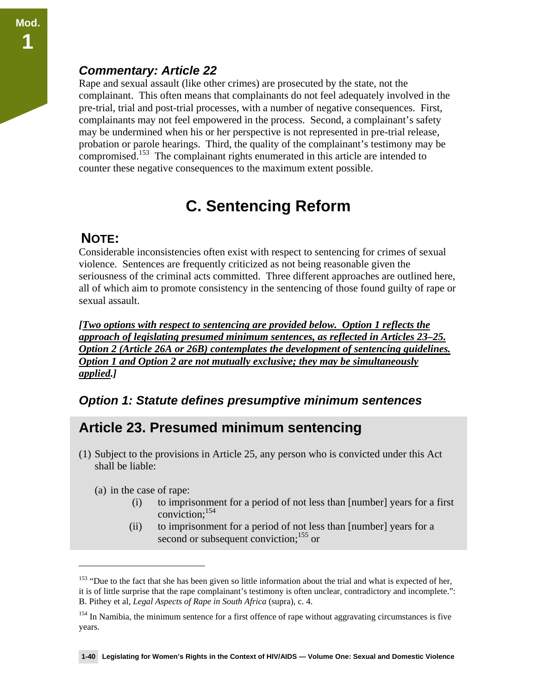#### *Commentary: Article 22*

Rape and sexual assault (like other crimes) are prosecuted by the state, not the complainant. This often means that complainants do not feel adequately involved in the pre-trial, trial and post-trial processes, with a number of negative consequences. First, complainants may not feel empowered in the process. Second, a complainant's safety may be undermined when his or her perspective is not represented in pre-trial release, probation or parole hearings. Third, the quality of the complainant's testimony may be compromised.<sup>153</sup> The complainant rights enumerated in this article are intended to counter these negative consequences to the maximum extent possible.

# **C. Sentencing Reform**

#### **NOTE:**

Considerable inconsistencies often exist with respect to sentencing for crimes of sexual violence. Sentences are frequently criticized as not being reasonable given the seriousness of the criminal acts committed. Three different approaches are outlined here, all of which aim to promote consistency in the sentencing of those found guilty of rape or sexual assault.

*[Two options with respect to sentencing are provided below. Option 1 reflects the approach of legislating presumed minimum sentences, as reflected in Articles 23–25. Option 2 (Article 26A or 26B) contemplates the development of sentencing guidelines. Option 1 and Option 2 are not mutually exclusive; they may be simultaneously applied.]* 

#### *Option 1: Statute defines presumptive minimum sentences*

### **Article 23. Presumed minimum sentencing**

- (1) Subject to the provisions in Article 25, any person who is convicted under this Act shall be liable:
	- (a) in the case of rape:

- (i) to imprisonment for a period of not less than [number] years for a first conviction;154
- (ii) to imprisonment for a period of not less than [number] years for a second or subsequent conviction;<sup>155</sup> or

<sup>&</sup>lt;sup>153</sup> "Due to the fact that she has been given so little information about the trial and what is expected of her, it is of little surprise that the rape complainant's testimony is often unclear, contradictory and incomplete.": B. Pithey et al, *Legal Aspects of Rape in South Africa* (supra), c. 4.

<sup>&</sup>lt;sup>154</sup> In Namibia, the minimum sentence for a first offence of rape without aggravating circumstances is five years.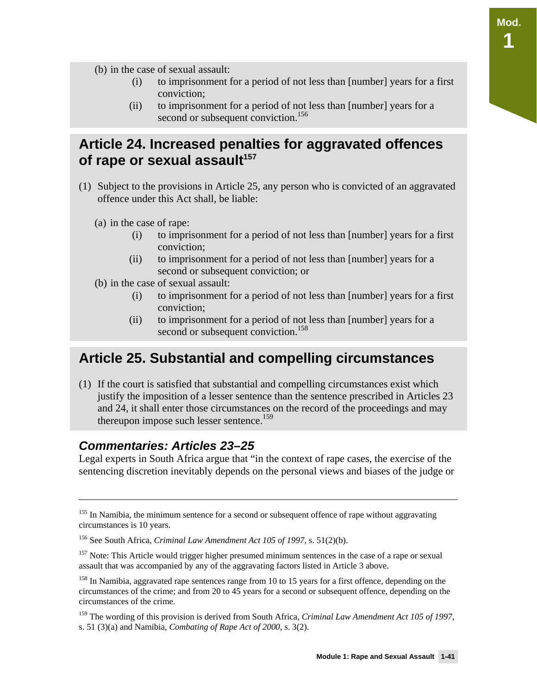**Mod. 1** 

(b) in the case of sexual assault:

- (i) to imprisonment for a period of not less than [number] years for a first conviction;
- (ii) to imprisonment for a period of not less than [number] years for a second or subsequent conviction.<sup>156</sup>

### **Article 24. Increased penalties for aggravated offences**  of rape or sexual assault<sup>157</sup>

- (1) Subject to the provisions in Article 25, any person who is convicted of an aggravated offence under this Act shall, be liable:
	- (a) in the case of rape:
		- (i) to imprisonment for a period of not less than [number] years for a first conviction;
		- (ii) to imprisonment for a period of not less than [number] years for a second or subsequent conviction; or
	- (b) in the case of sexual assault:
		- (i) to imprisonment for a period of not less than [number] years for a first conviction;
		- (ii) to imprisonment for a period of not less than [number] years for a second or subsequent conviction.<sup>158</sup>

### **Article 25. Substantial and compelling circumstances**

(1) If the court is satisfied that substantial and compelling circumstances exist which justify the imposition of a lesser sentence than the sentence prescribed in Articles 23 and 24, it shall enter those circumstances on the record of the proceedings and may thereupon impose such lesser sentence.<sup>159</sup>

#### *Commentaries: Articles 23–25*

 $\overline{a}$ 

Legal experts in South Africa argue that "in the context of rape cases, the exercise of the sentencing discretion inevitably depends on the personal views and biases of the judge or

<sup>&</sup>lt;sup>155</sup> In Namibia, the minimum sentence for a second or subsequent offence of rape without aggravating circumstances is 10 years.

<sup>156</sup> See South Africa, *Criminal Law Amendment Act 105 of 1997*, s. 51(2)(b).

<sup>&</sup>lt;sup>157</sup> Note: This Article would trigger higher presumed minimum sentences in the case of a rape or sexual assault that was accompanied by any of the aggravating factors listed in Article 3 above.

<sup>&</sup>lt;sup>158</sup> In Namibia, aggravated rape sentences range from 10 to 15 years for a first offence, depending on the circumstances of the crime; and from 20 to 45 years for a second or subsequent offence, depending on the circumstances of the crime.

<sup>159</sup> The wording of this provision is derived from South Africa, *Criminal Law Amendment Act 105 of 1997*, s. 51 (3)(a) and Namibia, *Combating of Rape Act of 2000,* s. 3(2).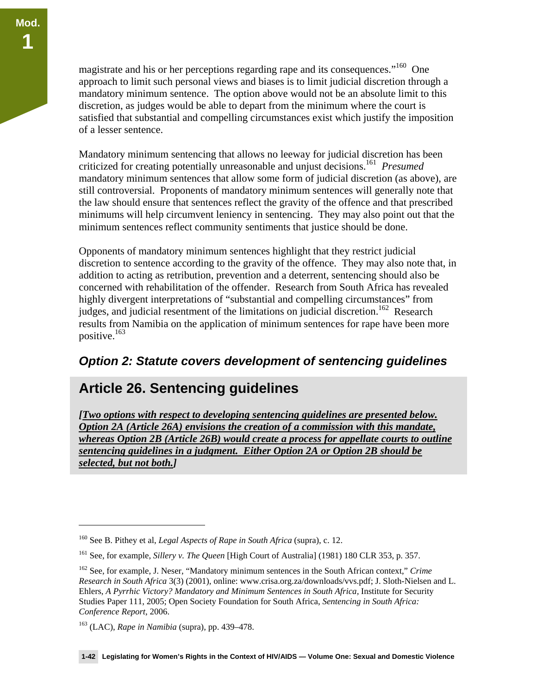magistrate and his or her perceptions regarding rape and its consequences."160 One approach to limit such personal views and biases is to limit judicial discretion through a mandatory minimum sentence. The option above would not be an absolute limit to this discretion, as judges would be able to depart from the minimum where the court is satisfied that substantial and compelling circumstances exist which justify the imposition of a lesser sentence.

Mandatory minimum sentencing that allows no leeway for judicial discretion has been criticized for creating potentially unreasonable and unjust decisions.161 *Presumed* mandatory minimum sentences that allow some form of judicial discretion (as above), are still controversial. Proponents of mandatory minimum sentences will generally note that the law should ensure that sentences reflect the gravity of the offence and that prescribed minimums will help circumvent leniency in sentencing. They may also point out that the minimum sentences reflect community sentiments that justice should be done.

Opponents of mandatory minimum sentences highlight that they restrict judicial discretion to sentence according to the gravity of the offence. They may also note that, in addition to acting as retribution, prevention and a deterrent, sentencing should also be concerned with rehabilitation of the offender. Research from South Africa has revealed highly divergent interpretations of "substantial and compelling circumstances" from judges, and judicial resentment of the limitations on judicial discretion.<sup>162</sup> Research results from Namibia on the application of minimum sentences for rape have been more positive. $163$ 

#### *Option 2: Statute covers development of sentencing guidelines*

### **Article 26. Sentencing guidelines**

*[Two options with respect to developing sentencing guidelines are presented below. Option 2A (Article 26A) envisions the creation of a commission with this mandate, whereas Option 2B (Article 26B) would create a process for appellate courts to outline sentencing guidelines in a judgment. Either Option 2A or Option 2B should be selected, but not both.]* 

<sup>160</sup> See B. Pithey et al, *Legal Aspects of Rape in South Africa* (supra), c. 12.

<sup>161</sup> See, for example, *Sillery v. The Queen* [High Court of Australia] (1981) 180 CLR 353, p. 357.

<sup>162</sup> See, for example, J. Neser, "Mandatory minimum sentences in the South African context," *Crime Research in South Africa* 3(3) (2001), online: www.crisa.org.za/downloads/vvs.pdf; J. Sloth-Nielsen and L. Ehlers, *A Pyrrhic Victory? Mandatory and Minimum Sentences in South Africa,* Institute for Security Studies Paper 111, 2005; Open Society Foundation for South Africa, *Sentencing in South Africa: Conference Report*, 2006.

<sup>163 (</sup>LAC), *Rape in Namibia* (supra), pp. 439–478.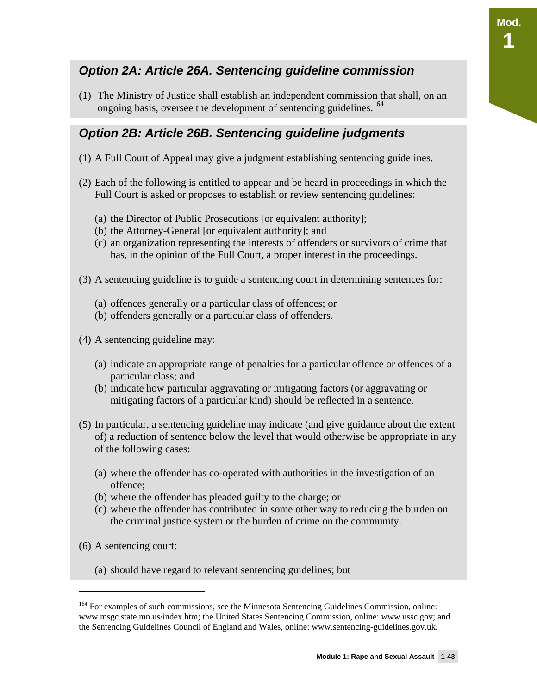#### *Option 2A: Article 26A. Sentencing guideline commission*

(1) The Ministry of Justice shall establish an independent commission that shall, on an ongoing basis, oversee the development of sentencing guidelines.<sup>164</sup>

#### *Option 2B: Article 26B. Sentencing guideline judgments*

- (1) A Full Court of Appeal may give a judgment establishing sentencing guidelines.
- (2) Each of the following is entitled to appear and be heard in proceedings in which the Full Court is asked or proposes to establish or review sentencing guidelines:
	- (a) the Director of Public Prosecutions [or equivalent authority];
	- (b) the Attorney-General [or equivalent authority]; and
	- (c) an organization representing the interests of offenders or survivors of crime that has, in the opinion of the Full Court, a proper interest in the proceedings.
- (3) A sentencing guideline is to guide a sentencing court in determining sentences for:
	- (a) offences generally or a particular class of offences; or
	- (b) offenders generally or a particular class of offenders.
- (4) A sentencing guideline may:
	- (a) indicate an appropriate range of penalties for a particular offence or offences of a particular class; and
	- (b) indicate how particular aggravating or mitigating factors (or aggravating or mitigating factors of a particular kind) should be reflected in a sentence.
- (5) In particular, a sentencing guideline may indicate (and give guidance about the extent of) a reduction of sentence below the level that would otherwise be appropriate in any of the following cases:
	- (a) where the offender has co-operated with authorities in the investigation of an offence;
	- (b) where the offender has pleaded guilty to the charge; or
	- (c) where the offender has contributed in some other way to reducing the burden on the criminal justice system or the burden of crime on the community.
- (6) A sentencing court:

 $\overline{a}$ 

(a) should have regard to relevant sentencing guidelines; but

**Mod.** 

**1** 

<sup>&</sup>lt;sup>164</sup> For examples of such commissions, see the Minnesota Sentencing Guidelines Commission, online: www.msgc.state.mn.us/index.htm; the United States Sentencing Commission, online: www.ussc.gov; and the Sentencing Guidelines Council of England and Wales, online: www.sentencing-guidelines.gov.uk.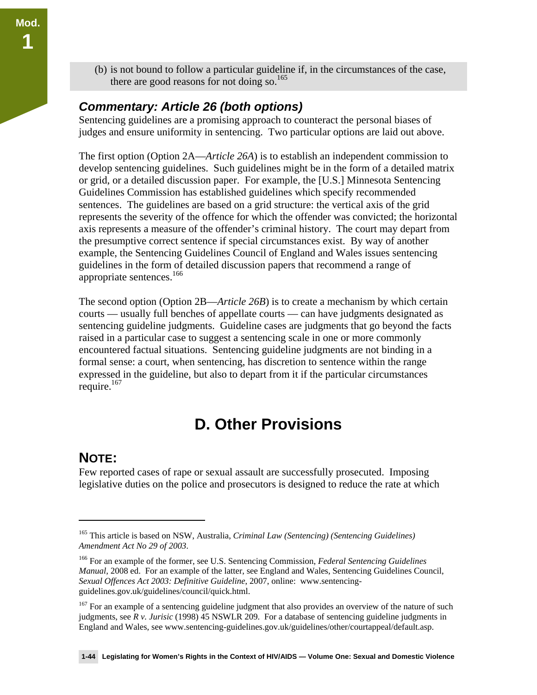(b) is not bound to follow a particular guideline if, in the circumstances of the case, there are good reasons for not doing so.<sup>165</sup>

#### *Commentary: Article 26 (both options)*

Sentencing guidelines are a promising approach to counteract the personal biases of judges and ensure uniformity in sentencing. Two particular options are laid out above.

The first option (Option 2A—*Article 26A*) is to establish an independent commission to develop sentencing guidelines. Such guidelines might be in the form of a detailed matrix or grid, or a detailed discussion paper. For example, the [U.S.] Minnesota Sentencing Guidelines Commission has established guidelines which specify recommended sentences. The guidelines are based on a grid structure: the vertical axis of the grid represents the severity of the offence for which the offender was convicted; the horizontal axis represents a measure of the offender's criminal history. The court may depart from the presumptive correct sentence if special circumstances exist. By way of another example, the Sentencing Guidelines Council of England and Wales issues sentencing guidelines in the form of detailed discussion papers that recommend a range of appropriate sentences.<sup>166</sup>

The second option (Option 2B—*Article 26B*) is to create a mechanism by which certain courts — usually full benches of appellate courts — can have judgments designated as sentencing guideline judgments. Guideline cases are judgments that go beyond the facts raised in a particular case to suggest a sentencing scale in one or more commonly encountered factual situations. Sentencing guideline judgments are not binding in a formal sense: a court, when sentencing, has discretion to sentence within the range expressed in the guideline, but also to depart from it if the particular circumstances require. $167$ 

# **D. Other Provisions**

#### **NOTE:**

 $\overline{a}$ 

Few reported cases of rape or sexual assault are successfully prosecuted. Imposing legislative duties on the police and prosecutors is designed to reduce the rate at which

<sup>165</sup> This article is based on NSW, Australia, *Criminal Law (Sentencing) (Sentencing Guidelines) Amendment Act No 29 of 2003*.

<sup>166</sup> For an example of the former, see U.S. Sentencing Commission, *Federal Sentencing Guidelines Manual*, 2008 ed. For an example of the latter, see England and Wales, Sentencing Guidelines Council, *Sexual Offences Act 2003: Definitive Guideline*, 2007, online: www.sentencingguidelines.gov.uk/guidelines/council/quick.html.

<sup>&</sup>lt;sup>167</sup> For an example of a sentencing guideline judgment that also provides an overview of the nature of such judgments, see *R v. Jurisic* (1998) 45 NSWLR 209. For a database of sentencing guideline judgments in England and Wales, see www.sentencing-guidelines.gov.uk/guidelines/other/courtappeal/default.asp.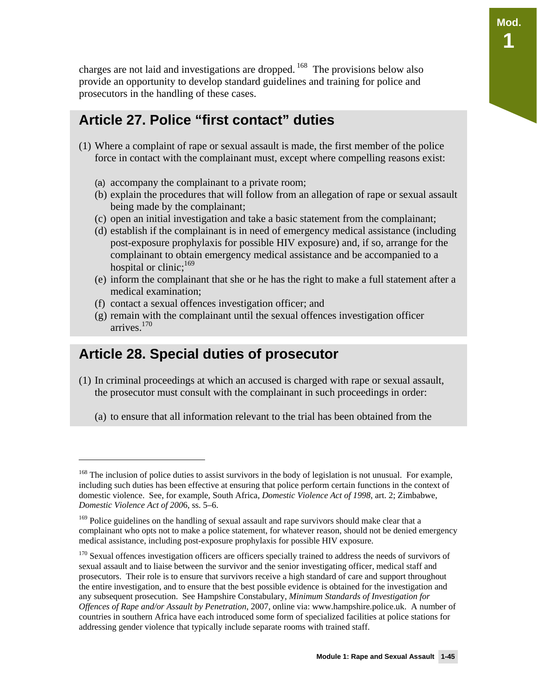**Mod.** 

**1** 

charges are not laid and investigations are dropped. <sup>168</sup> The provisions below also provide an opportunity to develop standard guidelines and training for police and prosecutors in the handling of these cases.

### **Article 27. Police "first contact" duties**

- (1) Where a complaint of rape or sexual assault is made, the first member of the police force in contact with the complainant must, except where compelling reasons exist:
	- (a) accompany the complainant to a private room;
	- (b) explain the procedures that will follow from an allegation of rape or sexual assault being made by the complainant;
	- (c) open an initial investigation and take a basic statement from the complainant;
	- (d) establish if the complainant is in need of emergency medical assistance (including post-exposure prophylaxis for possible HIV exposure) and, if so, arrange for the complainant to obtain emergency medical assistance and be accompanied to a hospital or clinic;<sup>169</sup>
	- (e) inform the complainant that she or he has the right to make a full statement after a medical examination;
	- (f) contact a sexual offences investigation officer; and
	- (g) remain with the complainant until the sexual offences investigation officer arrives.170

### **Article 28. Special duties of prosecutor**

- (1) In criminal proceedings at which an accused is charged with rape or sexual assault, the prosecutor must consult with the complainant in such proceedings in order:
	- (a) to ensure that all information relevant to the trial has been obtained from the

<sup>&</sup>lt;sup>168</sup> The inclusion of police duties to assist survivors in the body of legislation is not unusual. For example, including such duties has been effective at ensuring that police perform certain functions in the context of domestic violence. See, for example, South Africa, *Domestic Violence Act of 1998*, art. 2; Zimbabwe, *Domestic Violence Act of 200*6, ss. 5–6.

<sup>&</sup>lt;sup>169</sup> Police guidelines on the handling of sexual assault and rape survivors should make clear that a complainant who opts not to make a police statement, for whatever reason, should not be denied emergency medical assistance, including post-exposure prophylaxis for possible HIV exposure.

<sup>&</sup>lt;sup>170</sup> Sexual offences investigation officers are officers specially trained to address the needs of survivors of sexual assault and to liaise between the survivor and the senior investigating officer, medical staff and prosecutors. Their role is to ensure that survivors receive a high standard of care and support throughout the entire investigation, and to ensure that the best possible evidence is obtained for the investigation and any subsequent prosecution. See Hampshire Constabulary, *Minimum Standards of Investigation for Offences of Rape and/or Assault by Penetration*, 2007, online via: www.hampshire.police.uk. A number of countries in southern Africa have each introduced some form of specialized facilities at police stations for addressing gender violence that typically include separate rooms with trained staff.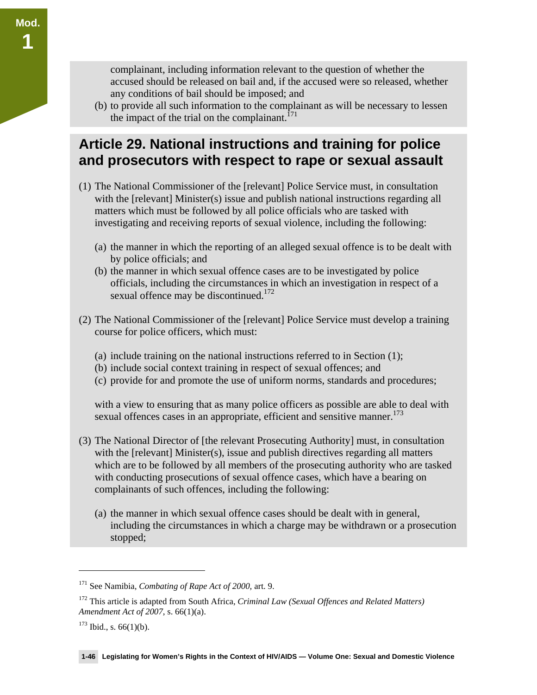complainant, including information relevant to the question of whether the accused should be released on bail and, if the accused were so released, whether any conditions of bail should be imposed; and

(b) to provide all such information to the complainant as will be necessary to lessen the impact of the trial on the complainant.<sup> $171$ </sup>

### **Article 29. National instructions and training for police and prosecutors with respect to rape or sexual assault**

- (1) The National Commissioner of the [relevant] Police Service must, in consultation with the [relevant] Minister(s) issue and publish national instructions regarding all matters which must be followed by all police officials who are tasked with investigating and receiving reports of sexual violence, including the following:
	- (a) the manner in which the reporting of an alleged sexual offence is to be dealt with by police officials; and
	- (b) the manner in which sexual offence cases are to be investigated by police officials, including the circumstances in which an investigation in respect of a sexual offence may be discontinued.<sup>172</sup>
- (2) The National Commissioner of the [relevant] Police Service must develop a training course for police officers, which must:
	- (a) include training on the national instructions referred to in Section (1);
	- (b) include social context training in respect of sexual offences; and
	- (c) provide for and promote the use of uniform norms, standards and procedures;

with a view to ensuring that as many police officers as possible are able to deal with sexual offences cases in an appropriate, efficient and sensitive manner.<sup>173</sup>

- (3) The National Director of [the relevant Prosecuting Authority] must, in consultation with the [relevant] Minister(s), issue and publish directives regarding all matters which are to be followed by all members of the prosecuting authority who are tasked with conducting prosecutions of sexual offence cases, which have a bearing on complainants of such offences, including the following:
	- (a) the manner in which sexual offence cases should be dealt with in general, including the circumstances in which a charge may be withdrawn or a prosecution stopped;

<sup>171</sup> See Namibia, *Combating of Rape Act of 2000,* art. 9.

<sup>172</sup> This article is adapted from South Africa, *Criminal Law (Sexual Offences and Related Matters) Amendment Act of 2007*, s. 66(1)(a).

 $173$  Ibid., s. 66(1)(b).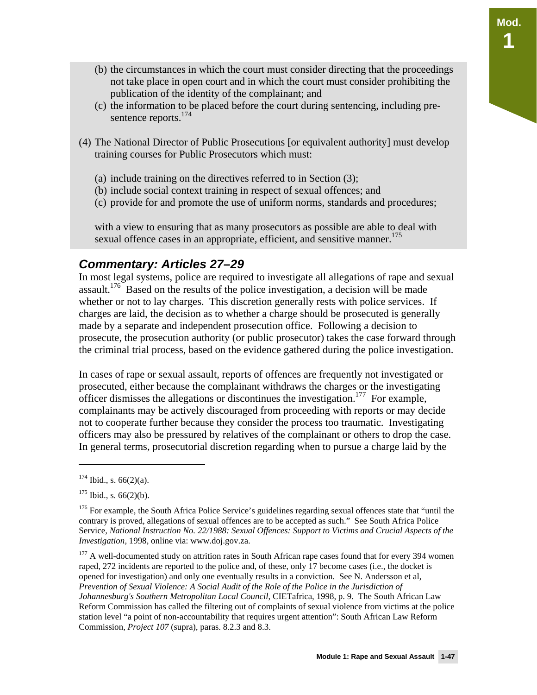- (b) the circumstances in which the court must consider directing that the proceedings not take place in open court and in which the court must consider prohibiting the publication of the identity of the complainant; and
- (c) the information to be placed before the court during sentencing, including presentence reports.<sup>174</sup>
- (4) The National Director of Public Prosecutions [or equivalent authority] must develop training courses for Public Prosecutors which must:
	- (a) include training on the directives referred to in Section (3);
	- (b) include social context training in respect of sexual offences; and
	- (c) provide for and promote the use of uniform norms, standards and procedures;

with a view to ensuring that as many prosecutors as possible are able to deal with sexual offence cases in an appropriate, efficient, and sensitive manner.<sup>175</sup>

#### *Commentary: Articles 27–29*

In most legal systems, police are required to investigate all allegations of rape and sexual assault.<sup>176</sup> Based on the results of the police investigation, a decision will be made whether or not to lay charges. This discretion generally rests with police services. If charges are laid, the decision as to whether a charge should be prosecuted is generally made by a separate and independent prosecution office. Following a decision to prosecute, the prosecution authority (or public prosecutor) takes the case forward through the criminal trial process, based on the evidence gathered during the police investigation.

In cases of rape or sexual assault, reports of offences are frequently not investigated or prosecuted, either because the complainant withdraws the charges or the investigating officer dismisses the allegations or discontinues the investigation.<sup>177</sup> For example, complainants may be actively discouraged from proceeding with reports or may decide not to cooperate further because they consider the process too traumatic. Investigating officers may also be pressured by relatives of the complainant or others to drop the case. In general terms, prosecutorial discretion regarding when to pursue a charge laid by the

 $174$  Ibid., s. 66(2)(a).

 $175$  Ibid., s. 66(2)(b).

<sup>&</sup>lt;sup>176</sup> For example, the South Africa Police Service's guidelines regarding sexual offences state that "until the contrary is proved, allegations of sexual offences are to be accepted as such." See South Africa Police Service, *National Instruction No. 22/1988: Sexual Offences: Support to Victims and Crucial Aspects of the Investigation,* 1998, online via: www.doj.gov.za.

<sup>&</sup>lt;sup>177</sup> A well-documented study on attrition rates in South African rape cases found that for every 394 women raped, 272 incidents are reported to the police and, of these, only 17 become cases (i.e., the docket is opened for investigation) and only one eventually results in a conviction. See N. Andersson et al, *Prevention of Sexual Violence: A Social Audit of the Role of the Police in the Jurisdiction of Johannesburg's Southern Metropolitan Local Council*, CIETafrica, 1998, p. 9. The South African Law Reform Commission has called the filtering out of complaints of sexual violence from victims at the police station level "a point of non-accountability that requires urgent attention": South African Law Reform Commission, *Project 107* (supra), paras. 8.2.3 and 8.3.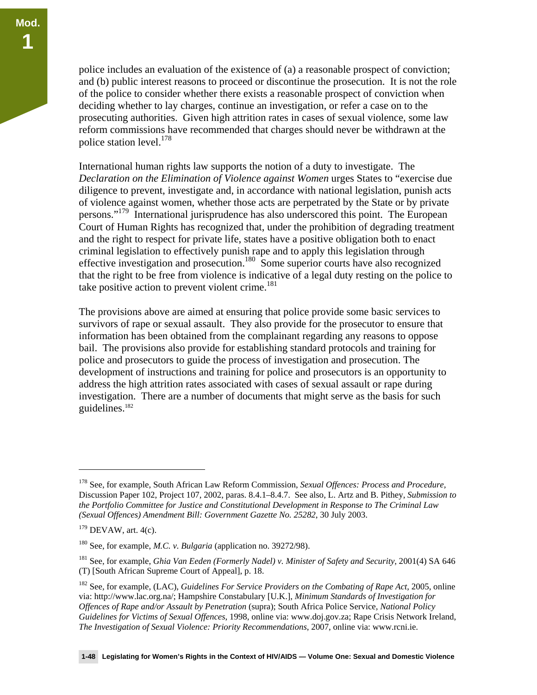police includes an evaluation of the existence of (a) a reasonable prospect of conviction; and (b) public interest reasons to proceed or discontinue the prosecution. It is not the role of the police to consider whether there exists a reasonable prospect of conviction when deciding whether to lay charges, continue an investigation, or refer a case on to the prosecuting authorities. Given high attrition rates in cases of sexual violence, some law reform commissions have recommended that charges should never be withdrawn at the police station level.<sup>178</sup>

International human rights law supports the notion of a duty to investigate. The *Declaration on the Elimination of Violence against Women* urges States to "exercise due diligence to prevent, investigate and, in accordance with national legislation, punish acts of violence against women, whether those acts are perpetrated by the State or by private persons."<sup>179</sup> International jurisprudence has also underscored this point. The European Court of Human Rights has recognized that, under the prohibition of degrading treatment and the right to respect for private life, states have a positive obligation both to enact criminal legislation to effectively punish rape and to apply this legislation through effective investigation and prosecution.<sup>180</sup> Some superior courts have also recognized that the right to be free from violence is indicative of a legal duty resting on the police to take positive action to prevent violent crime. $181$ 

The provisions above are aimed at ensuring that police provide some basic services to survivors of rape or sexual assault. They also provide for the prosecutor to ensure that information has been obtained from the complainant regarding any reasons to oppose bail. The provisions also provide for establishing standard protocols and training for police and prosecutors to guide the process of investigation and prosecution. The development of instructions and training for police and prosecutors is an opportunity to address the high attrition rates associated with cases of sexual assault or rape during investigation. There are a number of documents that might serve as the basis for such guidelines.182

<sup>178</sup> See, for example, South African Law Reform Commission, *Sexual Offences: Process and Procedure,*  Discussion Paper 102, Project 107, 2002, paras. 8.4.1–8.4.7. See also, L. Artz and B. Pithey, *Submission to the Portfolio Committee for Justice and Constitutional Development in Response to The Criminal Law (Sexual Offences) Amendment Bill: Government Gazette No. 25282*, 30 July 2003.

 $179$  DEVAW, art. 4(c).

<sup>180</sup> See, for example, *M.C. v. Bulgaria* (application no. 39272/98).

<sup>181</sup> See, for example, *Ghia Van Eeden (Formerly Nadel) v. Minister of Safety and Security*, 2001(4) SA 646 (T) [South African Supreme Court of Appeal], p. 18.

<sup>182</sup> See, for example, (LAC), *Guidelines For Service Providers on the Combating of Rape Act*, 2005, online via: http://www.lac.org.na/; Hampshire Constabulary [U.K.], *Minimum Standards of Investigation for Offences of Rape and/or Assault by Penetration* (supra); South Africa Police Service, *National Policy Guidelines for Victims of Sexual Offences*, 1998, online via: www.doj.gov.za; Rape Crisis Network Ireland, *The Investigation of Sexual Violence: Priority Recommendations*, 2007, online via: www.rcni.ie.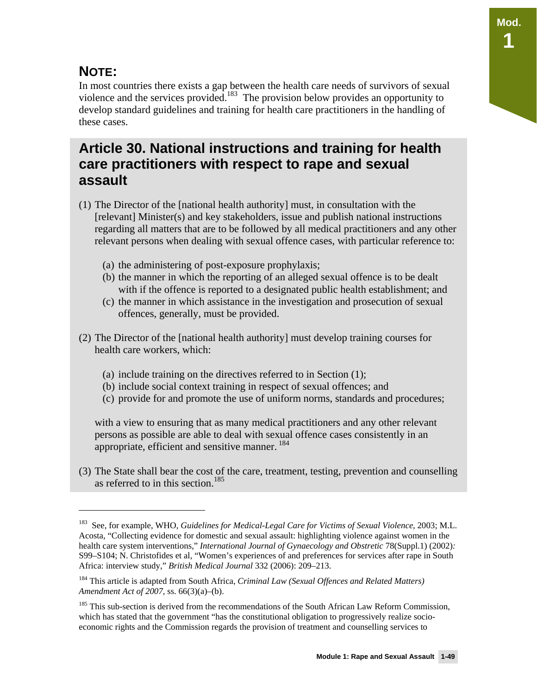### **NOTE:**

<u>.</u>

In most countries there exists a gap between the health care needs of survivors of sexual violence and the services provided.183 The provision below provides an opportunity to develop standard guidelines and training for health care practitioners in the handling of these cases.

### **Article 30. National instructions and training for health care practitioners with respect to rape and sexual assault**

- (1) The Director of the [national health authority] must, in consultation with the [relevant] Minister(s) and key stakeholders, issue and publish national instructions regarding all matters that are to be followed by all medical practitioners and any other relevant persons when dealing with sexual offence cases, with particular reference to:
	- (a) the administering of post-exposure prophylaxis;
	- (b) the manner in which the reporting of an alleged sexual offence is to be dealt with if the offence is reported to a designated public health establishment; and
	- (c) the manner in which assistance in the investigation and prosecution of sexual offences, generally, must be provided.
- (2) The Director of the [national health authority] must develop training courses for health care workers, which:
	- (a) include training on the directives referred to in Section (1);
	- (b) include social context training in respect of sexual offences; and
	- (c) provide for and promote the use of uniform norms, standards and procedures;

with a view to ensuring that as many medical practitioners and any other relevant persons as possible are able to deal with sexual offence cases consistently in an appropriate, efficient and sensitive manner.<sup>184</sup>

(3) The State shall bear the cost of the care, treatment, testing, prevention and counselling as referred to in this section.<sup>185</sup>

<sup>183</sup> See, for example, WHO, *Guidelines for Medical-Legal Care for Victims of Sexual Violence*, 2003; M.L. Acosta, "Collecting evidence for domestic and sexual assault: highlighting violence against women in the health care system interventions," *International Journal of Gynaecology and Obstretic* 78(Suppl.1) (2002)*:*  S99–S104; N. Christofides et al, "Women's experiences of and preferences for services after rape in South Africa: interview study," *British Medical Journal* 332 (2006): 209–213.

<sup>184</sup> This article is adapted from South Africa, *Criminal Law (Sexual Offences and Related Matters) Amendment Act of 2007,* ss. 66(3)(a)–(b).

<sup>&</sup>lt;sup>185</sup> This sub-section is derived from the recommendations of the South African Law Reform Commission, which has stated that the government "has the constitutional obligation to progressively realize socioeconomic rights and the Commission regards the provision of treatment and counselling services to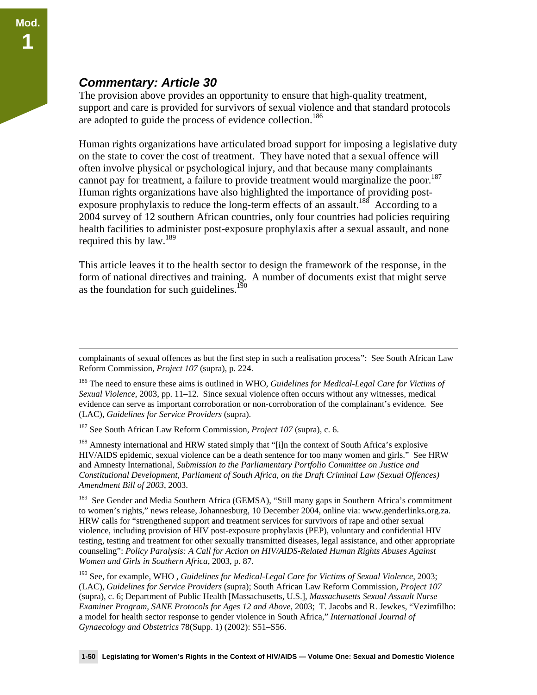#### *Commentary: Article 30*

The provision above provides an opportunity to ensure that high-quality treatment, support and care is provided for survivors of sexual violence and that standard protocols are adopted to guide the process of evidence collection.<sup>186</sup>

Human rights organizations have articulated broad support for imposing a legislative duty on the state to cover the cost of treatment. They have noted that a sexual offence will often involve physical or psychological injury, and that because many complainants cannot pay for treatment, a failure to provide treatment would marginalize the poor.<sup>187</sup> Human rights organizations have also highlighted the importance of providing postexposure prophylaxis to reduce the long-term effects of an assault.<sup>188</sup> According to a 2004 survey of 12 southern African countries, only four countries had policies requiring health facilities to administer post-exposure prophylaxis after a sexual assault, and none required this by  $law.<sup>189</sup>$ 

This article leaves it to the health sector to design the framework of the response, in the form of national directives and training. A number of documents exist that might serve as the foundation for such guidelines. $190$ 

187 See South African Law Reform Commission, *Project 107* (supra), c. 6.

<sup>188</sup> Amnesty international and HRW stated simply that "[i]n the context of South Africa's explosive HIV/AIDS epidemic, sexual violence can be a death sentence for too many women and girls." See HRW and Amnesty International, *Submission to the Parliamentary Portfolio Committee on Justice and Constitutional Development, Parliament of South Africa, on the Draft Criminal Law (Sexual Offences) Amendment Bill of 2003*, 2003.

<sup>189</sup> See Gender and Media Southern Africa (GEMSA), "Still many gaps in Southern Africa's commitment to women's rights," news release, Johannesburg, 10 December 2004, online via: www.genderlinks.org.za. HRW calls for "strengthened support and treatment services for survivors of rape and other sexual violence, including provision of HIV post-exposure prophylaxis (PEP), voluntary and confidential HIV testing, testing and treatment for other sexually transmitted diseases, legal assistance, and other appropriate counseling": *Policy Paralysis: A Call for Action on HIV/AIDS-Related Human Rights Abuses Against Women and Girls in Southern Africa*, 2003, p. 87.

190 See, for example, WHO , *Guidelines for Medical-Legal Care for Victims of Sexual Violence*, 2003; (LAC), *Guidelines for Service Providers* (supra); South African Law Reform Commission, *Project 107* (supra), c. 6; Department of Public Health [Massachusetts, U.S.], *Massachusetts Sexual Assault Nurse Examiner Program, SANE Protocols for Ages 12 and Above*, 2003; T. Jacobs and R. Jewkes, "Vezimfilho: a model for health sector response to gender violence in South Africa," *International Journal of Gynaecology and Obstetrics* 78(Supp. 1) (2002): S51–S56.

complainants of sexual offences as but the first step in such a realisation process": See South African Law Reform Commission, *Project 107* (supra), p. 224.

<sup>186</sup> The need to ensure these aims is outlined in WHO, *Guidelines for Medical-Legal Care for Victims of Sexual Violence*, 2003, pp. 11–12. Since sexual violence often occurs without any witnesses, medical evidence can serve as important corroboration or non-corroboration of the complainant's evidence. See (LAC), *Guidelines for Service Providers* (supra).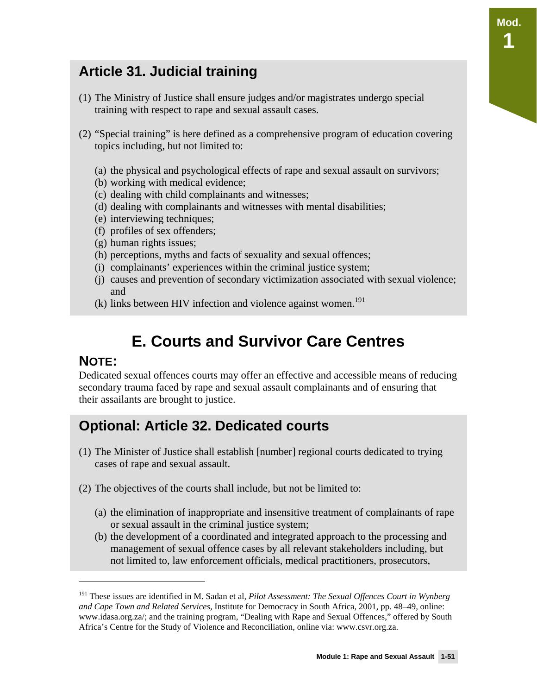## **Article 31. Judicial training**

- (1) The Ministry of Justice shall ensure judges and/or magistrates undergo special training with respect to rape and sexual assault cases.
- (2) "Special training" is here defined as a comprehensive program of education covering topics including, but not limited to:
	- (a) the physical and psychological effects of rape and sexual assault on survivors;
	- (b) working with medical evidence;
	- (c) dealing with child complainants and witnesses;
	- (d) dealing with complainants and witnesses with mental disabilities;
	- (e) interviewing techniques;
	- (f) profiles of sex offenders;
	- (g) human rights issues;
	- (h) perceptions, myths and facts of sexuality and sexual offences;
	- (i) complainants' experiences within the criminal justice system;
	- (j) causes and prevention of secondary victimization associated with sexual violence; and
	- $(k)$  links between HIV infection and violence against women.<sup>191</sup>

# **E. Courts and Survivor Care Centres**

#### **NOTE:**

 $\overline{a}$ 

Dedicated sexual offences courts may offer an effective and accessible means of reducing secondary trauma faced by rape and sexual assault complainants and of ensuring that their assailants are brought to justice.

### **Optional: Article 32. Dedicated courts**

- (1) The Minister of Justice shall establish [number] regional courts dedicated to trying cases of rape and sexual assault.
- (2) The objectives of the courts shall include, but not be limited to:
	- (a) the elimination of inappropriate and insensitive treatment of complainants of rape or sexual assault in the criminal justice system;
	- (b) the development of a coordinated and integrated approach to the processing and management of sexual offence cases by all relevant stakeholders including, but not limited to, law enforcement officials, medical practitioners, prosecutors,

**Mod.** 

**1** 

<sup>191</sup> These issues are identified in M. Sadan et al, *Pilot Assessment: The Sexual Offences Court in Wynberg and Cape Town and Related Services,* Institute for Democracy in South Africa, 2001, pp. 48–49, online: www.idasa.org.za/; and the training program, "Dealing with Rape and Sexual Offences," offered by South Africa's Centre for the Study of Violence and Reconciliation, online via: www.csvr.org.za.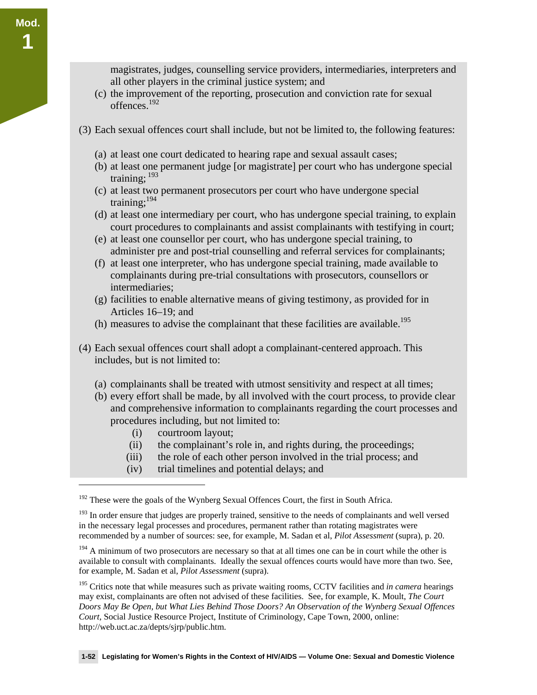magistrates, judges, counselling service providers, intermediaries, interpreters and all other players in the criminal justice system; and

- (c) the improvement of the reporting, prosecution and conviction rate for sexual offences.192
- (3) Each sexual offences court shall include, but not be limited to, the following features:
	- (a) at least one court dedicated to hearing rape and sexual assault cases;
	- (b) at least one permanent judge [or magistrate] per court who has undergone special training:  $193$
	- (c) at least two permanent prosecutors per court who have undergone special training;194
	- (d) at least one intermediary per court, who has undergone special training, to explain court procedures to complainants and assist complainants with testifying in court;
	- (e) at least one counsellor per court, who has undergone special training, to administer pre and post-trial counselling and referral services for complainants;
	- (f) at least one interpreter, who has undergone special training, made available to complainants during pre-trial consultations with prosecutors, counsellors or intermediaries;
	- (g) facilities to enable alternative means of giving testimony, as provided for in Articles 16–19; and
	- (h) measures to advise the complainant that these facilities are available.<sup>195</sup>
- (4) Each sexual offences court shall adopt a complainant-centered approach. This includes, but is not limited to:
	- (a) complainants shall be treated with utmost sensitivity and respect at all times;
	- (b) every effort shall be made, by all involved with the court process, to provide clear and comprehensive information to complainants regarding the court processes and procedures including, but not limited to:
		- (i) courtroom layout;

-

**Mod.** 

**1** 

- (ii) the complainant's role in, and rights during, the proceedings;
- (iii) the role of each other person involved in the trial process; and
- (iv) trial timelines and potential delays; and

<sup>&</sup>lt;sup>192</sup> These were the goals of the Wynberg Sexual Offences Court, the first in South Africa.

<sup>&</sup>lt;sup>193</sup> In order ensure that judges are properly trained, sensitive to the needs of complainants and well versed in the necessary legal processes and procedures, permanent rather than rotating magistrates were recommended by a number of sources: see, for example, M. Sadan et al, *Pilot Assessment* (supra), p. 20.

 $194$  A minimum of two prosecutors are necessary so that at all times one can be in court while the other is available to consult with complainants. Ideally the sexual offences courts would have more than two. See, for example, M. Sadan et al, *Pilot Assessment* (supra).

<sup>&</sup>lt;sup>195</sup> Critics note that while measures such as private waiting rooms, CCTV facilities and *in camera* hearings may exist, complainants are often not advised of these facilities. See, for example, K. Moult, *The Court Doors May Be Open, but What Lies Behind Those Doors? An Observation of the Wynberg Sexual Offences Court*, Social Justice Resource Project, Institute of Criminology, Cape Town, 2000, online: http://web.uct.ac.za/depts/sjrp/public.htm.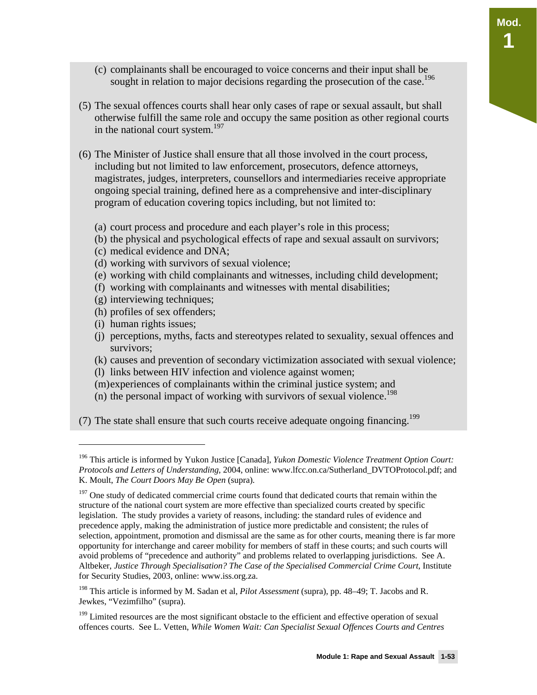- (c) complainants shall be encouraged to voice concerns and their input shall be sought in relation to major decisions regarding the prosecution of the case.<sup>196</sup>
- (5) The sexual offences courts shall hear only cases of rape or sexual assault, but shall otherwise fulfill the same role and occupy the same position as other regional courts in the national court system.<sup>197</sup>
- (6) The Minister of Justice shall ensure that all those involved in the court process, including but not limited to law enforcement, prosecutors, defence attorneys, magistrates, judges, interpreters, counsellors and intermediaries receive appropriate ongoing special training, defined here as a comprehensive and inter-disciplinary program of education covering topics including, but not limited to:
	- (a) court process and procedure and each player's role in this process;
	- (b) the physical and psychological effects of rape and sexual assault on survivors;
	- (c) medical evidence and DNA;
	- (d) working with survivors of sexual violence;
	- (e) working with child complainants and witnesses, including child development;
	- (f) working with complainants and witnesses with mental disabilities;
	- (g) interviewing techniques;
	- (h) profiles of sex offenders;
	- (i) human rights issues;

<u>.</u>

- (j) perceptions, myths, facts and stereotypes related to sexuality, sexual offences and survivors;
- (k) causes and prevention of secondary victimization associated with sexual violence;
- (l) links between HIV infection and violence against women;
- (m)experiences of complainants within the criminal justice system; and
- (n) the personal impact of working with survivors of sexual violence.<sup>198</sup>

(7) The state shall ensure that such courts receive adequate ongoing financing.<sup>199</sup>

<sup>196</sup> This article is informed by Yukon Justice [Canada], *Yukon Domestic Violence Treatment Option Court: Protocols and Letters of Understanding*, 2004, online: www.lfcc.on.ca/Sutherland\_DVTOProtocol.pdf; and K. Moult, *The Court Doors May Be Open* (supra)*.*

<sup>&</sup>lt;sup>197</sup> One study of dedicated commercial crime courts found that dedicated courts that remain within the structure of the national court system are more effective than specialized courts created by specific legislation. The study provides a variety of reasons, including: the standard rules of evidence and precedence apply, making the administration of justice more predictable and consistent; the rules of selection, appointment, promotion and dismissal are the same as for other courts, meaning there is far more opportunity for interchange and career mobility for members of staff in these courts; and such courts will avoid problems of "precedence and authority" and problems related to overlapping jurisdictions. See A. Altbeker, *Justice Through Specialisation? The Case of the Specialised Commercial Crime Court*, Institute for Security Studies, 2003, online: www.iss.org.za.

<sup>198</sup> This article is informed by M. Sadan et al, *Pilot Assessment* (supra), pp. 48–49; T. Jacobs and R. Jewkes, "Vezimfilho" (supra).

<sup>&</sup>lt;sup>199</sup> Limited resources are the most significant obstacle to the efficient and effective operation of sexual offences courts. See L. Vetten, *While Women Wait: Can Specialist Sexual Offences Courts and Centres*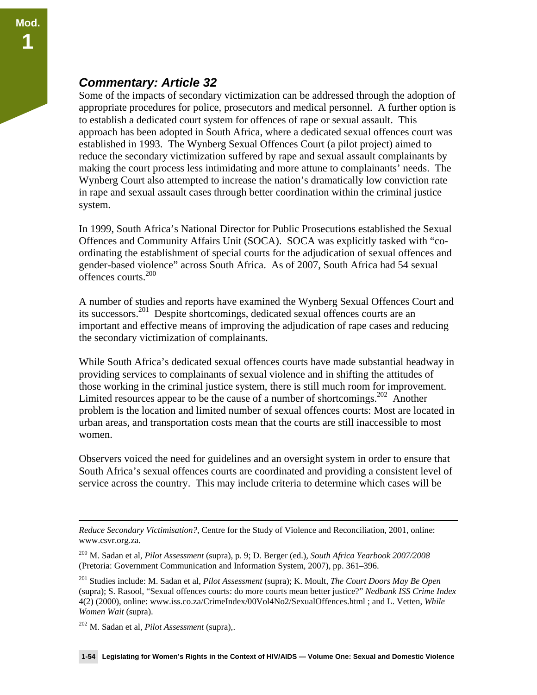#### *Commentary: Article 32*

Some of the impacts of secondary victimization can be addressed through the adoption of appropriate procedures for police, prosecutors and medical personnel. A further option is to establish a dedicated court system for offences of rape or sexual assault. This approach has been adopted in South Africa, where a dedicated sexual offences court was established in 1993. The Wynberg Sexual Offences Court (a pilot project) aimed to reduce the secondary victimization suffered by rape and sexual assault complainants by making the court process less intimidating and more attune to complainants' needs. The Wynberg Court also attempted to increase the nation's dramatically low conviction rate in rape and sexual assault cases through better coordination within the criminal justice system.

In 1999, South Africa's National Director for Public Prosecutions established the Sexual Offences and Community Affairs Unit (SOCA). SOCA was explicitly tasked with "coordinating the establishment of special courts for the adjudication of sexual offences and gender-based violence" across South Africa. As of 2007, South Africa had 54 sexual offences courts.200

A number of studies and reports have examined the Wynberg Sexual Offences Court and its successors.201 Despite shortcomings, dedicated sexual offences courts are an important and effective means of improving the adjudication of rape cases and reducing the secondary victimization of complainants.

While South Africa's dedicated sexual offences courts have made substantial headway in providing services to complainants of sexual violence and in shifting the attitudes of those working in the criminal justice system, there is still much room for improvement. Limited resources appear to be the cause of a number of shortcomings.<sup>202</sup> Another problem is the location and limited number of sexual offences courts: Most are located in urban areas, and transportation costs mean that the courts are still inaccessible to most women.

Observers voiced the need for guidelines and an oversight system in order to ensure that South Africa's sexual offences courts are coordinated and providing a consistent level of service across the country. This may include criteria to determine which cases will be

*Reduce Secondary Victimisation?,* Centre for the Study of Violence and Reconciliation, 2001, online: www.csvr.org.za.

<sup>200</sup> M. Sadan et al, *Pilot Assessment* (supra), p. 9; D. Berger (ed.), *South Africa Yearbook 2007/2008* (Pretoria: Government Communication and Information System, 2007), pp. 361–396.

<sup>201</sup> Studies include: M. Sadan et al, *Pilot Assessment* (supra); K. Moult, *The Court Doors May Be Open*  (supra); S. Rasool, "Sexual offences courts: do more courts mean better justice?" *Nedbank ISS Crime Index* 4(2) (2000), online: www.iss.co.za/CrimeIndex/00Vol4No2/SexualOffences.html ; and L. Vetten, *While Women Wait* (supra).

<sup>202</sup> M. Sadan et al, *Pilot Assessment* (supra),.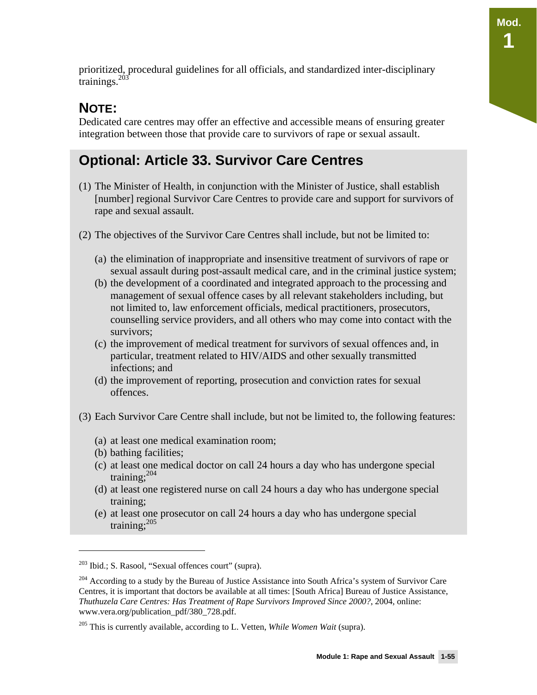prioritized, procedural guidelines for all officials, and standardized inter-disciplinary trainings. $203$ 

### **NOTE:**

Dedicated care centres may offer an effective and accessible means of ensuring greater integration between those that provide care to survivors of rape or sexual assault.

# **Optional: Article 33. Survivor Care Centres**

- (1) The Minister of Health, in conjunction with the Minister of Justice, shall establish [number] regional Survivor Care Centres to provide care and support for survivors of rape and sexual assault.
- (2) The objectives of the Survivor Care Centres shall include, but not be limited to:
	- (a) the elimination of inappropriate and insensitive treatment of survivors of rape or sexual assault during post-assault medical care, and in the criminal justice system;
	- (b) the development of a coordinated and integrated approach to the processing and management of sexual offence cases by all relevant stakeholders including, but not limited to, law enforcement officials, medical practitioners, prosecutors, counselling service providers, and all others who may come into contact with the survivors;
	- (c) the improvement of medical treatment for survivors of sexual offences and, in particular, treatment related to HIV/AIDS and other sexually transmitted infections; and
	- (d) the improvement of reporting, prosecution and conviction rates for sexual offences.
- (3) Each Survivor Care Centre shall include, but not be limited to, the following features:
	- (a) at least one medical examination room;
	- (b) bathing facilities;

-

- (c) at least one medical doctor on call 24 hours a day who has undergone special training: $204$
- (d) at least one registered nurse on call 24 hours a day who has undergone special training;
- (e) at least one prosecutor on call 24 hours a day who has undergone special training;<sup>205</sup>

<sup>203</sup> Ibid.; S. Rasool, "Sexual offences court" (supra).

<sup>&</sup>lt;sup>204</sup> According to a study by the Bureau of Justice Assistance into South Africa's system of Survivor Care Centres, it is important that doctors be available at all times: [South Africa] Bureau of Justice Assistance, *Thuthuzela Care Centres: Has Treatment of Rape Survivors Improved Since 2000?*, 2004, online: www.vera.org/publication\_pdf/380\_728.pdf.

<sup>205</sup> This is currently available, according to L. Vetten, *While Women Wait* (supra).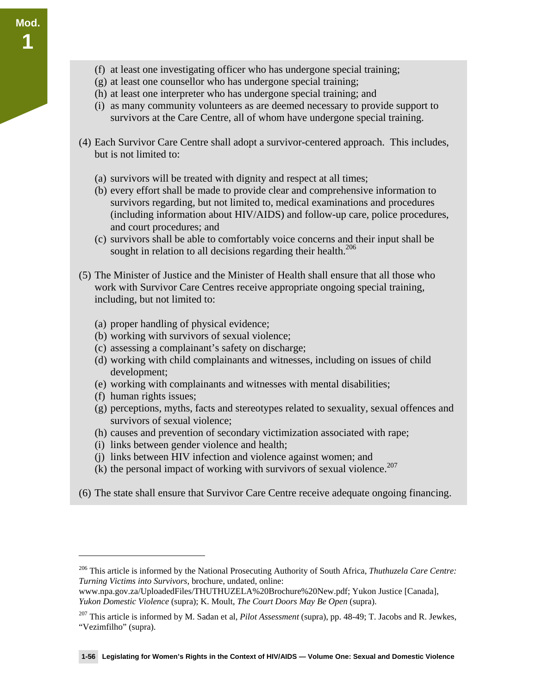**Mod.** 

**1** 

- (g) at least one counsellor who has undergone special training;
- (h) at least one interpreter who has undergone special training; and
- (i) as many community volunteers as are deemed necessary to provide support to survivors at the Care Centre, all of whom have undergone special training.
- (4) Each Survivor Care Centre shall adopt a survivor-centered approach. This includes, but is not limited to:
	- (a) survivors will be treated with dignity and respect at all times;
	- (b) every effort shall be made to provide clear and comprehensive information to survivors regarding, but not limited to, medical examinations and procedures (including information about HIV/AIDS) and follow-up care, police procedures, and court procedures; and
	- (c) survivors shall be able to comfortably voice concerns and their input shall be sought in relation to all decisions regarding their health.<sup>206</sup>
- (5) The Minister of Justice and the Minister of Health shall ensure that all those who work with Survivor Care Centres receive appropriate ongoing special training, including, but not limited to:
	- (a) proper handling of physical evidence;
	- (b) working with survivors of sexual violence;
	- (c) assessing a complainant's safety on discharge;
	- (d) working with child complainants and witnesses, including on issues of child development;
	- (e) working with complainants and witnesses with mental disabilities;
	- (f) human rights issues;

-

- (g) perceptions, myths, facts and stereotypes related to sexuality, sexual offences and survivors of sexual violence;
- (h) causes and prevention of secondary victimization associated with rape;
- (i) links between gender violence and health;
- (j) links between HIV infection and violence against women; and
- (k) the personal impact of working with survivors of sexual violence.<sup>207</sup>
- (6) The state shall ensure that Survivor Care Centre receive adequate ongoing financing.

<sup>206</sup> This article is informed by the National Prosecuting Authority of South Africa, *Thuthuzela Care Centre: Turning Victims into Survivors*, brochure, undated, online:

www.npa.gov.za/UploadedFiles/THUTHUZELA%20Brochure%20New.pdf; Yukon Justice [Canada], *Yukon Domestic Violence* (supra); K. Moult, *The Court Doors May Be Open* (supra).

<sup>207</sup> This article is informed by M. Sadan et al, *Pilot Assessment* (supra), pp. 48-49; T. Jacobs and R. Jewkes, "Vezimfilho" (supra).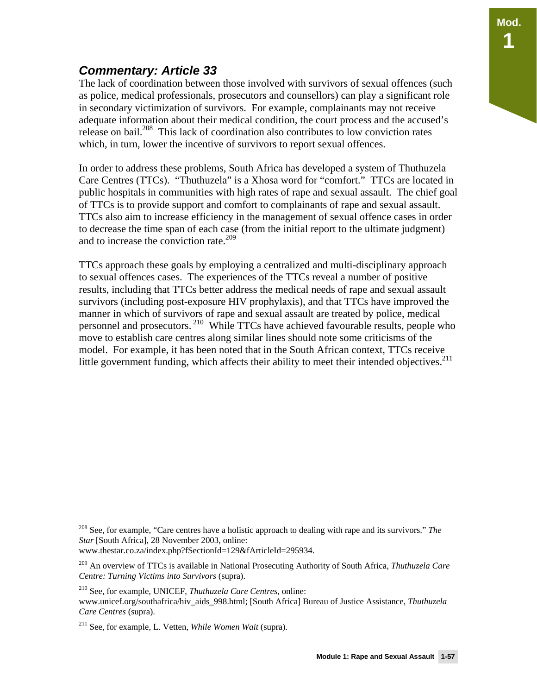### *Commentary: Article 33*

The lack of coordination between those involved with survivors of sexual offences (such as police, medical professionals, prosecutors and counsellors) can play a significant role in secondary victimization of survivors. For example, complainants may not receive adequate information about their medical condition, the court process and the accused's release on bail.<sup>208</sup> This lack of coordination also contributes to low conviction rates which, in turn, lower the incentive of survivors to report sexual offences.

In order to address these problems, South Africa has developed a system of Thuthuzela Care Centres (TTCs). "Thuthuzela" is a Xhosa word for "comfort." TTCs are located in public hospitals in communities with high rates of rape and sexual assault. The chief goal of TTCs is to provide support and comfort to complainants of rape and sexual assault. TTCs also aim to increase efficiency in the management of sexual offence cases in order to decrease the time span of each case (from the initial report to the ultimate judgment) and to increase the conviction rate.<sup>209</sup>

TTCs approach these goals by employing a centralized and multi-disciplinary approach to sexual offences cases. The experiences of the TTCs reveal a number of positive results, including that TTCs better address the medical needs of rape and sexual assault survivors (including post-exposure HIV prophylaxis), and that TTCs have improved the manner in which of survivors of rape and sexual assault are treated by police, medical personnel and prosecutors. 210 While TTCs have achieved favourable results, people who move to establish care centres along similar lines should note some criticisms of the model. For example, it has been noted that in the South African context, TTCs receive little government funding, which affects their ability to meet their intended objectives.<sup>211</sup>

-

**Mod.** 

**1** 

<sup>208</sup> See, for example, "Care centres have a holistic approach to dealing with rape and its survivors." *The Star* [South Africa], 28 November 2003, online:

www.thestar.co.za/index.php?fSectionId=129&fArticleId=295934.

<sup>209</sup> An overview of TTCs is available in National Prosecuting Authority of South Africa, *Thuthuzela Care Centre: Turning Victims into Survivors* (supra).

<sup>210</sup> See, for example, UNICEF, *Thuthuzela Care Centres*, online: www.unicef.org/southafrica/hiv\_aids\_998.html; [South Africa] Bureau of Justice Assistance, *Thuthuzela Care Centres* (supra).

<sup>211</sup> See, for example, L. Vetten, *While Women Wait* (supra).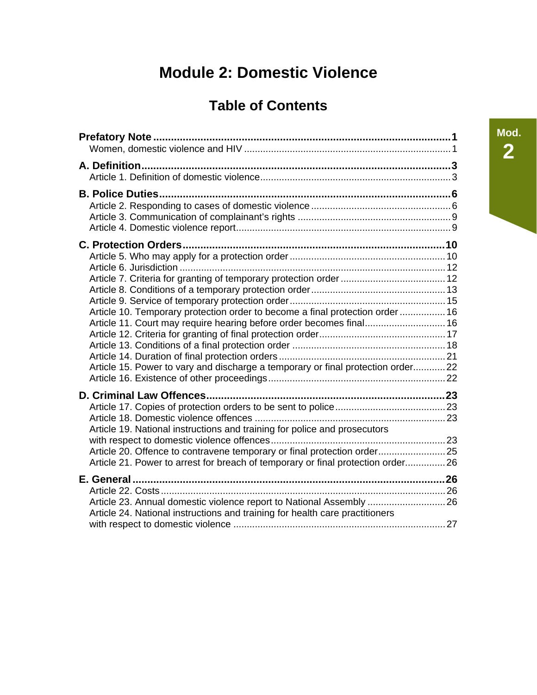# **Module 2: Domestic Violence**

# **Table of Contents**

| <b>C. Protection Orders</b>                                                                                                                                 |  |
|-------------------------------------------------------------------------------------------------------------------------------------------------------------|--|
|                                                                                                                                                             |  |
|                                                                                                                                                             |  |
|                                                                                                                                                             |  |
|                                                                                                                                                             |  |
| Article 10. Temporary protection order to become a final protection order  16                                                                               |  |
| Article 11. Court may require hearing before order becomes final 16                                                                                         |  |
|                                                                                                                                                             |  |
|                                                                                                                                                             |  |
| Article 15. Power to vary and discharge a temporary or final protection order 22                                                                            |  |
|                                                                                                                                                             |  |
|                                                                                                                                                             |  |
|                                                                                                                                                             |  |
|                                                                                                                                                             |  |
| Article 19. National instructions and training for police and prosecutors                                                                                   |  |
|                                                                                                                                                             |  |
| Article 20. Offence to contravene temporary or final protection order 25<br>Article 21. Power to arrest for breach of temporary or final protection order26 |  |
|                                                                                                                                                             |  |
|                                                                                                                                                             |  |
| Article 23. Annual domestic violence report to National Assembly  26                                                                                        |  |
| Article 24. National instructions and training for health care practitioners                                                                                |  |
|                                                                                                                                                             |  |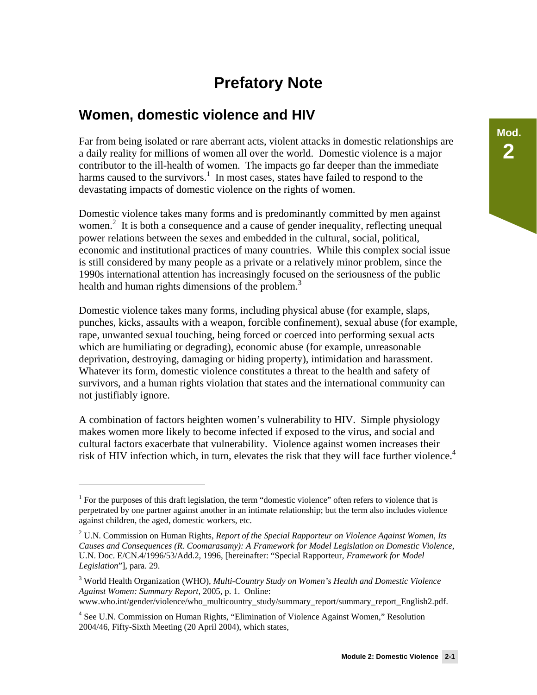# **Prefatory Note**

### **Women, domestic violence and HIV**

Far from being isolated or rare aberrant acts, violent attacks in domestic relationships are a daily reality for millions of women all over the world. Domestic violence is a major contributor to the ill-health of women. The impacts go far deeper than the immediate harms caused to the survivors.<sup>1</sup> In most cases, states have failed to respond to the devastating impacts of domestic violence on the rights of women.

Domestic violence takes many forms and is predominantly committed by men against women.<sup>2</sup> It is both a consequence and a cause of gender inequality, reflecting unequal power relations between the sexes and embedded in the cultural, social, political, economic and institutional practices of many countries. While this complex social issue is still considered by many people as a private or a relatively minor problem, since the 1990s international attention has increasingly focused on the seriousness of the public health and human rights dimensions of the problem.<sup>3</sup>

Domestic violence takes many forms, including physical abuse (for example, slaps, punches, kicks, assaults with a weapon, forcible confinement), sexual abuse (for example, rape, unwanted sexual touching, being forced or coerced into performing sexual acts which are humiliating or degrading), economic abuse (for example, unreasonable deprivation, destroying, damaging or hiding property), intimidation and harassment. Whatever its form, domestic violence constitutes a threat to the health and safety of survivors, and a human rights violation that states and the international community can not justifiably ignore.

A combination of factors heighten women's vulnerability to HIV. Simple physiology makes women more likely to become infected if exposed to the virus, and social and cultural factors exacerbate that vulnerability. Violence against women increases their risk of HIV infection which, in turn, elevates the risk that they will face further violence.<sup>4</sup>

-

<sup>&</sup>lt;sup>1</sup> For the purposes of this draft legislation, the term "domestic violence" often refers to violence that is perpetrated by one partner against another in an intimate relationship; but the term also includes violence against children, the aged, domestic workers, etc.

<sup>2</sup> U.N. Commission on Human Rights, *Report of the Special Rapporteur on Violence Against Women, Its Causes and Consequences (R. Coomarasamy): A Framework for Model Legislation on Domestic Violence*, U.N. Doc. E/CN.4/1996/53/Add.2, 1996, [hereinafter: "Special Rapporteur, *Framework for Model Legislation*"], para. 29.

<sup>3</sup> World Health Organization (WHO), *Multi-Country Study on Women's Health and Domestic Violence Against Women: Summary Report,* 2005, p. 1. Online: www.who.int/gender/violence/who\_multicountry\_study/summary\_report/summary\_report\_English2.pdf.

<sup>&</sup>lt;sup>4</sup> See U.N. Commission on Human Rights, "Elimination of Violence Against Women," Resolution 2004/46, Fifty-Sixth Meeting (20 April 2004), which states,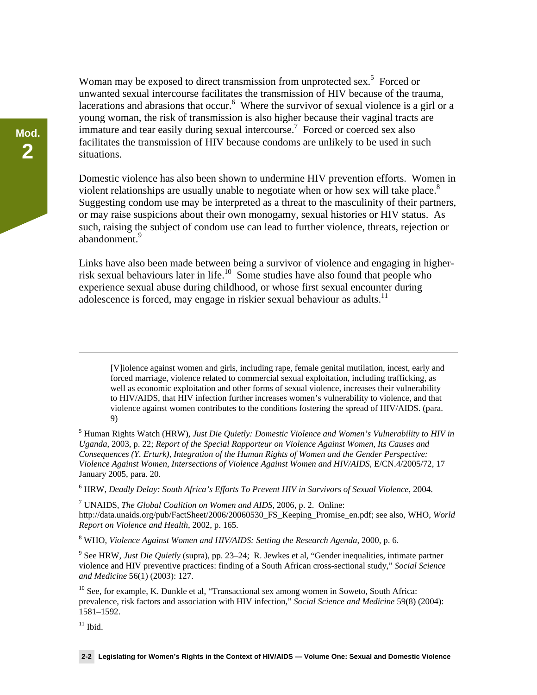Woman may be exposed to direct transmission from unprotected sex.<sup>5</sup> Forced or unwanted sexual intercourse facilitates the transmission of HIV because of the trauma, lacerations and abrasions that occur.  $6$  Where the survivor of sexual violence is a girl or a young woman, the risk of transmission is also higher because their vaginal tracts are immature and tear easily during sexual intercourse.<sup>7</sup> Forced or coerced sex also facilitates the transmission of HIV because condoms are unlikely to be used in such situations.

Domestic violence has also been shown to undermine HIV prevention efforts. Women in violent relationships are usually unable to negotiate when or how sex will take place. $8$ Suggesting condom use may be interpreted as a threat to the masculinity of their partners, or may raise suspicions about their own monogamy, sexual histories or HIV status. As such, raising the subject of condom use can lead to further violence, threats, rejection or abandonment.<sup>9</sup>

Links have also been made between being a survivor of violence and engaging in higherrisk sexual behaviours later in life.<sup>10</sup> Some studies have also found that people who experience sexual abuse during childhood, or whose first sexual encounter during adolescence is forced, may engage in riskier sexual behaviour as adults.<sup>11</sup>

[V]iolence against women and girls, including rape, female genital mutilation, incest, early and forced marriage, violence related to commercial sexual exploitation, including trafficking, as well as economic exploitation and other forms of sexual violence, increases their vulnerability to HIV/AIDS, that HIV infection further increases women's vulnerability to violence, and that violence against women contributes to the conditions fostering the spread of HIV/AIDS. (para. 9)

5 Human Rights Watch (HRW), *Just Die Quietly: Domestic Violence and Women's Vulnerability to HIV in Uganda*, 2003, p. 22; *Report of the Special Rapporteur on Violence Against Women, Its Causes and Consequences (Y. Erturk), Integration of the Human Rights of Women and the Gender Perspective: Violence Against Women, Intersections of Violence Against Women and HIV/AIDS*, E/CN.4/2005/72, 17 January 2005, para. 20.

6 HRW, *Deadly Delay: South Africa's Efforts To Prevent HIV in Survivors of Sexual Violence*, 2004.

7 UNAIDS, *The Global Coalition on Women and AIDS*, 2006, p. 2. Online: http://data.unaids.org/pub/FactSheet/2006/20060530\_FS\_Keeping\_Promise\_en.pdf; see also, WHO, *World Report on Violence and Health*, 2002, p. 165.

8 WHO, *Violence Against Women and HIV/AIDS: Setting the Research Agenda*, 2000, p. 6.

9 See HRW, *Just Die Quietly* (supra), pp. 23–24; R. Jewkes et al, "Gender inequalities, intimate partner violence and HIV preventive practices: finding of a South African cross-sectional study," *Social Science and Medicine* 56(1) (2003): 127.

 $10$  See, for example, K. Dunkle et al, "Transactional sex among women in Soweto, South Africa: prevalence, risk factors and association with HIV infection," *Social Science and Medicine* 59(8) (2004): 1581–1592.

 $11$  Ibid.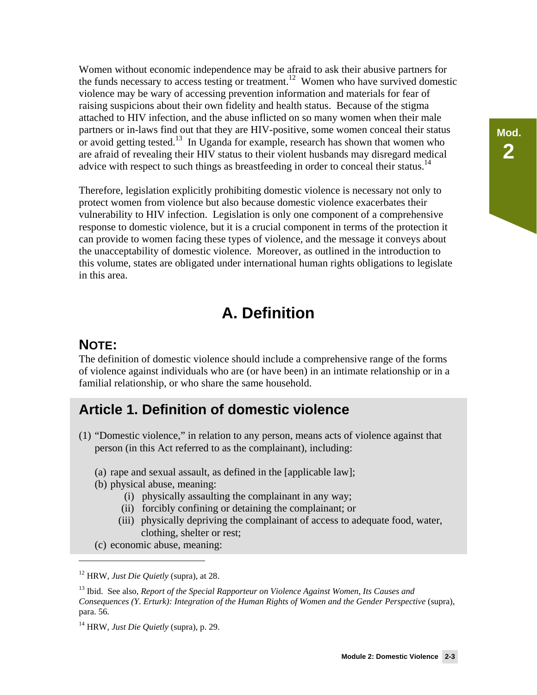Women without economic independence may be afraid to ask their abusive partners for the funds necessary to access testing or treatment.<sup>12</sup> Women who have survived domestic violence may be wary of accessing prevention information and materials for fear of raising suspicions about their own fidelity and health status. Because of the stigma attached to HIV infection, and the abuse inflicted on so many women when their male partners or in-laws find out that they are HIV-positive, some women conceal their status or avoid getting tested.<sup>13</sup> In Uganda for example, research has shown that women who are afraid of revealing their HIV status to their violent husbands may disregard medical advice with respect to such things as breastfeeding in order to conceal their status.<sup>14</sup>

Therefore, legislation explicitly prohibiting domestic violence is necessary not only to protect women from violence but also because domestic violence exacerbates their vulnerability to HIV infection. Legislation is only one component of a comprehensive response to domestic violence, but it is a crucial component in terms of the protection it can provide to women facing these types of violence, and the message it conveys about the unacceptability of domestic violence. Moreover, as outlined in the introduction to this volume, states are obligated under international human rights obligations to legislate in this area.

# **A. Definition**

#### **NOTE:**

 $\overline{a}$ 

The definition of domestic violence should include a comprehensive range of the forms of violence against individuals who are (or have been) in an intimate relationship or in a familial relationship, or who share the same household.

### **Article 1. Definition of domestic violence**

- (1) "Domestic violence," in relation to any person, means acts of violence against that person (in this Act referred to as the complainant), including:
	- (a) rape and sexual assault, as defined in the [applicable law];
	- (b) physical abuse, meaning:
		- (i) physically assaulting the complainant in any way;
		- (ii) forcibly confining or detaining the complainant; or
		- (iii) physically depriving the complainant of access to adequate food, water, clothing, shelter or rest;
	- (c) economic abuse, meaning:

14 HRW, *Just Die Quietly* (supra), p. 29.

<sup>12</sup> HRW, *Just Die Quietly* (supra), at 28.

<sup>13</sup> Ibid. See also, *Report of the Special Rapporteur on Violence Against Women, Its Causes and Consequences (Y. Erturk): Integration of the Human Rights of Women and the Gender Perspective (supra),* para. 56.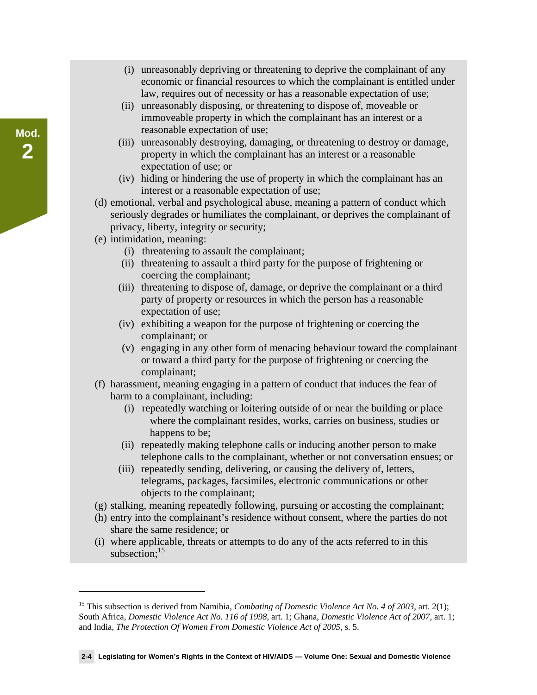- (i) unreasonably depriving or threatening to deprive the complainant of any economic or financial resources to which the complainant is entitled under law, requires out of necessity or has a reasonable expectation of use;
- (ii) unreasonably disposing, or threatening to dispose of, moveable or immoveable property in which the complainant has an interest or a reasonable expectation of use;
- (iii) unreasonably destroying, damaging, or threatening to destroy or damage, property in which the complainant has an interest or a reasonable expectation of use; or
- (iv) hiding or hindering the use of property in which the complainant has an interest or a reasonable expectation of use;
- (d) emotional, verbal and psychological abuse, meaning a pattern of conduct which seriously degrades or humiliates the complainant, or deprives the complainant of privacy, liberty, integrity or security;
- (e) intimidation, meaning:

-

- (i) threatening to assault the complainant;
- (ii) threatening to assault a third party for the purpose of frightening or coercing the complainant;
- (iii) threatening to dispose of, damage, or deprive the complainant or a third party of property or resources in which the person has a reasonable expectation of use;
- (iv) exhibiting a weapon for the purpose of frightening or coercing the complainant; or
- (v) engaging in any other form of menacing behaviour toward the complainant or toward a third party for the purpose of frightening or coercing the complainant;
- (f) harassment, meaning engaging in a pattern of conduct that induces the fear of harm to a complainant, including:
	- (i) repeatedly watching or loitering outside of or near the building or place where the complainant resides, works, carries on business, studies or happens to be;
	- (ii) repeatedly making telephone calls or inducing another person to make telephone calls to the complainant, whether or not conversation ensues; or
	- (iii) repeatedly sending, delivering, or causing the delivery of, letters, telegrams, packages, facsimiles, electronic communications or other objects to the complainant;
- (g) stalking, meaning repeatedly following, pursuing or accosting the complainant;
- (h) entry into the complainant's residence without consent, where the parties do not share the same residence; or
- (i) where applicable, threats or attempts to do any of the acts referred to in this subsection; $15$

#### **2-4 Legislating for Women's Rights in the Context of HIV/AIDS — Volume One: Sexual and Domestic Violence**

<sup>&</sup>lt;sup>15</sup> This subsection is derived from Namibia, *Combating of Domestic Violence Act No. 4 of 2003*, art. 2(1); South Africa, *Domestic Violence Act No. 116 of 1998*, art. 1; Ghana, *Domestic Violence Act of 2007*, art. 1; and India, *The Protection Of Women From Domestic Violence Act of 2005*, s. 5.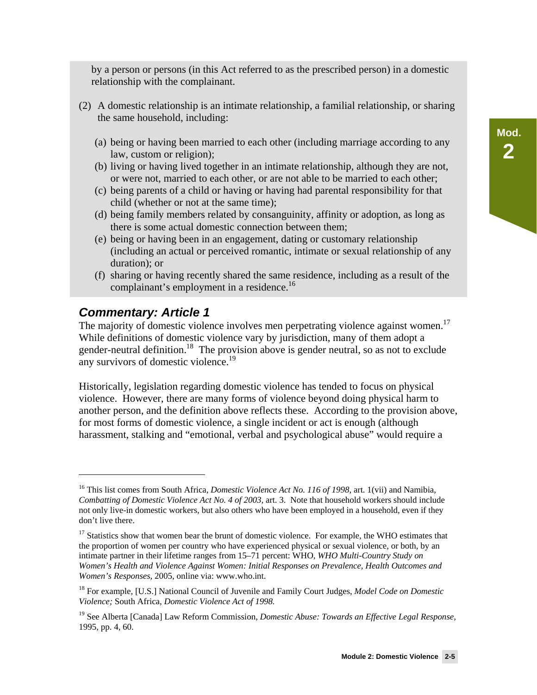by a person or persons (in this Act referred to as the prescribed person) in a domestic relationship with the complainant.

- (2) A domestic relationship is an intimate relationship, a familial relationship, or sharing the same household, including:
	- (a) being or having been married to each other (including marriage according to any law, custom or religion);
	- (b) living or having lived together in an intimate relationship, although they are not, or were not, married to each other, or are not able to be married to each other;
	- (c) being parents of a child or having or having had parental responsibility for that child (whether or not at the same time);
	- (d) being family members related by consanguinity, affinity or adoption, as long as there is some actual domestic connection between them;
	- (e) being or having been in an engagement, dating or customary relationship (including an actual or perceived romantic, intimate or sexual relationship of any duration); or
	- (f) sharing or having recently shared the same residence, including as a result of the complainant's employment in a residence.<sup>16</sup>

#### *Commentary: Article 1*

<u>.</u>

The majority of domestic violence involves men perpetrating violence against women.<sup>17</sup> While definitions of domestic violence vary by jurisdiction, many of them adopt a gender-neutral definition.<sup>18</sup> The provision above is gender neutral, so as not to exclude any survivors of domestic violence.<sup>19</sup>

Historically, legislation regarding domestic violence has tended to focus on physical violence. However, there are many forms of violence beyond doing physical harm to another person, and the definition above reflects these. According to the provision above, for most forms of domestic violence, a single incident or act is enough (although harassment, stalking and "emotional, verbal and psychological abuse" would require a

<sup>16</sup> This list comes from South Africa, *Domestic Violence Act No. 116 of 1998*, art. 1(vii) and Namibia, *Combatting of Domestic Violence Act No. 4 of 2003*, art. 3. Note that household workers should include not only live-in domestic workers, but also others who have been employed in a household, even if they don't live there.

<sup>&</sup>lt;sup>17</sup> Statistics show that women bear the brunt of domestic violence. For example, the WHO estimates that the proportion of women per country who have experienced physical or sexual violence, or both, by an intimate partner in their lifetime ranges from 15–71 percent: WHO, *WHO Multi-Country Study on Women's Health and Violence Against Women: Initial Responses on Prevalence, Health Outcomes and Women's Responses,* 2005, online via: www.who.int.

<sup>18</sup> For example, [U.S.] National Council of Juvenile and Family Court Judges, *Model Code on Domestic Violence;* South Africa, *Domestic Violence Act of 1998.*

<sup>&</sup>lt;sup>19</sup> See Alberta [Canada] Law Reform Commission, *Domestic Abuse: Towards an Effective Legal Response*, 1995, pp. 4, 60.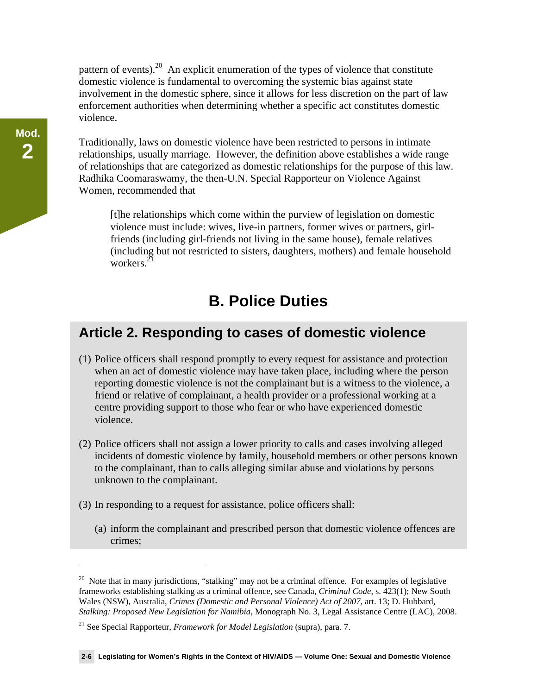pattern of events). $20$  An explicit enumeration of the types of violence that constitute domestic violence is fundamental to overcoming the systemic bias against state involvement in the domestic sphere, since it allows for less discretion on the part of law enforcement authorities when determining whether a specific act constitutes domestic violence.

Traditionally, laws on domestic violence have been restricted to persons in intimate relationships, usually marriage. However, the definition above establishes a wide range of relationships that are categorized as domestic relationships for the purpose of this law. Radhika Coomaraswamy, the then-U.N. Special Rapporteur on Violence Against Women, recommended that

[t]he relationships which come within the purview of legislation on domestic violence must include: wives, live-in partners, former wives or partners, girlfriends (including girl-friends not living in the same house), female relatives (including but not restricted to sisters, daughters, mothers) and female household workers $^{21}$ 

## **B. Police Duties**

#### **Article 2. Responding to cases of domestic violence**

- (1) Police officers shall respond promptly to every request for assistance and protection when an act of domestic violence may have taken place, including where the person reporting domestic violence is not the complainant but is a witness to the violence, a friend or relative of complainant, a health provider or a professional working at a centre providing support to those who fear or who have experienced domestic violence.
- (2) Police officers shall not assign a lower priority to calls and cases involving alleged incidents of domestic violence by family, household members or other persons known to the complainant, than to calls alleging similar abuse and violations by persons unknown to the complainant.
- (3) In responding to a request for assistance, police officers shall:
	- (a) inform the complainant and prescribed person that domestic violence offences are crimes;

<sup>&</sup>lt;sup>20</sup> Note that in many jurisdictions, "stalking" may not be a criminal offence. For examples of legislative frameworks establishing stalking as a criminal offence, see Canada, *Criminal Code*, s. 423(1); New South Wales (NSW), Australia, *Crimes (Domestic and Personal Violence) Act of 2007*, art. 13; D. Hubbard, *Stalking: Proposed New Legislation for Namibia*, Monograph No. 3, Legal Assistance Centre (LAC), 2008.

<sup>21</sup> See Special Rapporteur, *Framework for Model Legislation* (supra), para. 7.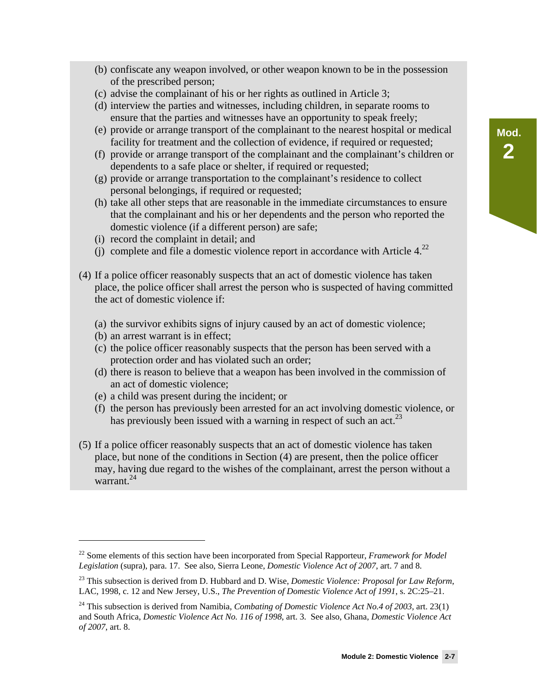- (b) confiscate any weapon involved, or other weapon known to be in the possession of the prescribed person;
- (c) advise the complainant of his or her rights as outlined in Article 3;
- (d) interview the parties and witnesses, including children, in separate rooms to ensure that the parties and witnesses have an opportunity to speak freely;
- (e) provide or arrange transport of the complainant to the nearest hospital or medical facility for treatment and the collection of evidence, if required or requested;
- (f) provide or arrange transport of the complainant and the complainant's children or dependents to a safe place or shelter, if required or requested;
- (g) provide or arrange transportation to the complainant's residence to collect personal belongings, if required or requested;
- (h) take all other steps that are reasonable in the immediate circumstances to ensure that the complainant and his or her dependents and the person who reported the domestic violence (if a different person) are safe;
- (i) record the complaint in detail; and
- (j) complete and file a domestic violence report in accordance with Article  $4.22$
- (4) If a police officer reasonably suspects that an act of domestic violence has taken place, the police officer shall arrest the person who is suspected of having committed the act of domestic violence if:
	- (a) the survivor exhibits signs of injury caused by an act of domestic violence;
	- (b) an arrest warrant is in effect;

-

- (c) the police officer reasonably suspects that the person has been served with a protection order and has violated such an order;
- (d) there is reason to believe that a weapon has been involved in the commission of an act of domestic violence;
- (e) a child was present during the incident; or
- (f) the person has previously been arrested for an act involving domestic violence, or has previously been issued with a warning in respect of such an act.<sup>23</sup>
- (5) If a police officer reasonably suspects that an act of domestic violence has taken place, but none of the conditions in Section (4) are present, then the police officer may, having due regard to the wishes of the complainant, arrest the person without a warrant.<sup>24</sup>

<sup>22</sup> Some elements of this section have been incorporated from Special Rapporteur, *Framework for Model Legislation* (supra), para. 17. See also, Sierra Leone, *Domestic Violence Act of 2007*, art. 7 and 8.

<sup>23</sup> This subsection is derived from D. Hubbard and D. Wise, *Domestic Violence: Proposal for Law Reform*, LAC, 1998, c. 12 and New Jersey, U.S., *The Prevention of Domestic Violence Act of 1991*, s. 2C:25–21.

<sup>24</sup> This subsection is derived from Namibia, *Combating of Domestic Violence Act No.4 of 2003,* art. 23(1) and South Africa, *Domestic Violence Act No. 116 of 1998*, art. 3. See also, Ghana, *Domestic Violence Act of 2007*, art. 8.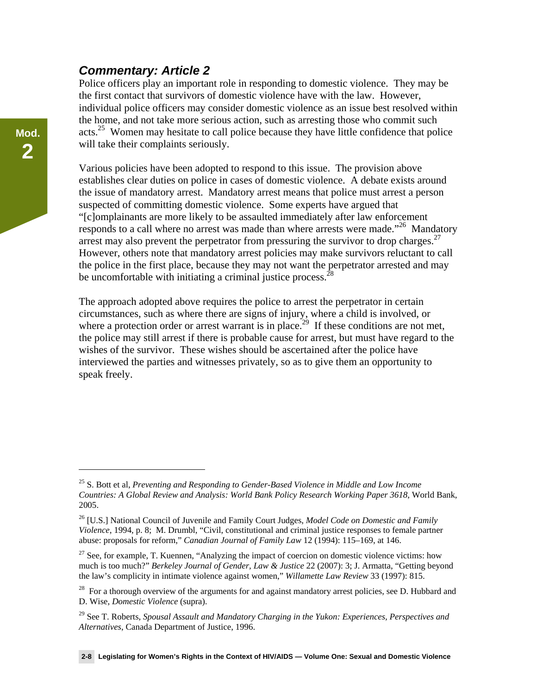#### *Commentary: Article 2*

Police officers play an important role in responding to domestic violence. They may be the first contact that survivors of domestic violence have with the law. However, individual police officers may consider domestic violence as an issue best resolved within the home, and not take more serious action, such as arresting those who commit such acts.<sup>25</sup> Women may hesitate to call police because they have little confidence that police will take their complaints seriously.

Various policies have been adopted to respond to this issue. The provision above establishes clear duties on police in cases of domestic violence. A debate exists around the issue of mandatory arrest. Mandatory arrest means that police must arrest a person suspected of committing domestic violence. Some experts have argued that "[c]omplainants are more likely to be assaulted immediately after law enforcement responds to a call where no arrest was made than where arrests were made.<sup>"26</sup> Mandatory arrest may also prevent the perpetrator from pressuring the survivor to drop charges. $27$ However, others note that mandatory arrest policies may make survivors reluctant to call the police in the first place, because they may not want the perpetrator arrested and may be uncomfortable with initiating a criminal justice process.<sup>2</sup>

The approach adopted above requires the police to arrest the perpetrator in certain circumstances, such as where there are signs of injury, where a child is involved, or where a protection order or arrest warrant is in place.<sup>29</sup> If these conditions are not met, the police may still arrest if there is probable cause for arrest, but must have regard to the wishes of the survivor. These wishes should be ascertained after the police have interviewed the parties and witnesses privately, so as to give them an opportunity to speak freely.

<sup>25</sup> S. Bott et al, *Preventing and Responding to Gender-Based Violence in Middle and Low Income Countries: A Global Review and Analysis: World Bank Policy Research Working Paper 3618*, World Bank, 2005.

<sup>26 [</sup>U.S.] National Council of Juvenile and Family Court Judges, *Model Code on Domestic and Family Violence*, 1994, p. 8; M. Drumbl, "Civil, constitutional and criminal justice responses to female partner abuse: proposals for reform," *Canadian Journal of Family Law* 12 (1994): 115–169, at 146.

 $27$  See, for example, T. Kuennen, "Analyzing the impact of coercion on domestic violence victims: how much is too much?" *Berkeley Journal of Gender, Law & Justice* 22 (2007): 3; J. Armatta, "Getting beyond the law's complicity in intimate violence against women," *Willamette Law Review* 33 (1997): 815.

<sup>&</sup>lt;sup>28</sup> For a thorough overview of the arguments for and against mandatory arrest policies, see D. Hubbard and D. Wise, *Domestic Violence* (supra).

<sup>29</sup> See T. Roberts, *Spousal Assault and Mandatory Charging in the Yukon: Experiences, Perspectives and Alternatives*, Canada Department of Justice, 1996.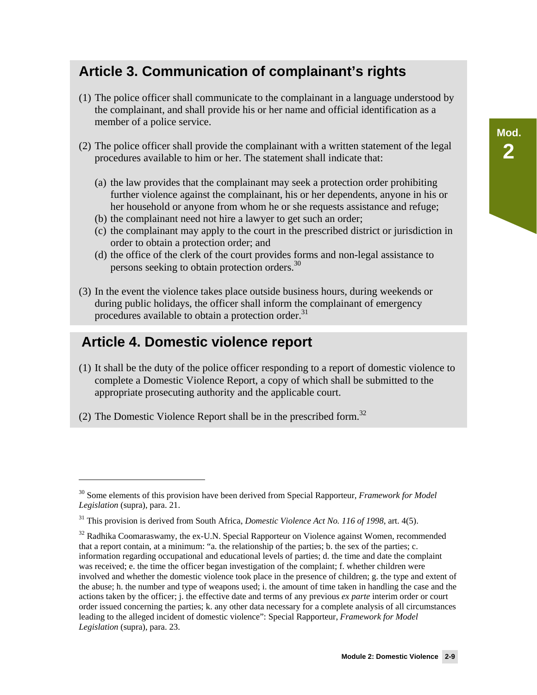# **Article 3. Communication of complainant's rights**

- (1) The police officer shall communicate to the complainant in a language understood by the complainant, and shall provide his or her name and official identification as a member of a police service.
- (2) The police officer shall provide the complainant with a written statement of the legal procedures available to him or her. The statement shall indicate that:
	- (a) the law provides that the complainant may seek a protection order prohibiting further violence against the complainant, his or her dependents, anyone in his or her household or anyone from whom he or she requests assistance and refuge;
	- (b) the complainant need not hire a lawyer to get such an order;
	- (c) the complainant may apply to the court in the prescribed district or jurisdiction in order to obtain a protection order; and
	- (d) the office of the clerk of the court provides forms and non-legal assistance to persons seeking to obtain protection orders.<sup>30</sup>
- (3) In the event the violence takes place outside business hours, during weekends or during public holidays, the officer shall inform the complainant of emergency procedures available to obtain a protection order. $31$

### **Article 4. Domestic violence report**

 $\overline{a}$ 

- (1) It shall be the duty of the police officer responding to a report of domestic violence to complete a Domestic Violence Report, a copy of which shall be submitted to the appropriate prosecuting authority and the applicable court.
- (2) The Domestic Violence Report shall be in the prescribed form.<sup>32</sup>

<sup>30</sup> Some elements of this provision have been derived from Special Rapporteur, *Framework for Model Legislation* (supra), para. 21.

<sup>31</sup> This provision is derived from South Africa, *Domestic Violence Act No. 116 of 1998*, art. 4(5).

 $32$  Radhika Coomaraswamy, the ex-U.N. Special Rapporteur on Violence against Women, recommended that a report contain, at a minimum: "a. the relationship of the parties; b. the sex of the parties; c. information regarding occupational and educational levels of parties; d. the time and date the complaint was received; e. the time the officer began investigation of the complaint; f. whether children were involved and whether the domestic violence took place in the presence of children; g. the type and extent of the abuse; h. the number and type of weapons used; i. the amount of time taken in handling the case and the actions taken by the officer; j. the effective date and terms of any previous *ex parte* interim order or court order issued concerning the parties; k. any other data necessary for a complete analysis of all circumstances leading to the alleged incident of domestic violence": Special Rapporteur, *Framework for Model Legislation* (supra), para. 23.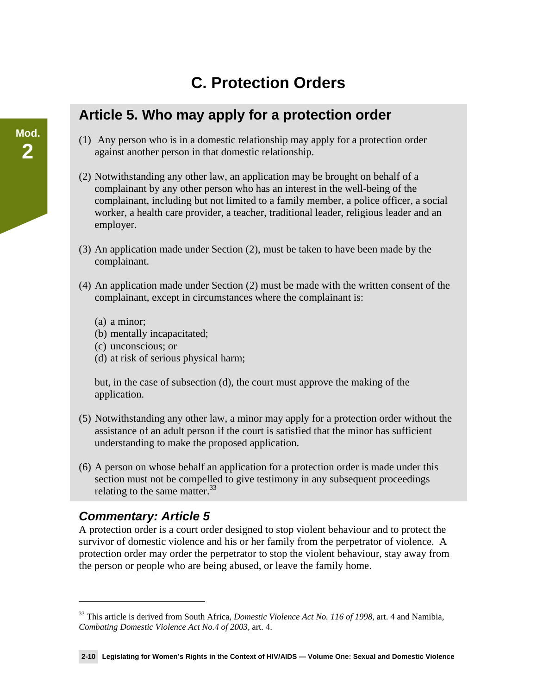# **C. Protection Orders**

### **Article 5. Who may apply for a protection order**

- (1) Any person who is in a domestic relationship may apply for a protection order against another person in that domestic relationship.
- (2) Notwithstanding any other law, an application may be brought on behalf of a complainant by any other person who has an interest in the well-being of the complainant, including but not limited to a family member, a police officer, a social worker, a health care provider, a teacher, traditional leader, religious leader and an employer.
- (3) An application made under Section (2), must be taken to have been made by the complainant.
- (4) An application made under Section (2) must be made with the written consent of the complainant, except in circumstances where the complainant is:
	- (a) a minor;
	- (b) mentally incapacitated;
	- (c) unconscious; or
	- (d) at risk of serious physical harm;

but, in the case of subsection (d), the court must approve the making of the application.

- (5) Notwithstanding any other law, a minor may apply for a protection order without the assistance of an adult person if the court is satisfied that the minor has sufficient understanding to make the proposed application.
- (6) A person on whose behalf an application for a protection order is made under this section must not be compelled to give testimony in any subsequent proceedings relating to the same matter.<sup>33</sup>

#### *Commentary: Article 5*

<u>.</u>

A protection order is a court order designed to stop violent behaviour and to protect the survivor of domestic violence and his or her family from the perpetrator of violence. A protection order may order the perpetrator to stop the violent behaviour, stay away from the person or people who are being abused, or leave the family home.

<sup>33</sup> This article is derived from South Africa, *Domestic Violence Act No. 116 of 1998*, art. 4 and Namibia, *Combating Domestic Violence Act No.4 of 2003,* art. 4.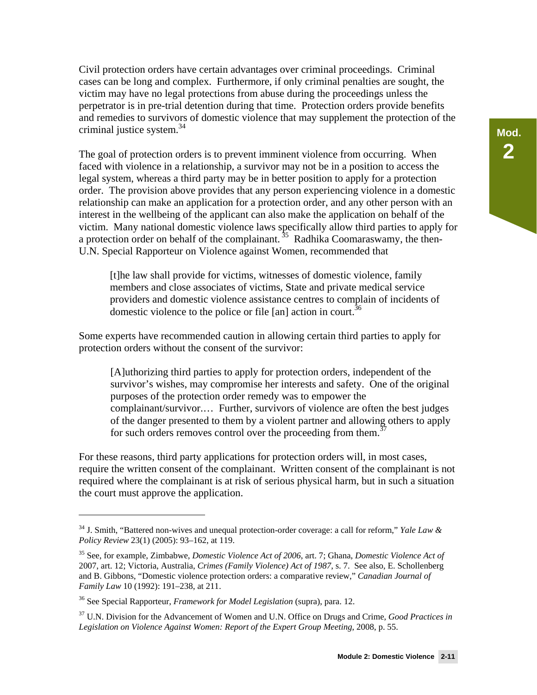Civil protection orders have certain advantages over criminal proceedings. Criminal cases can be long and complex. Furthermore, if only criminal penalties are sought, the victim may have no legal protections from abuse during the proceedings unless the perpetrator is in pre-trial detention during that time. Protection orders provide benefits and remedies to survivors of domestic violence that may supplement the protection of the criminal justice system.<sup>34</sup>

The goal of protection orders is to prevent imminent violence from occurring. When faced with violence in a relationship, a survivor may not be in a position to access the legal system, whereas a third party may be in better position to apply for a protection order. The provision above provides that any person experiencing violence in a domestic relationship can make an application for a protection order, and any other person with an interest in the wellbeing of the applicant can also make the application on behalf of the victim. Many national domestic violence laws specifically allow third parties to apply for a protection order on behalf of the complainant.<sup>35</sup> Radhika Coomaraswamy, the then-U.N. Special Rapporteur on Violence against Women, recommended that

[t]he law shall provide for victims, witnesses of domestic violence, family members and close associates of victims, State and private medical service providers and domestic violence assistance centres to complain of incidents of domestic violence to the police or file  $\lceil$ an $\rceil$  action in court.<sup>36</sup>

Some experts have recommended caution in allowing certain third parties to apply for protection orders without the consent of the survivor:

[A]uthorizing third parties to apply for protection orders, independent of the survivor's wishes, may compromise her interests and safety. One of the original purposes of the protection order remedy was to empower the complainant/survivor.… Further, survivors of violence are often the best judges of the danger presented to them by a violent partner and allowing others to apply for such orders removes control over the proceeding from them.<sup>37</sup>

For these reasons, third party applications for protection orders will, in most cases, require the written consent of the complainant. Written consent of the complainant is not required where the complainant is at risk of serious physical harm, but in such a situation the court must approve the application.

<sup>34</sup> J. Smith, "Battered non-wives and unequal protection-order coverage: a call for reform," *Yale Law & Policy Review* 23(1) (2005): 93–162, at 119.

<sup>35</sup> See, for example, Zimbabwe, *Domestic Violence Act of 2006*, art. 7; Ghana, *Domestic Violence Act of* 2007, art. 12; Victoria, Australia, *Crimes (Family Violence) Act of 1987*, s. 7. See also, E. Schollenberg and B. Gibbons, "Domestic violence protection orders: a comparative review," *Canadian Journal of Family Law* 10 (1992): 191–238, at 211.

<sup>36</sup> See Special Rapporteur, *Framework for Model Legislation* (supra), para. 12.

<sup>37</sup> U.N. Division for the Advancement of Women and U.N. Office on Drugs and Crime, *Good Practices in Legislation on Violence Against Women: Report of the Expert Group Meeting*, 2008, p. 55.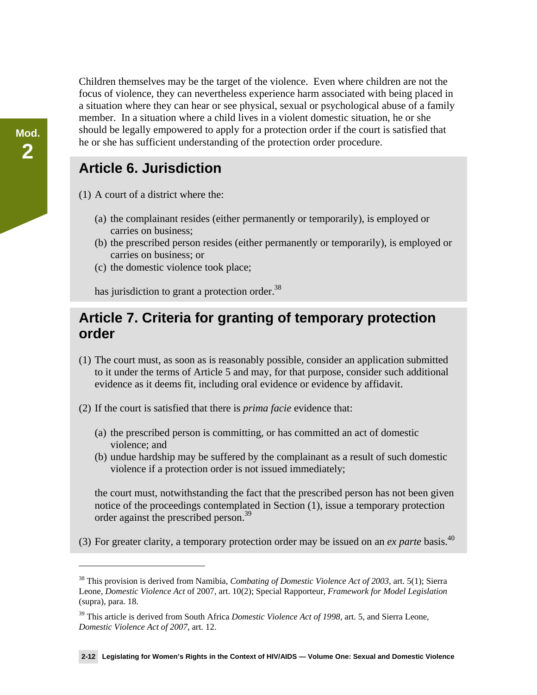Children themselves may be the target of the violence. Even where children are not the focus of violence, they can nevertheless experience harm associated with being placed in a situation where they can hear or see physical, sexual or psychological abuse of a family member. In a situation where a child lives in a violent domestic situation, he or she should be legally empowered to apply for a protection order if the court is satisfied that he or she has sufficient understanding of the protection order procedure.

### **Article 6. Jurisdiction**

- (1) A court of a district where the:
	- (a) the complainant resides (either permanently or temporarily), is employed or carries on business;
	- (b) the prescribed person resides (either permanently or temporarily), is employed or carries on business; or
	- (c) the domestic violence took place;

has jurisdiction to grant a protection order.<sup>38</sup>

### **Article 7. Criteria for granting of temporary protection order**

- (1) The court must, as soon as is reasonably possible, consider an application submitted to it under the terms of Article 5 and may, for that purpose, consider such additional evidence as it deems fit, including oral evidence or evidence by affidavit.
- (2) If the court is satisfied that there is *prima facie* evidence that:
	- (a) the prescribed person is committing, or has committed an act of domestic violence; and
	- (b) undue hardship may be suffered by the complainant as a result of such domestic violence if a protection order is not issued immediately;

the court must, notwithstanding the fact that the prescribed person has not been given notice of the proceedings contemplated in Section (1), issue a temporary protection order against the prescribed person.<sup>39</sup>

(3) For greater clarity, a temporary protection order may be issued on an *ex parte* basis.40

<sup>38</sup> This provision is derived from Namibia, *Combating of Domestic Violence Act of 2003*, art. 5(1); Sierra Leone, *Domestic Violence Act* of 2007, art. 10(2); Special Rapporteur, *Framework for Model Legislation*  (supra), para. 18.

<sup>39</sup> This article is derived from South Africa *Domestic Violence Act of 1998*, art. 5, and Sierra Leone, *Domestic Violence Act of 2007*, art. 12.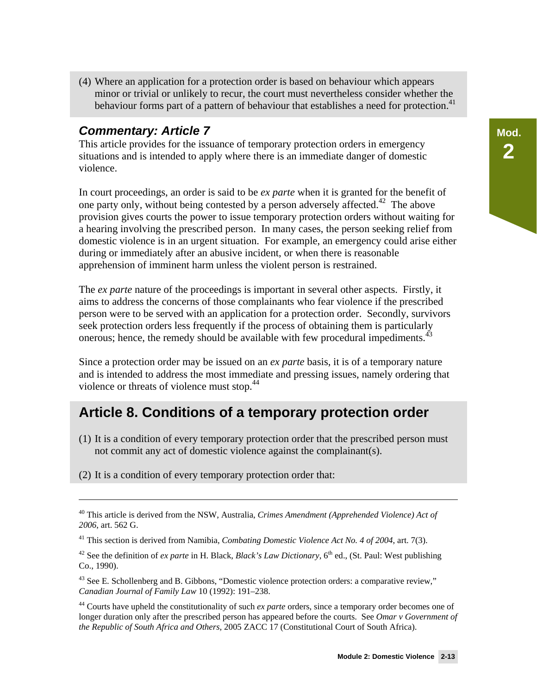(4) Where an application for a protection order is based on behaviour which appears minor or trivial or unlikely to recur, the court must nevertheless consider whether the behaviour forms part of a pattern of behaviour that establishes a need for protection.<sup>41</sup>

#### *Commentary: Article 7*

This article provides for the issuance of temporary protection orders in emergency situations and is intended to apply where there is an immediate danger of domestic violence.

In court proceedings, an order is said to be *ex parte* when it is granted for the benefit of one party only, without being contested by a person adversely affected.<sup>42</sup> The above provision gives courts the power to issue temporary protection orders without waiting for a hearing involving the prescribed person. In many cases, the person seeking relief from domestic violence is in an urgent situation. For example, an emergency could arise either during or immediately after an abusive incident, or when there is reasonable apprehension of imminent harm unless the violent person is restrained.

The *ex parte* nature of the proceedings is important in several other aspects. Firstly, it aims to address the concerns of those complainants who fear violence if the prescribed person were to be served with an application for a protection order. Secondly, survivors seek protection orders less frequently if the process of obtaining them is particularly onerous; hence, the remedy should be available with few procedural impediments.<sup>43</sup>

Since a protection order may be issued on an *ex parte* basis, it is of a temporary nature and is intended to address the most immediate and pressing issues, namely ordering that violence or threats of violence must stop.<sup>44</sup>

### **Article 8. Conditions of a temporary protection order**

(1) It is a condition of every temporary protection order that the prescribed person must not commit any act of domestic violence against the complainant(s).

(2) It is a condition of every temporary protection order that:

<sup>40</sup> This article is derived from the NSW, Australia, *Crimes Amendment (Apprehended Violence) Act of 2006*, art. 562 G.

<sup>41</sup> This section is derived from Namibia, *Combating Domestic Violence Act No. 4 of 2004*, art. 7(3).

<sup>&</sup>lt;sup>42</sup> See the definition of *ex parte* in H. Black, *Black's Law Dictionary*,  $6<sup>th</sup>$  ed., (St. Paul: West publishing Co., 1990).

 $43$  See E. Schollenberg and B. Gibbons, "Domestic violence protection orders: a comparative review," *Canadian Journal of Family Law* 10 (1992): 191–238.

<sup>44</sup> Courts have upheld the constitutionality of such *ex parte* orders, since a temporary order becomes one of longer duration only after the prescribed person has appeared before the courts. See *Omar v Government of the Republic of South Africa and Others,* 2005 ZACC 17 (Constitutional Court of South Africa).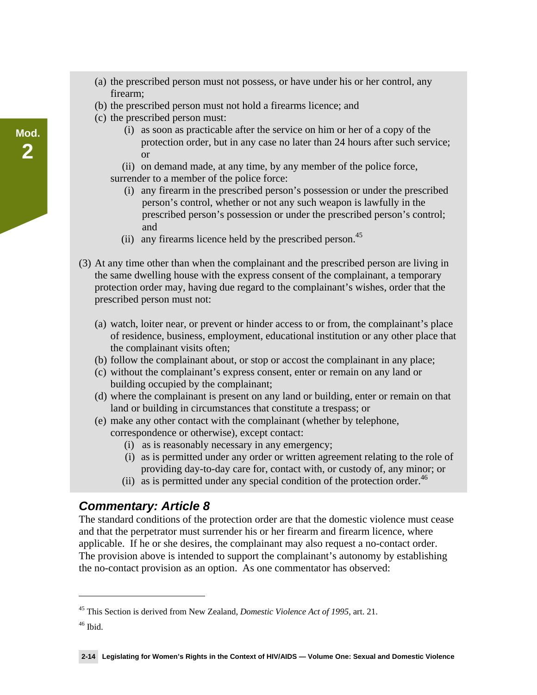- (a) the prescribed person must not possess, or have under his or her control, any firearm;
- (b) the prescribed person must not hold a firearms licence; and
- (c) the prescribed person must:
	- (i) as soon as practicable after the service on him or her of a copy of the protection order, but in any case no later than 24 hours after such service; or
	- (ii) on demand made, at any time, by any member of the police force, surrender to a member of the police force:
		- (i) any firearm in the prescribed person's possession or under the prescribed person's control, whether or not any such weapon is lawfully in the prescribed person's possession or under the prescribed person's control; and
		- (ii) any firearms licence held by the prescribed person.<sup>45</sup>
- (3) At any time other than when the complainant and the prescribed person are living in the same dwelling house with the express consent of the complainant, a temporary protection order may, having due regard to the complainant's wishes, order that the prescribed person must not:
	- (a) watch, loiter near, or prevent or hinder access to or from, the complainant's place of residence, business, employment, educational institution or any other place that the complainant visits often;
	- (b) follow the complainant about, or stop or accost the complainant in any place;
	- (c) without the complainant's express consent, enter or remain on any land or building occupied by the complainant;
	- (d) where the complainant is present on any land or building, enter or remain on that land or building in circumstances that constitute a trespass; or
	- (e) make any other contact with the complainant (whether by telephone, correspondence or otherwise), except contact:
		- (i) as is reasonably necessary in any emergency;
		- (i) as is permitted under any order or written agreement relating to the role of providing day-to-day care for, contact with, or custody of, any minor; or
		- (ii) as is permitted under any special condition of the protection order.<sup>46</sup>

#### *Commentary: Article 8*

The standard conditions of the protection order are that the domestic violence must cease and that the perpetrator must surrender his or her firearm and firearm licence, where applicable. If he or she desires, the complainant may also request a no-contact order. The provision above is intended to support the complainant's autonomy by establishing the no-contact provision as an option. As one commentator has observed:

 $\overline{a}$ 

<sup>45</sup> This Section is derived from New Zealand, *Domestic Violence Act of 1995*, art. 21.

 $46$  Ibid.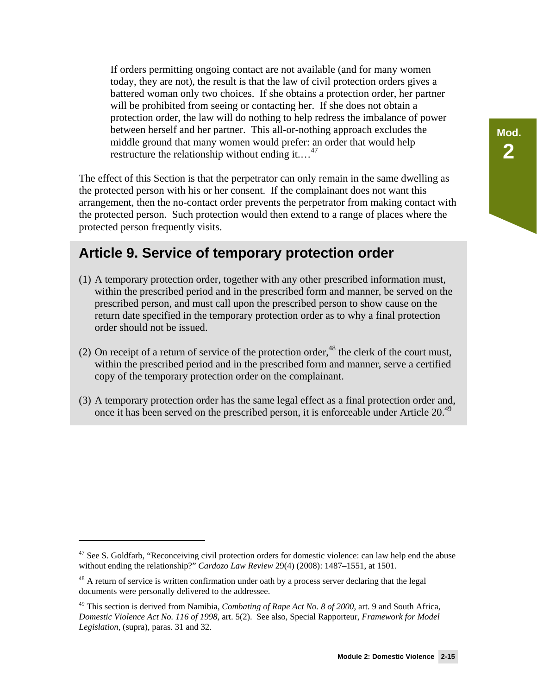If orders permitting ongoing contact are not available (and for many women today, they are not), the result is that the law of civil protection orders gives a battered woman only two choices. If she obtains a protection order, her partner will be prohibited from seeing or contacting her. If she does not obtain a protection order, the law will do nothing to help redress the imbalance of power between herself and her partner. This all-or-nothing approach excludes the middle ground that many women would prefer: an order that would help restructure the relationship without ending it....<sup>47</sup>

The effect of this Section is that the perpetrator can only remain in the same dwelling as the protected person with his or her consent. If the complainant does not want this arrangement, then the no-contact order prevents the perpetrator from making contact with the protected person. Such protection would then extend to a range of places where the protected person frequently visits.

### **Article 9. Service of temporary protection order**

- (1) A temporary protection order, together with any other prescribed information must, within the prescribed period and in the prescribed form and manner, be served on the prescribed person, and must call upon the prescribed person to show cause on the return date specified in the temporary protection order as to why a final protection order should not be issued.
- (2) On receipt of a return of service of the protection order, $48$  the clerk of the court must, within the prescribed period and in the prescribed form and manner, serve a certified copy of the temporary protection order on the complainant.
- (3) A temporary protection order has the same legal effect as a final protection order and, once it has been served on the prescribed person, it is enforceable under Article 20.<sup>49</sup>

-

 $47$  See S. Goldfarb, "Reconceiving civil protection orders for domestic violence: can law help end the abuse without ending the relationship?" *Cardozo Law Review* 29(4) (2008): 1487–1551, at 1501.

<sup>&</sup>lt;sup>48</sup> A return of service is written confirmation under oath by a process server declaring that the legal documents were personally delivered to the addressee.

<sup>49</sup> This section is derived from Namibia, *Combating of Rape Act No. 8 of 2000*, art. 9 and South Africa, *Domestic Violence Act No. 116 of 1998*, art. 5(2). See also, Special Rapporteur, *Framework for Model Legislation,* (supra), paras. 31 and 32.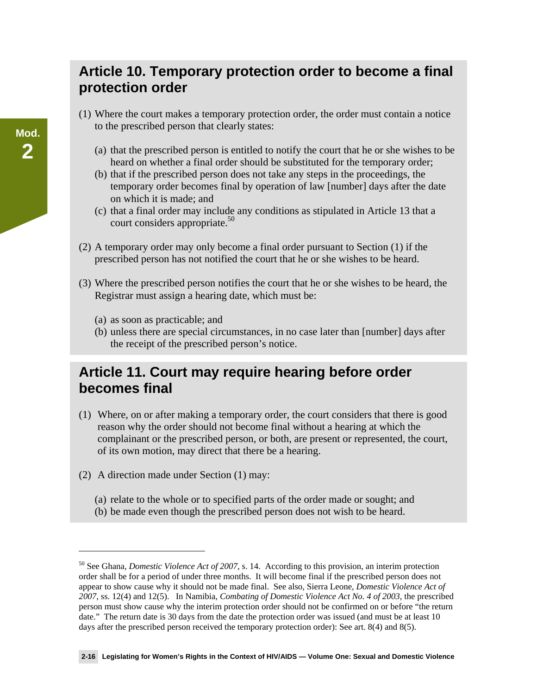### **Article 10. Temporary protection order to become a final protection order**

- (1) Where the court makes a temporary protection order, the order must contain a notice to the prescribed person that clearly states:
	- (a) that the prescribed person is entitled to notify the court that he or she wishes to be heard on whether a final order should be substituted for the temporary order;
	- (b) that if the prescribed person does not take any steps in the proceedings, the temporary order becomes final by operation of law [number] days after the date on which it is made; and
	- (c) that a final order may include any conditions as stipulated in Article 13 that a court considers appropriate.<sup>50</sup>
- (2) A temporary order may only become a final order pursuant to Section (1) if the prescribed person has not notified the court that he or she wishes to be heard.
- (3) Where the prescribed person notifies the court that he or she wishes to be heard, the Registrar must assign a hearing date, which must be:
	- (a) as soon as practicable; and
	- (b) unless there are special circumstances, in no case later than [number] days after the receipt of the prescribed person's notice.

### **Article 11. Court may require hearing before order becomes final**

- (1) Where, on or after making a temporary order, the court considers that there is good reason why the order should not become final without a hearing at which the complainant or the prescribed person, or both, are present or represented, the court, of its own motion, may direct that there be a hearing.
- (2) A direction made under Section (1) may:

 $\overline{a}$ 

- (a) relate to the whole or to specified parts of the order made or sought; and
- (b) be made even though the prescribed person does not wish to be heard.

<sup>50</sup> See Ghana, *Domestic Violence Act of 2007*, s. 14. According to this provision, an interim protection order shall be for a period of under three months. It will become final if the prescribed person does not appear to show cause why it should not be made final. See also, Sierra Leone, *Domestic Violence Act of 2007*, ss. 12(4) and 12(5). In Namibia, *Combating of Domestic Violence Act No. 4 of 2003*, the prescribed person must show cause why the interim protection order should not be confirmed on or before "the return date." The return date is 30 days from the date the protection order was issued (and must be at least 10 days after the prescribed person received the temporary protection order): See art. 8(4) and 8(5).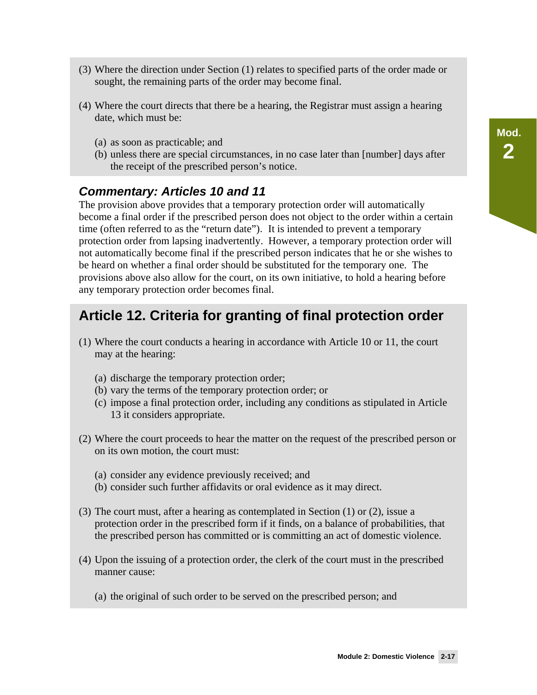- (3) Where the direction under Section (1) relates to specified parts of the order made or sought, the remaining parts of the order may become final.
- (4) Where the court directs that there be a hearing, the Registrar must assign a hearing date, which must be:
	- (a) as soon as practicable; and
	- (b) unless there are special circumstances, in no case later than [number] days after the receipt of the prescribed person's notice.

#### *Commentary: Articles 10 and 11*

The provision above provides that a temporary protection order will automatically become a final order if the prescribed person does not object to the order within a certain time (often referred to as the "return date"). It is intended to prevent a temporary protection order from lapsing inadvertently. However, a temporary protection order will not automatically become final if the prescribed person indicates that he or she wishes to be heard on whether a final order should be substituted for the temporary one. The provisions above also allow for the court, on its own initiative, to hold a hearing before any temporary protection order becomes final.

### **Article 12. Criteria for granting of final protection order**

- (1) Where the court conducts a hearing in accordance with Article 10 or 11, the court may at the hearing:
	- (a) discharge the temporary protection order;
	- (b) vary the terms of the temporary protection order; or
	- (c) impose a final protection order, including any conditions as stipulated in Article 13 it considers appropriate.
- (2) Where the court proceeds to hear the matter on the request of the prescribed person or on its own motion, the court must:
	- (a) consider any evidence previously received; and
	- (b) consider such further affidavits or oral evidence as it may direct.
- (3) The court must, after a hearing as contemplated in Section (1) or (2), issue a protection order in the prescribed form if it finds, on a balance of probabilities, that the prescribed person has committed or is committing an act of domestic violence.
- (4) Upon the issuing of a protection order, the clerk of the court must in the prescribed manner cause:
	- (a) the original of such order to be served on the prescribed person; and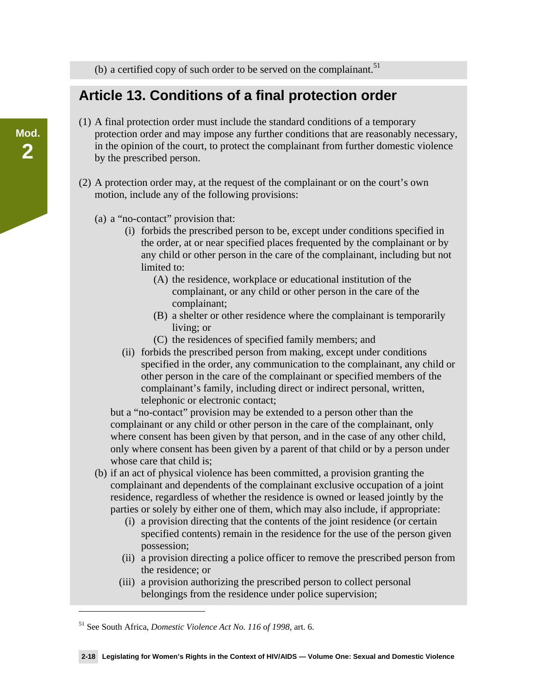(b) a certified copy of such order to be served on the complainant.<sup>51</sup>

### **Article 13. Conditions of a final protection order**

- (1) A final protection order must include the standard conditions of a temporary protection order and may impose any further conditions that are reasonably necessary, in the opinion of the court, to protect the complainant from further domestic violence by the prescribed person.
- (2) A protection order may, at the request of the complainant or on the court's own motion, include any of the following provisions:
	- (a) a "no-contact" provision that:
		- (i) forbids the prescribed person to be, except under conditions specified in the order, at or near specified places frequented by the complainant or by any child or other person in the care of the complainant, including but not limited to:
			- (A) the residence, workplace or educational institution of the complainant, or any child or other person in the care of the complainant;
			- (B) a shelter or other residence where the complainant is temporarily living; or
			- (C) the residences of specified family members; and
		- (ii) forbids the prescribed person from making, except under conditions specified in the order, any communication to the complainant, any child or other person in the care of the complainant or specified members of the complainant's family, including direct or indirect personal, written, telephonic or electronic contact;

but a "no-contact" provision may be extended to a person other than the complainant or any child or other person in the care of the complainant, only where consent has been given by that person, and in the case of any other child, only where consent has been given by a parent of that child or by a person under whose care that child is:

- (b) if an act of physical violence has been committed, a provision granting the complainant and dependents of the complainant exclusive occupation of a joint residence, regardless of whether the residence is owned or leased jointly by the parties or solely by either one of them, which may also include, if appropriate:
	- (i) a provision directing that the contents of the joint residence (or certain specified contents) remain in the residence for the use of the person given possession;
	- (ii) a provision directing a police officer to remove the prescribed person from the residence; or
	- (iii) a provision authorizing the prescribed person to collect personal belongings from the residence under police supervision;

-

<sup>51</sup> See South Africa, *Domestic Violence Act No. 116* o*f 1998*, art. 6.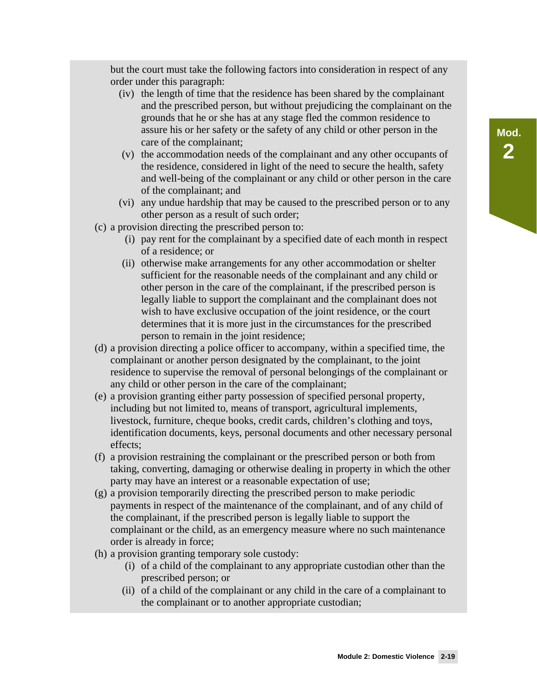but the court must take the following factors into consideration in respect of any order under this paragraph:

- (iv) the length of time that the residence has been shared by the complainant and the prescribed person, but without prejudicing the complainant on the grounds that he or she has at any stage fled the common residence to assure his or her safety or the safety of any child or other person in the care of the complainant;
- (v) the accommodation needs of the complainant and any other occupants of the residence, considered in light of the need to secure the health, safety and well-being of the complainant or any child or other person in the care of the complainant; and
- (vi) any undue hardship that may be caused to the prescribed person or to any other person as a result of such order;
- (c) a provision directing the prescribed person to:
	- (i) pay rent for the complainant by a specified date of each month in respect of a residence; or
	- (ii) otherwise make arrangements for any other accommodation or shelter sufficient for the reasonable needs of the complainant and any child or other person in the care of the complainant, if the prescribed person is legally liable to support the complainant and the complainant does not wish to have exclusive occupation of the joint residence, or the court determines that it is more just in the circumstances for the prescribed person to remain in the joint residence;
- (d) a provision directing a police officer to accompany, within a specified time, the complainant or another person designated by the complainant, to the joint residence to supervise the removal of personal belongings of the complainant or any child or other person in the care of the complainant;
- (e) a provision granting either party possession of specified personal property, including but not limited to, means of transport, agricultural implements, livestock, furniture, cheque books, credit cards, children's clothing and toys, identification documents, keys, personal documents and other necessary personal effects;
- (f) a provision restraining the complainant or the prescribed person or both from taking, converting, damaging or otherwise dealing in property in which the other party may have an interest or a reasonable expectation of use;
- (g) a provision temporarily directing the prescribed person to make periodic payments in respect of the maintenance of the complainant, and of any child of the complainant, if the prescribed person is legally liable to support the complainant or the child, as an emergency measure where no such maintenance order is already in force;
- (h) a provision granting temporary sole custody:
	- (i) of a child of the complainant to any appropriate custodian other than the prescribed person; or
	- (ii) of a child of the complainant or any child in the care of a complainant to the complainant or to another appropriate custodian;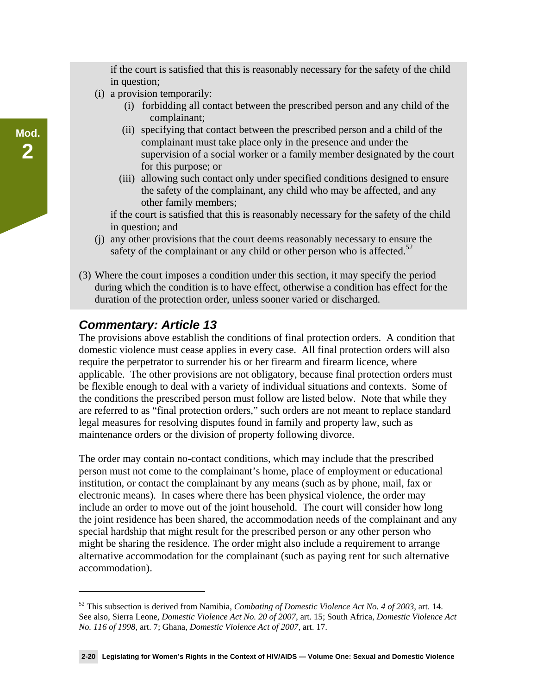if the court is satisfied that this is reasonably necessary for the safety of the child in question;

- (i) a provision temporarily:
	- (i) forbidding all contact between the prescribed person and any child of the complainant;
	- (ii) specifying that contact between the prescribed person and a child of the complainant must take place only in the presence and under the supervision of a social worker or a family member designated by the court for this purpose; or
	- (iii) allowing such contact only under specified conditions designed to ensure the safety of the complainant, any child who may be affected, and any other family members;

if the court is satisfied that this is reasonably necessary for the safety of the child in question; and

- (j) any other provisions that the court deems reasonably necessary to ensure the safety of the complainant or any child or other person who is affected.<sup>52</sup>
- (3) Where the court imposes a condition under this section, it may specify the period during which the condition is to have effect, otherwise a condition has effect for the duration of the protection order, unless sooner varied or discharged.

#### *Commentary: Article 13*

 $\overline{a}$ 

The provisions above establish the conditions of final protection orders. A condition that domestic violence must cease applies in every case. All final protection orders will also require the perpetrator to surrender his or her firearm and firearm licence, where applicable. The other provisions are not obligatory, because final protection orders must be flexible enough to deal with a variety of individual situations and contexts. Some of the conditions the prescribed person must follow are listed below. Note that while they are referred to as "final protection orders," such orders are not meant to replace standard legal measures for resolving disputes found in family and property law, such as maintenance orders or the division of property following divorce.

The order may contain no-contact conditions, which may include that the prescribed person must not come to the complainant's home, place of employment or educational institution, or contact the complainant by any means (such as by phone, mail, fax or electronic means). In cases where there has been physical violence, the order may include an order to move out of the joint household. The court will consider how long the joint residence has been shared, the accommodation needs of the complainant and any special hardship that might result for the prescribed person or any other person who might be sharing the residence. The order might also include a requirement to arrange alternative accommodation for the complainant (such as paying rent for such alternative accommodation).

<sup>52</sup> This subsection is derived from Namibia, *Combating of Domestic Violence Act No. 4 of 2003*, art. 14. See also, Sierra Leone, *Domestic Violence Act No. 20 of 2007*, art. 15; South Africa, *Domestic Violence Act No. 116 of 1998*, art. 7; Ghana, *Domestic Violence Act of 2007*, art. 17.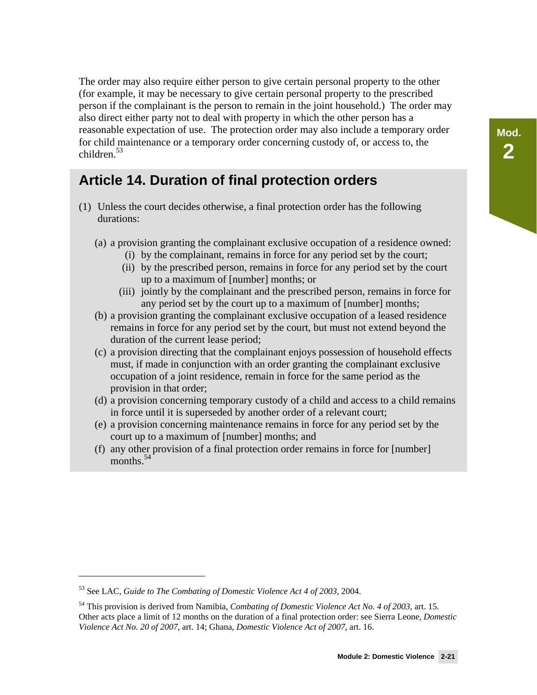The order may also require either person to give certain personal property to the other (for example, it may be necessary to give certain personal property to the prescribed person if the complainant is the person to remain in the joint household.) The order may also direct either party not to deal with property in which the other person has a reasonable expectation of use. The protection order may also include a temporary order for child maintenance or a temporary order concerning custody of, or access to, the children. $53$ 

### **Article 14. Duration of final protection orders**

- (1) Unless the court decides otherwise, a final protection order has the following durations:
	- (a) a provision granting the complainant exclusive occupation of a residence owned:
		- (i) by the complainant, remains in force for any period set by the court;
		- (ii) by the prescribed person, remains in force for any period set by the court up to a maximum of [number] months; or
		- (iii) jointly by the complainant and the prescribed person, remains in force for any period set by the court up to a maximum of [number] months;
	- (b) a provision granting the complainant exclusive occupation of a leased residence remains in force for any period set by the court, but must not extend beyond the duration of the current lease period;
	- (c) a provision directing that the complainant enjoys possession of household effects must, if made in conjunction with an order granting the complainant exclusive occupation of a joint residence, remain in force for the same period as the provision in that order;
	- (d) a provision concerning temporary custody of a child and access to a child remains in force until it is superseded by another order of a relevant court;
	- (e) a provision concerning maintenance remains in force for any period set by the court up to a maximum of [number] months; and
	- (f) any other provision of a final protection order remains in force for [number] months.<sup>54</sup>

<sup>53</sup> See LAC, *Guide to The Combating of Domestic Violence Act 4 of 2003*, 2004.

<sup>54</sup> This provision is derived from Namibia, *Combating of Domestic Violence Act No. 4 of 2003*, art. 15. Other acts place a limit of 12 months on the duration of a final protection order: see Sierra Leone, *Domestic Violence Act No. 20 of 2007*, art. 14; Ghana, *Domestic Violence Act of 2007*, art. 16.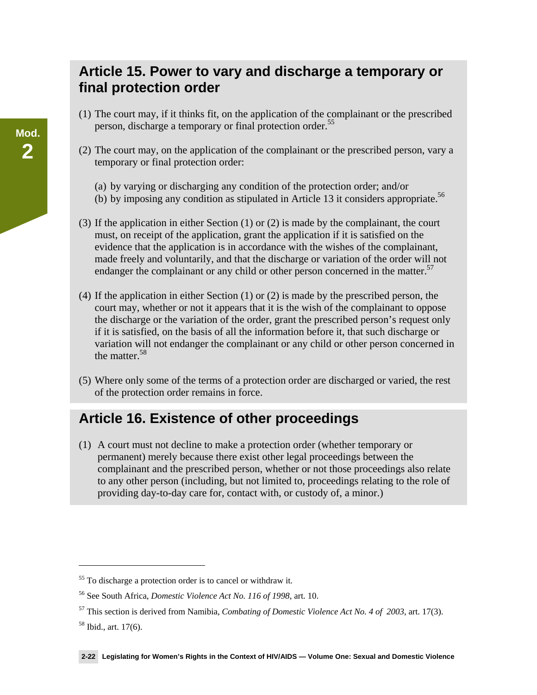### **Article 15. Power to vary and discharge a temporary or final protection order**

- (1) The court may, if it thinks fit, on the application of the complainant or the prescribed person, discharge a temporary or final protection order.<sup>55</sup>
- (2) The court may, on the application of the complainant or the prescribed person, vary a temporary or final protection order:
	- (a) by varying or discharging any condition of the protection order; and/or
	- (b) by imposing any condition as stipulated in Article 13 it considers appropriate.<sup>56</sup>
- (3) If the application in either Section (1) or (2) is made by the complainant, the court must, on receipt of the application, grant the application if it is satisfied on the evidence that the application is in accordance with the wishes of the complainant, made freely and voluntarily, and that the discharge or variation of the order will not endanger the complainant or any child or other person concerned in the matter.<sup>57</sup>
- (4) If the application in either Section (1) or (2) is made by the prescribed person, the court may, whether or not it appears that it is the wish of the complainant to oppose the discharge or the variation of the order, grant the prescribed person's request only if it is satisfied, on the basis of all the information before it, that such discharge or variation will not endanger the complainant or any child or other person concerned in the matter.58
- (5) Where only some of the terms of a protection order are discharged or varied, the rest of the protection order remains in force.

## **Article 16. Existence of other proceedings**

(1) A court must not decline to make a protection order (whether temporary or permanent) merely because there exist other legal proceedings between the complainant and the prescribed person, whether or not those proceedings also relate to any other person (including, but not limited to, proceedings relating to the role of providing day-to-day care for, contact with, or custody of, a minor.)

 $\overline{a}$ 

<sup>&</sup>lt;sup>55</sup> To discharge a protection order is to cancel or withdraw it.

<sup>56</sup> See South Africa, *Domestic Violence Act No. 116 of 1998*, art. 10.

<sup>57</sup> This section is derived from Namibia, *Combating of Domestic Violence Act No. 4 of 2003*, art. 17(3).

<sup>58</sup> Ibid., art. 17(6).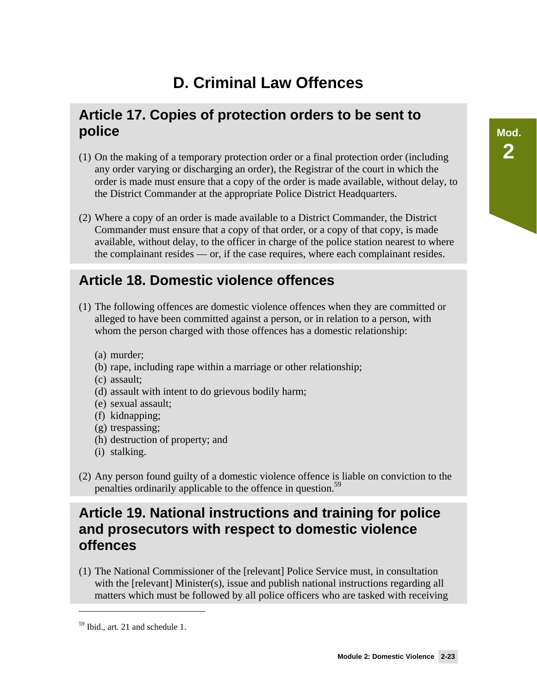# **Mod. 2**

# **D. Criminal Law Offences**

### **Article 17. Copies of protection orders to be sent to police**

- (1) On the making of a temporary protection order or a final protection order (including any order varying or discharging an order), the Registrar of the court in which the order is made must ensure that a copy of the order is made available, without delay, to the District Commander at the appropriate Police District Headquarters.
- (2) Where a copy of an order is made available to a District Commander, the District Commander must ensure that a copy of that order, or a copy of that copy, is made available, without delay, to the officer in charge of the police station nearest to where the complainant resides — or, if the case requires, where each complainant resides.

### **Article 18. Domestic violence offences**

- (1) The following offences are domestic violence offences when they are committed or alleged to have been committed against a person, or in relation to a person, with whom the person charged with those offences has a domestic relationship:
	- (a) murder;
	- (b) rape, including rape within a marriage or other relationship;
	- (c) assault;
	- (d) assault with intent to do grievous bodily harm;
	- (e) sexual assault;
	- (f) kidnapping;
	- (g) trespassing;
	- (h) destruction of property; and
	- (i) stalking.
- (2) Any person found guilty of a domestic violence offence is liable on conviction to the penalties ordinarily applicable to the offence in question.<sup>59</sup>

### **Article 19. National instructions and training for police and prosecutors with respect to domestic violence offences**

(1) The National Commissioner of the [relevant] Police Service must, in consultation with the [relevant] Minister(s), issue and publish national instructions regarding all matters which must be followed by all police officers who are tasked with receiving

<sup>59</sup> Ibid., art. 21 and schedule 1.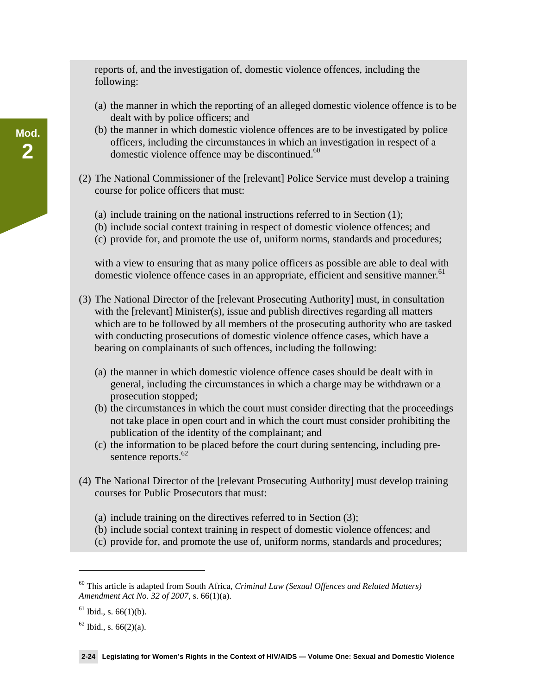reports of, and the investigation of, domestic violence offences, including the following:

- (a) the manner in which the reporting of an alleged domestic violence offence is to be dealt with by police officers; and
- (b) the manner in which domestic violence offences are to be investigated by police officers, including the circumstances in which an investigation in respect of a domestic violence offence may be discontinued.<sup>60</sup>
- (2) The National Commissioner of the [relevant] Police Service must develop a training course for police officers that must:
	- (a) include training on the national instructions referred to in Section (1);
	- (b) include social context training in respect of domestic violence offences; and
	- (c) provide for, and promote the use of, uniform norms, standards and procedures;

with a view to ensuring that as many police officers as possible are able to deal with domestic violence offence cases in an appropriate, efficient and sensitive manner.<sup>61</sup>

- (3) The National Director of the [relevant Prosecuting Authority] must, in consultation with the [relevant] Minister(s), issue and publish directives regarding all matters which are to be followed by all members of the prosecuting authority who are tasked with conducting prosecutions of domestic violence offence cases, which have a bearing on complainants of such offences, including the following:
	- (a) the manner in which domestic violence offence cases should be dealt with in general, including the circumstances in which a charge may be withdrawn or a prosecution stopped;
	- (b) the circumstances in which the court must consider directing that the proceedings not take place in open court and in which the court must consider prohibiting the publication of the identity of the complainant; and
	- (c) the information to be placed before the court during sentencing, including presentence reports.<sup>62</sup>
- (4) The National Director of the [relevant Prosecuting Authority] must develop training courses for Public Prosecutors that must:
	- (a) include training on the directives referred to in Section (3);
	- (b) include social context training in respect of domestic violence offences; and
	- (c) provide for, and promote the use of, uniform norms, standards and procedures;

 $\overline{a}$ 

**Mod.** 

**2** 

<sup>60</sup> This article is adapted from South Africa, *Criminal Law (Sexual Offences and Related Matters) Amendment Act No. 32 of 2007*, s. 66(1)(a).

 $61$  Ibid., s.  $66(1)(b)$ .

 $62$  Ibid., s.  $66(2)(a)$ .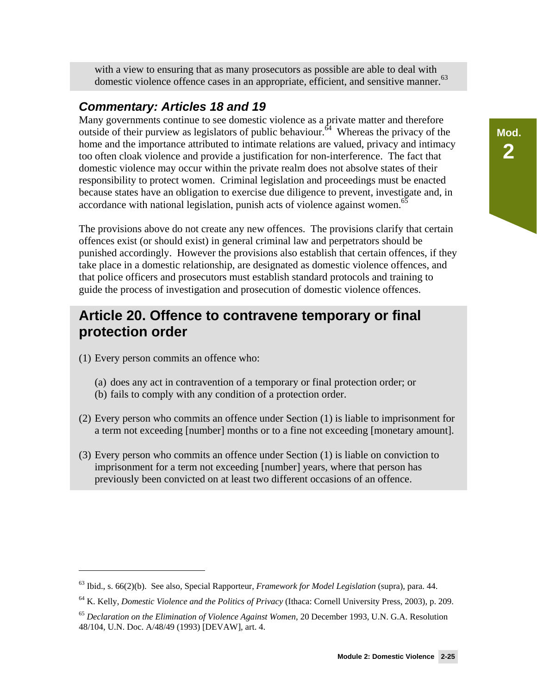with a view to ensuring that as many prosecutors as possible are able to deal with domestic violence offence cases in an appropriate, efficient, and sensitive manner.<sup>63</sup>

#### *Commentary: Articles 18 and 19*

Many governments continue to see domestic violence as a private matter and therefore outside of their purview as legislators of public behaviour.<sup> $64$ </sup> Whereas the privacy of the home and the importance attributed to intimate relations are valued, privacy and intimacy too often cloak violence and provide a justification for non-interference. The fact that domestic violence may occur within the private realm does not absolve states of their responsibility to protect women. Criminal legislation and proceedings must be enacted because states have an obligation to exercise due diligence to prevent, investigate and, in accordance with national legislation, punish acts of violence against women.<sup>65</sup>

The provisions above do not create any new offences. The provisions clarify that certain offences exist (or should exist) in general criminal law and perpetrators should be punished accordingly. However the provisions also establish that certain offences, if they take place in a domestic relationship, are designated as domestic violence offences, and that police officers and prosecutors must establish standard protocols and training to guide the process of investigation and prosecution of domestic violence offences.

### **Article 20. Offence to contravene temporary or final protection order**

(1) Every person commits an offence who:

 $\overline{a}$ 

- (a) does any act in contravention of a temporary or final protection order; or
- (b) fails to comply with any condition of a protection order.
- (2) Every person who commits an offence under Section (1) is liable to imprisonment for a term not exceeding [number] months or to a fine not exceeding [monetary amount].
- (3) Every person who commits an offence under Section (1) is liable on conviction to imprisonment for a term not exceeding [number] years, where that person has previously been convicted on at least two different occasions of an offence.

<sup>63</sup> Ibid., s. 66(2)(b). See also, Special Rapporteur, *Framework for Model Legislation* (supra), para. 44.

<sup>64</sup> K. Kelly, *Domestic Violence and the Politics of Privacy* (Ithaca: Cornell University Press, 2003), p. 209.

<sup>65</sup> *Declaration on the Elimination of Violence Against Women,* 20 December 1993, U.N. G.A. Resolution 48/104, U.N. Doc. A/48/49 (1993) [DEVAW], art. 4.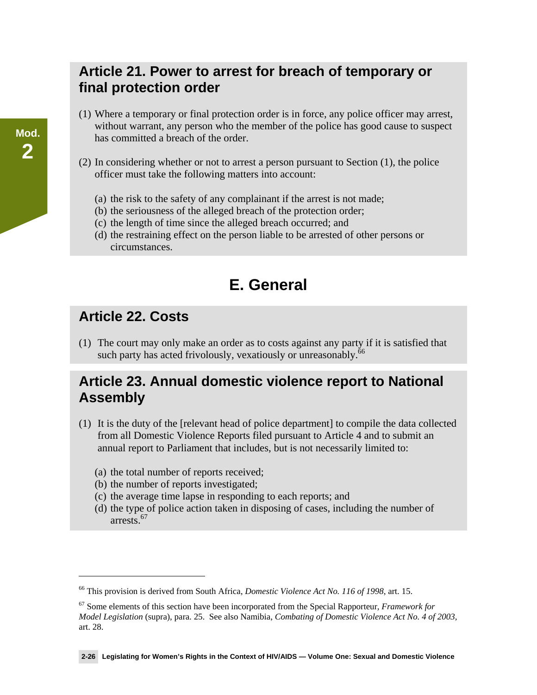### **Article 21. Power to arrest for breach of temporary or final protection order**

- (1) Where a temporary or final protection order is in force, any police officer may arrest, without warrant, any person who the member of the police has good cause to suspect has committed a breach of the order.
- (2) In considering whether or not to arrest a person pursuant to Section (1), the police officer must take the following matters into account:
	- (a) the risk to the safety of any complainant if the arrest is not made;
	- (b) the seriousness of the alleged breach of the protection order;
	- (c) the length of time since the alleged breach occurred; and
	- (d) the restraining effect on the person liable to be arrested of other persons or circumstances.

# **E. General**

### **Article 22. Costs**

 $\overline{a}$ 

(1) The court may only make an order as to costs against any party if it is satisfied that such party has acted frivolously, vexatiously or unreasonably.<sup>66</sup>

### **Article 23. Annual domestic violence report to National Assembly**

- (1) It is the duty of the [relevant head of police department] to compile the data collected from all Domestic Violence Reports filed pursuant to Article 4 and to submit an annual report to Parliament that includes, but is not necessarily limited to:
	- (a) the total number of reports received;
	- (b) the number of reports investigated;
	- (c) the average time lapse in responding to each reports; and
	- (d) the type of police action taken in disposing of cases, including the number of arrests.67

<sup>66</sup> This provision is derived from South Africa, *Domestic Violence Act No. 116 of 1998*, art. 15.

<sup>67</sup> Some elements of this section have been incorporated from the Special Rapporteur, *Framework for Model Legislation* (supra), para. 25. See also Namibia, *Combating of Domestic Violence Act No. 4 of 2003,* art. 28.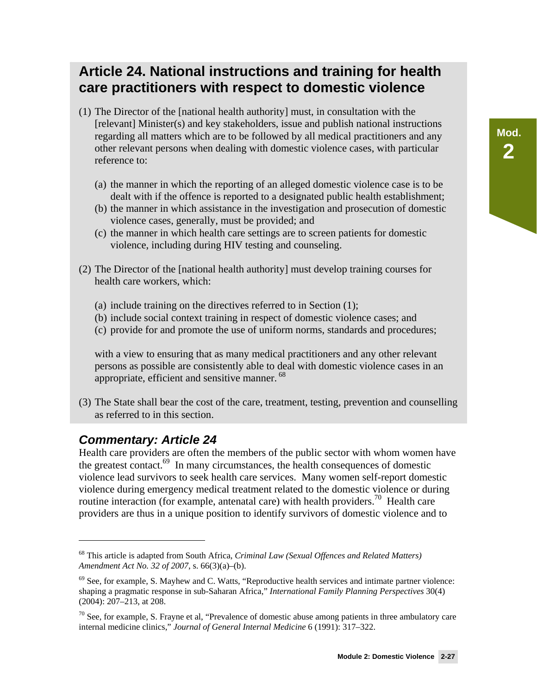### **Article 24. National instructions and training for health care practitioners with respect to domestic violence**

- (1) The Director of the [national health authority] must, in consultation with the [relevant] Minister(s) and key stakeholders, issue and publish national instructions regarding all matters which are to be followed by all medical practitioners and any other relevant persons when dealing with domestic violence cases, with particular reference to:
	- (a) the manner in which the reporting of an alleged domestic violence case is to be dealt with if the offence is reported to a designated public health establishment;
	- (b) the manner in which assistance in the investigation and prosecution of domestic violence cases, generally, must be provided; and
	- (c) the manner in which health care settings are to screen patients for domestic violence, including during HIV testing and counseling.
- (2) The Director of the [national health authority] must develop training courses for health care workers, which:
	- (a) include training on the directives referred to in Section (1);
	- (b) include social context training in respect of domestic violence cases; and
	- (c) provide for and promote the use of uniform norms, standards and procedures;

with a view to ensuring that as many medical practitioners and any other relevant persons as possible are consistently able to deal with domestic violence cases in an appropriate, efficient and sensitive manner.<sup>68</sup>

(3) The State shall bear the cost of the care, treatment, testing, prevention and counselling as referred to in this section.

#### *Commentary: Article 24*

 $\overline{a}$ 

Health care providers are often the members of the public sector with whom women have the greatest contact.<sup>69</sup> In many circumstances, the health consequences of domestic violence lead survivors to seek health care services. Many women self-report domestic violence during emergency medical treatment related to the domestic violence or during routine interaction (for example, antenatal care) with health providers.<sup>70</sup> Health care providers are thus in a unique position to identify survivors of domestic violence and to

<sup>68</sup> This article is adapted from South Africa, *Criminal Law (Sexual Offences and Related Matters) Amendment Act No. 32 of 2007*, s. 66(3)(a)–(b).

 $69$  See, for example, S. Mayhew and C. Watts, "Reproductive health services and intimate partner violence: shaping a pragmatic response in sub-Saharan Africa," *International Family Planning Perspectives* 30(4) (2004): 207–213, at 208.

 $70$  See, for example, S. Frayne et al, "Prevalence of domestic abuse among patients in three ambulatory care internal medicine clinics," *Journal of General Internal Medicine* 6 (1991): 317–322.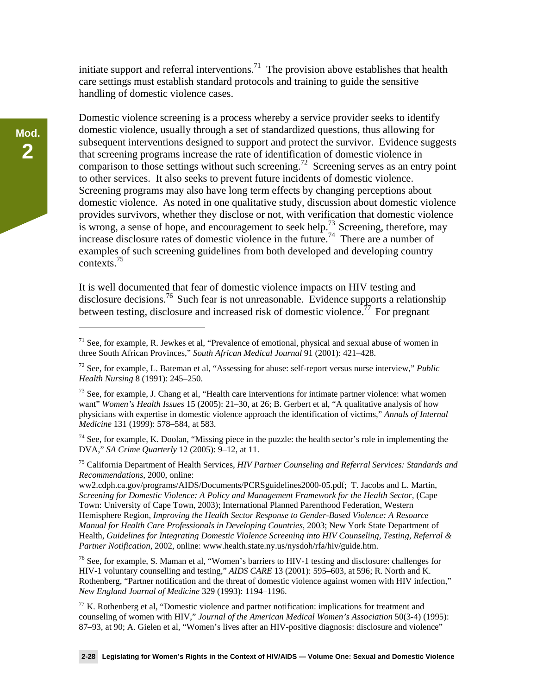initiate support and referral interventions.<sup>71</sup> The provision above establishes that health care settings must establish standard protocols and training to guide the sensitive handling of domestic violence cases.

Domestic violence screening is a process whereby a service provider seeks to identify domestic violence, usually through a set of standardized questions, thus allowing for subsequent interventions designed to support and protect the survivor. Evidence suggests that screening programs increase the rate of identification of domestic violence in comparison to those settings without such screening.<sup>72</sup> Screening serves as an entry point to other services. It also seeks to prevent future incidents of domestic violence. Screening programs may also have long term effects by changing perceptions about domestic violence. As noted in one qualitative study, discussion about domestic violence provides survivors, whether they disclose or not, with verification that domestic violence is wrong, a sense of hope, and encouragement to seek help.<sup>73</sup> Screening, therefore, may increase disclosure rates of domestic violence in the future.<sup>74</sup> There are a number of examples of such screening guidelines from both developed and developing country contexts.75

It is well documented that fear of domestic violence impacts on HIV testing and disclosure decisions.<sup>76</sup> Such fear is not unreasonable. Evidence supports a relationship between testing, disclosure and increased risk of domestic violence.<sup> $77$ </sup> For pregnant

 $74$  See, for example, K. Doolan, "Missing piece in the puzzle: the health sector's role in implementing the DVA," *SA Crime Quarterly* 12 (2005): 9–12, at 11.

75 California Department of Health Services, *HIV Partner Counseling and Referral Services: Standards and Recommendations,* 2000, online:

ww2.cdph.ca.gov/programs/AIDS/Documents/PCRSguidelines2000-05.pdf; T. Jacobs and L. Martin, *Screening for Domestic Violence: A Policy and Management Framework for the Health Sector,* (Cape Town: University of Cape Town, 2003); International Planned Parenthood Federation, Western Hemisphere Region, *Improving the Health Sector Response to Gender-Based Violence: A Resource Manual for Health Care Professionals in Developing Countries*, 2003; New York State Department of Health, *Guidelines for Integrating Domestic Violence Screening into HIV Counseling, Testing, Referral & Partner Notification,* 2002, online: www.health.state.ny.us/nysdoh/rfa/hiv/guide.htm.

76 See, for example, S. Maman et al, "Women's barriers to HIV-1 testing and disclosure: challenges for HIV-1 voluntary counselling and testing," *AIDS CARE* 13 (2001): 595–603, at 596; R. North and K. Rothenberg, "Partner notification and the threat of domestic violence against women with HIV infection," *New England Journal of Medicine* 329 (1993): 1194–1196.

 $77$  K. Rothenberg et al, "Domestic violence and partner notification: implications for treatment and counseling of women with HIV," *Journal of the American Medical Women's Association* 50(3-4) (1995): 87–93, at 90; A. Gielen et al, "Women's lives after an HIV-positive diagnosis: disclosure and violence"

 $71$  See, for example, R. Jewkes et al, "Prevalence of emotional, physical and sexual abuse of women in three South African Provinces," *South African Medical Journal* 91 (2001): 421–428.

<sup>72</sup> See, for example, L. Bateman et al, "Assessing for abuse: self-report versus nurse interview," *Public Health Nursing* 8 (1991): 245–250.

 $^{73}$  See, for example, J. Chang et al, "Health care interventions for intimate partner violence: what women want" *Women's Health Issues* 15 (2005): 21–30, at 26; B. Gerbert et al, "A qualitative analysis of how physicians with expertise in domestic violence approach the identification of victims," *Annals of Internal Medicine* 131 (1999): 578–584, at 583.